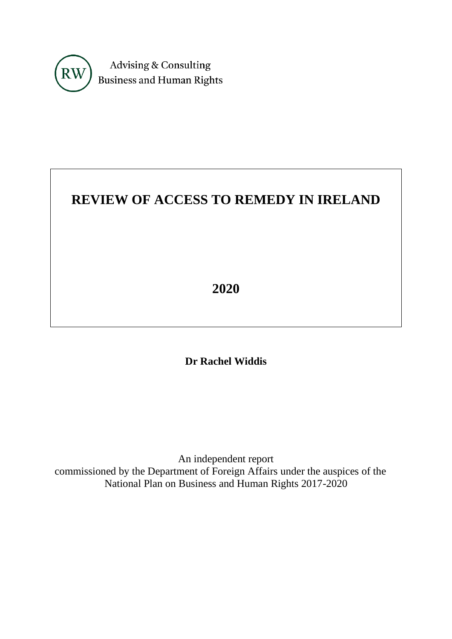

# **REVIEW OF ACCESS TO REMEDY IN IRELAND**

**2020**

**Dr Rachel Widdis**

An independent report commissioned by the Department of Foreign Affairs under the auspices of the National Plan on Business and Human Rights 2017-2020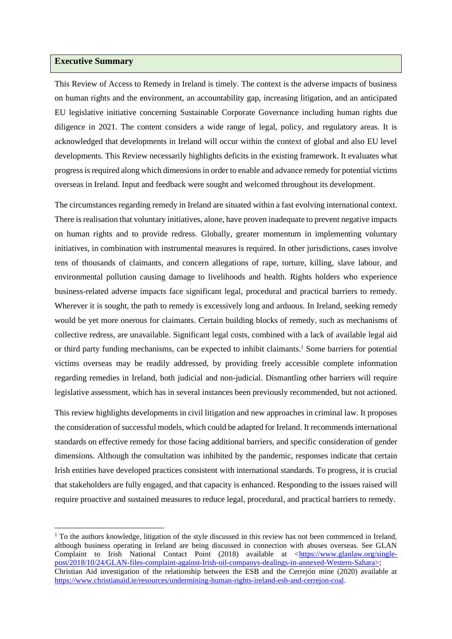#### **Executive Summary**

This Review of Access to Remedy in Ireland is timely. The context is the adverse impacts of business on human rights and the environment, an accountability gap, increasing litigation, and an anticipated EU legislative initiative concerning Sustainable Corporate Governance including human rights due diligence in 2021. The content considers a wide range of legal, policy, and regulatory areas. It is acknowledged that developments in Ireland will occur within the context of global and also EU level developments. This Review necessarily highlights deficits in the existing framework. It evaluates what progress is required along which dimensions in order to enable and advance remedy for potential victims overseas in Ireland. Input and feedback were sought and welcomed throughout its development.

The circumstances regarding remedy in Ireland are situated within a fast evolving international context. There is realisation that voluntary initiatives, alone, have proven inadequate to prevent negative impacts on human rights and to provide redress. Globally, greater momentum in implementing voluntary initiatives, in combination with instrumental measures is required. In other jurisdictions, cases involve tens of thousands of claimants, and concern allegations of rape, torture, killing, slave labour, and environmental pollution causing damage to livelihoods and health. Rights holders who experience business-related adverse impacts face significant legal, procedural and practical barriers to remedy. Wherever it is sought, the path to remedy is excessively long and arduous. In Ireland, seeking remedy would be yet more onerous for claimants. Certain building blocks of remedy, such as mechanisms of collective redress, are unavailable. Significant legal costs, combined with a lack of available legal aid or third party funding mechanisms, can be expected to inhibit claimants. <sup>1</sup> Some barriers for potential victims overseas may be readily addressed, by providing freely accessible complete information regarding remedies in Ireland, both judicial and non-judicial. Dismantling other barriers will require legislative assessment, which has in several instances been previously recommended, but not actioned.

<span id="page-1-0"></span>This review highlights developments in civil litigation and new approaches in criminal law. It proposes the consideration of successful models, which could be adapted for Ireland. It recommends international standards on effective remedy for those facing additional barriers, and specific consideration of gender dimensions. Although the consultation was inhibited by the pandemic, responses indicate that certain Irish entities have developed practices consistent with international standards. To progress, it is crucial that stakeholders are fully engaged, and that capacity is enhanced. Responding to the issues raised will require proactive and sustained measures to reduce legal, procedural, and practical barriers to remedy.

 $1$  To the authors knowledge, litigation of the style discussed in this review has not been commenced in Ireland, although business operating in Ireland are being discussed in connection with abuses overseas. See GLAN Complaint to Irish National Contact Point (2018) available at [<https://www.glanlaw.org/single](https://www.glanlaw.org/single-post/2018/10/24/GLAN-files-complaint-against-Irish-oil-companys-dealings-in-annexed-Western-Sahara%3e)[post/2018/10/24/GLAN-files-complaint-against-Irish-oil-companys-dealings-in-annexed-Western-Sahara>;](https://www.glanlaw.org/single-post/2018/10/24/GLAN-files-complaint-against-Irish-oil-companys-dealings-in-annexed-Western-Sahara%3e) Christian Aid investigation of the relationship between the ESB and the Cerrejón mine (2020) available at [https://www.christianaid.ie/resources/undermining-human-rights-ireland-esb-and-cerrejon-coal.](https://www.christianaid.ie/resources/undermining-human-rights-ireland-esb-and-cerrejon-coal)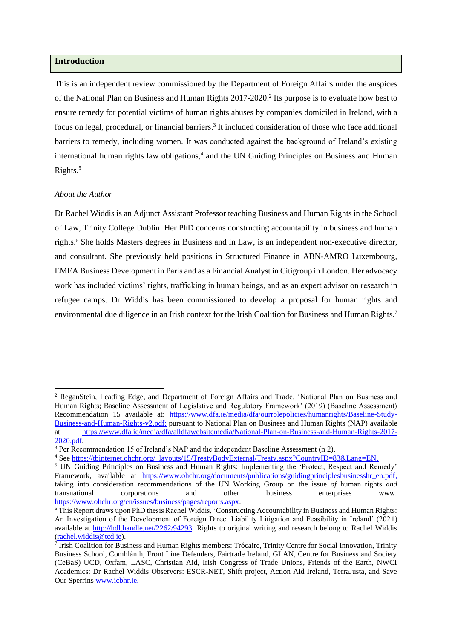## **Introduction**

<span id="page-2-0"></span>This is an independent review commissioned by the Department of Foreign Affairs under the auspices of the National Plan on Business and Human Rights 2017-2020. 2 Its purpose is to evaluate how best to ensure remedy for potential victims of human rights abuses by companies domiciled in Ireland, with a focus on legal, procedural, or financial barriers.<sup>3</sup> It included consideration of those who face additional barriers to remedy, including women. It was conducted against the background of Ireland's existing international human rights law obligations, 4 and the UN Guiding Principles on Business and Human Rights.<sup>5</sup>

#### <span id="page-2-3"></span><span id="page-2-1"></span>*About the Author*

<span id="page-2-2"></span>Dr Rachel Widdis is an Adjunct Assistant Professor teaching Business and Human Rights in the School of Law, Trinity College Dublin. Her PhD concerns constructing accountability in business and human rights. <sup>6</sup> She holds Masters degrees in Business and in Law, is an independent non-executive director, and consultant. She previously held positions in Structured Finance in ABN-AMRO Luxembourg, EMEA Business Development in Paris and as a Financial Analyst in Citigroup in London. Her advocacy work has included victims' rights, trafficking in human beings, and as an expert advisor on research in refugee camps. Dr Widdis has been commissioned to develop a proposal for human rights and environmental due diligence in an Irish context for the Irish Coalition for Business and Human Rights.<sup>7</sup>

<sup>2</sup> ReganStein, Leading Edge, and Department of Foreign Affairs and Trade, 'National Plan on Business and Human Rights; Baseline Assessment of Legislative and Regulatory Framework' (2019) (Baseline Assessment) Recommendation 15 available at: [https://www.dfa.ie/media/dfa/ourrolepolicies/humanrights/Baseline-Study-](https://www.dfa.ie/media/dfa/ourrolepolicies/humanrights/Baseline-Study-Business-and-Human-Rights-v2.pdf)[Business-and-Human-Rights-v2.pdf;](https://www.dfa.ie/media/dfa/ourrolepolicies/humanrights/Baseline-Study-Business-and-Human-Rights-v2.pdf) pursuant to National Plan on Business and Human Rights (NAP) available at [https://www.dfa.ie/media/dfa/alldfawebsitemedia/National-Plan-on-Business-and-Human-Rights-2017-](https://www.dfa.ie/media/dfa/alldfawebsitemedia/National-Plan-on-Business-and-Human-Rights-2017-2020.pdf) [2020.pdf.](https://www.dfa.ie/media/dfa/alldfawebsitemedia/National-Plan-on-Business-and-Human-Rights-2017-2020.pdf)

<sup>&</sup>lt;sup>3</sup> Per Recommendation 15 of Ireland's NAP and the independent Baseline Assessment (n [2\)](#page-2-0).

<sup>4</sup> Se[e https://tbinternet.ohchr.org/\\_layouts/15/TreatyBodyExternal/Treaty.aspx?CountryID=83&Lang=EN.](https://tbinternet.ohchr.org/_layouts/15/TreatyBodyExternal/Treaty.aspx?CountryID=83&Lang=EN)

<sup>5</sup> UN Guiding Principles on Business and Human Rights: Implementing the 'Protect, Respect and Remedy' Framework, available at [https://www.ohchr.org/documents/publications/guidingprinciplesbusinesshr\\_en.pdf,](https://www.ohchr.org/documents/publications/guidingprinciplesbusinesshr_en.pdf) taking into consideration recommendations of the UN Working Group on the issue *of* human rights *and*  transnational corporations and other business enterprises www. [https://www.ohchr.org/en/issues/business/pages/reports.aspx.](https://www.ohchr.org/en/issues/business/pages/reports.aspx)

<sup>6</sup> This Report draws upon PhD thesis Rachel Widdis, 'Constructing Accountability in Business and Human Rights: An Investigation of the Development of Foreign Direct Liability Litigation and Feasibility in Ireland' (2021) available at [http://hdl.handle.net/2262/94293.](http://hdl.handle.net/2262/94293) Rights to original writing and research belong to Rachel Widdis [\(rachel.widdis@tcd.ie\)](mailto:rachel.widdis@tcd.ie).

<sup>&</sup>lt;sup>7</sup> Irish Coalition for Business and Human Rights members: Trócaire, Trinity Centre for Social Innovation, Trinity Business School, Comhlámh, Front Line Defenders, Fairtrade Ireland, GLAN, Centre for Business and Society (CeBaS) UCD, Oxfam, LASC, Christian Aid, Irish Congress of Trade Unions, Friends of the Earth, NWCI Academics: Dr Rachel Widdis Observers: ESCR-NET, Shift project, Action Aid Ireland, TerraJusta, and Save Our Sperrins [www.icbhr.ie.](http://www.icbhr.ie./)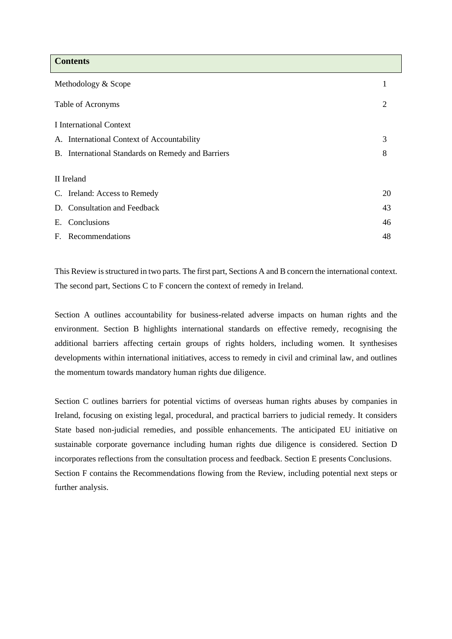| <b>Contents</b>                                   |    |
|---------------------------------------------------|----|
| Methodology & Scope                               | 1  |
| Table of Acronyms                                 | 2  |
| I International Context                           |    |
| A. International Context of Accountability        | 3  |
| B. International Standards on Remedy and Barriers | 8  |
|                                                   |    |
| II Ireland                                        |    |
| C. Ireland: Access to Remedy                      | 20 |
| D. Consultation and Feedback                      | 43 |
| Conclusions<br>Е.                                 | 46 |
| F. Recommendations                                | 48 |

This Review is structured in two parts. The first part, Sections A and B concern the international context. The second part, Sections C to F concern the context of remedy in Ireland.

Section A outlines accountability for business-related adverse impacts on human rights and the environment. Section B highlights international standards on effective remedy, recognising the additional barriers affecting certain groups of rights holders, including women. It synthesises developments within international initiatives, access to remedy in civil and criminal law, and outlines the momentum towards mandatory human rights due diligence.

Section C outlines barriers for potential victims of overseas human rights abuses by companies in Ireland, focusing on existing legal, procedural, and practical barriers to judicial remedy. It considers State based non-judicial remedies, and possible enhancements. The anticipated EU initiative on sustainable corporate governance including human rights due diligence is considered. Section D incorporates reflections from the consultation process and feedback. Section E presents Conclusions. Section F contains the Recommendations flowing from the Review, including potential next steps or further analysis.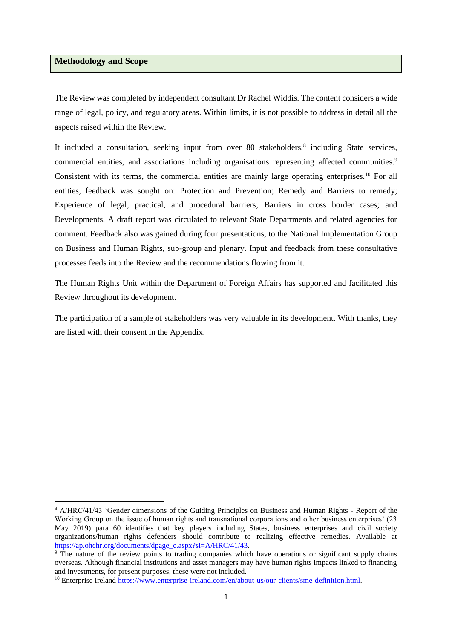#### **Methodology and Scope**

The Review was completed by independent consultant Dr Rachel Widdis. The content considers a wide range of legal, policy, and regulatory areas. Within limits, it is not possible to address in detail all the aspects raised within the Review.

<span id="page-4-1"></span><span id="page-4-0"></span>It included a consultation, seeking input from over 80 stakeholders,<sup>8</sup> including State services, commercial entities, and associations including organisations representing affected communities.<sup>9</sup> Consistent with its terms, the commercial entities are mainly large operating enterprises.<sup>10</sup> For all entities, feedback was sought on: Protection and Prevention; Remedy and Barriers to remedy; Experience of legal, practical, and procedural barriers; Barriers in cross border cases; and Developments. A draft report was circulated to relevant State Departments and related agencies for comment. Feedback also was gained during four presentations, to the National Implementation Group on Business and Human Rights, sub-group and plenary. Input and feedback from these consultative processes feeds into the Review and the recommendations flowing from it.

The Human Rights Unit within the Department of Foreign Affairs has supported and facilitated this Review throughout its development.

The participation of a sample of stakeholders was very valuable in its development. With thanks, they are listed with their consent in the Appendix.

<sup>8</sup> A/HRC/41/43 'Gender dimensions of the Guiding Principles on Business and Human Rights - Report of the Working Group on the issue of human rights and transnational corporations and other business enterprises' (23 May 2019) para 60 identifies that key players including States, business enterprises and civil society organizations/human rights defenders should contribute to realizing effective remedies. Available at [https://ap.ohchr.org/documents/dpage\\_e.aspx?si=A/HRC/41/43.](https://ap.ohchr.org/documents/dpage_e.aspx?si=A/HRC/41/43)

<sup>&</sup>lt;sup>9</sup> The nature of the review points to trading companies which have operations or significant supply chains overseas. Although financial institutions and asset managers may have human rights impacts linked to financing and investments, for present purposes, these were not included.

<sup>&</sup>lt;sup>10</sup> Enterprise Ireland [https://www.enterprise-ireland.com/en/about-us/our-clients/sme-definition.html.](https://www.enterprise-ireland.com/en/about-us/our-clients/sme-definition.html)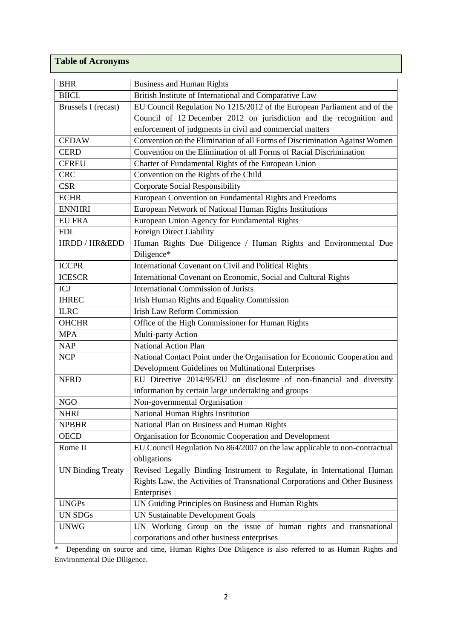# **Table of Acronyms**

| <b>BHR</b>               | <b>Business and Human Rights</b>                                            |  |
|--------------------------|-----------------------------------------------------------------------------|--|
| <b>BIICL</b>             | British Institute of International and Comparative Law                      |  |
| Brussels I (recast)      | EU Council Regulation No 1215/2012 of the European Parliament and of the    |  |
|                          | Council of 12 December 2012 on jurisdiction and the recognition and         |  |
|                          | enforcement of judgments in civil and commercial matters                    |  |
| <b>CEDAW</b>             | Convention on the Elimination of all Forms of Discrimination Against Women  |  |
| <b>CERD</b>              | Convention on the Elimination of all Forms of Racial Discrimination         |  |
| <b>CFREU</b>             | Charter of Fundamental Rights of the European Union                         |  |
| <b>CRC</b>               | Convention on the Rights of the Child                                       |  |
| <b>CSR</b>               | Corporate Social Responsibility                                             |  |
| <b>ECHR</b>              | European Convention on Fundamental Rights and Freedoms                      |  |
| <b>ENNHRI</b>            | European Network of National Human Rights Institutions                      |  |
| <b>EU FRA</b>            | European Union Agency for Fundamental Rights                                |  |
| <b>FDL</b>               | Foreign Direct Liability                                                    |  |
| HRDD / HR&EDD            | Human Rights Due Diligence / Human Rights and Environmental Due             |  |
|                          | Diligence*                                                                  |  |
| <b>ICCPR</b>             | International Covenant on Civil and Political Rights                        |  |
| <b>ICESCR</b>            | International Covenant on Economic, Social and Cultural Rights              |  |
| ICJ                      | <b>International Commission of Jurists</b>                                  |  |
| <b>IHREC</b>             | Irish Human Rights and Equality Commission                                  |  |
| <b>ILRC</b>              | <b>Irish Law Reform Commission</b>                                          |  |
| <b>OHCHR</b>             | Office of the High Commissioner for Human Rights                            |  |
| <b>MPA</b>               | Multi-party Action                                                          |  |
| <b>NAP</b>               | <b>National Action Plan</b>                                                 |  |
| <b>NCP</b>               | National Contact Point under the Organisation for Economic Cooperation and  |  |
|                          | Development Guidelines on Multinational Enterprises                         |  |
| <b>NFRD</b>              | EU Directive 2014/95/EU on disclosure of non-financial and diversity        |  |
|                          | information by certain large undertaking and groups                         |  |
| <b>NGO</b>               | Non-governmental Organisation                                               |  |
| <b>NHRI</b>              | National Human Rights Institution                                           |  |
| <b>NPBHR</b>             | National Plan on Business and Human Rights                                  |  |
| <b>OECD</b>              | Organisation for Economic Cooperation and Development                       |  |
| Rome II                  | EU Council Regulation No 864/2007 on the law applicable to non-contractual  |  |
|                          | obligations                                                                 |  |
| <b>UN Binding Treaty</b> | Revised Legally Binding Instrument to Regulate, in International Human      |  |
|                          | Rights Law, the Activities of Transnational Corporations and Other Business |  |
|                          | Enterprises                                                                 |  |
| <b>UNGPs</b>             | UN Guiding Principles on Business and Human Rights                          |  |
| UN SDGs                  | <b>UN Sustainable Development Goals</b>                                     |  |
| <b>UNWG</b>              | UN Working Group on the issue of human rights and transnational             |  |
|                          | corporations and other business enterprises                                 |  |

\* Depending on source and time, Human Rights Due Diligence is also referred to as Human Rights and Environmental Due Diligence.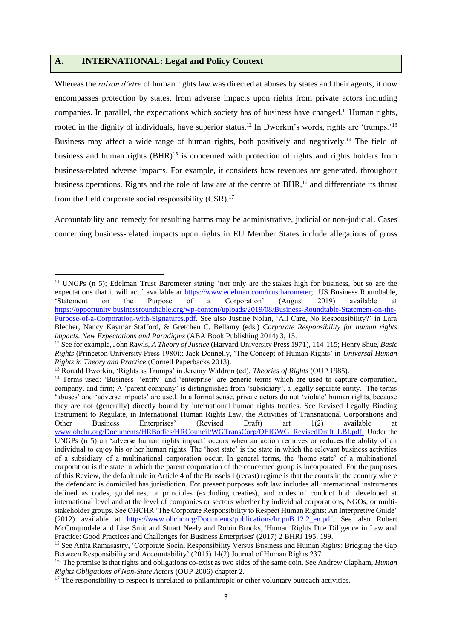## **A. INTERNATIONAL: Legal and Policy Context**

<span id="page-6-1"></span><span id="page-6-0"></span>Whereas the *raison d'etre* of human rights law was directed at abuses by states and their agents, it now encompasses protection by states, from adverse impacts upon rights from private actors including companies. In parallel, the expectations which society has of business have changed. <sup>11</sup> Human rights, rooted in the dignity of individuals, have superior status,<sup>12</sup> In Dworkin's words, rights are 'trumps.'<sup>13</sup> Business may affect a wide range of human rights, both positively and negatively.<sup>14</sup> The field of business and human rights (BHR)<sup>15</sup> is concerned with protection of rights and rights holders from business-related adverse impacts. For example, it considers how revenues are generated, throughout business operations. Rights and the role of law are at the centre of BHR,<sup>16</sup> and differentiate its thrust from the field corporate social responsibility (CSR).<sup>17</sup>

<span id="page-6-3"></span><span id="page-6-2"></span>Accountability and remedy for resulting harms may be administrative, judicial or non-judicial. Cases concerning business-related impacts upon rights in EU Member States include allegations of gross

<sup>&</sup>lt;sup>11</sup> UNGPs (n [5\)](#page-2-1); Edelman Trust Barometer stating 'not only are the stakes high for business, but so are the expectations that it will act.' available at [https://www.edelman.com/trustbarometer;](https://www.edelman.com/trustbarometer) US Business Roundtable, 'Statement on the Purpose of a Corporation' (August 2019) available at [https://opportunity.businessroundtable.org/wp-content/uploads/2019/08/Business-Roundtable-Statement-on-the-](https://opportunity.businessroundtable.org/wp-content/uploads/2019/08/Business-Roundtable-Statement-on-the-Purpose-of-a-Corporation-with-Signatures.pdf)[Purpose-of-a-Corporation-with-Signatures.pdf.](https://opportunity.businessroundtable.org/wp-content/uploads/2019/08/Business-Roundtable-Statement-on-the-Purpose-of-a-Corporation-with-Signatures.pdf) See also Justine Nolan, 'All Care, No Responsibility?' in Lara Blecher, Nancy Kaymar Stafford, & Gretchen C. Bellamy (eds.) *Corporate Responsibility for human rights impacts. New Expectations and Paradigms* (ABA Book Publishing 2014) 3, 15.

<sup>12</sup> See for example, John Rawls, *A Theory of Justice* (Harvard University Press 1971), 114-115; Henry Shue, *Basic Rights* (Princeton University Press 1980);; Jack Donnelly, 'The Concept of Human Rights' in *Universal Human Rights in Theory and Practice* (Cornell Paperbacks 2013).

<sup>13</sup> Ronald Dworkin, 'Rights as Trumps' in Jeremy Waldron (ed), *Theories of Rights* (OUP 1985).

<sup>&</sup>lt;sup>14</sup> Terms used: 'Business' 'entity' and 'enterprise' are generic terms which are used to capture corporation. company, and firm; A 'parent company' is distinguished from 'subsidiary', a legally separate entity. The terms 'abuses' and 'adverse impacts' are used. In a formal sense, private actors do not 'violate' human rights, because they are not (generally) directly bound by international human rights treaties. See Revised Legally Binding Instrument to Regulate, in International Human Rights Law, the Activities of Transnational Corporations and Other Business Enterprises' (Revised Draft) art 1(2) available at [www.ohchr.org/Documents/HRBodies/HRCouncil/WGTransCorp/OEIGWG\\_RevisedDraft\\_LBI.pdf.](http://www.ohchr.org/Documents/HRBodies/HRCouncil/WGTransCorp/OEIGWG_RevisedDraft_LBI.pdf) Under the UNGPs (n [5\)](#page-2-1) an 'adverse human rights impact' occurs when an action removes or reduces the ability of an individual to enjoy his or her human rights. The 'host state' is the state in which the relevant business activities of a subsidiary of a multinational corporation occur. In general terms, the 'home state' of a multinational corporation is the state in which the parent corporation of the concerned group is incorporated. For the purposes of this Review, the default rule in Article 4 of the Brussels I (recast) regime is that the courts in the country where the defendant is domiciled has jurisdiction. For present purposes soft law includes all international instruments defined as codes, guidelines, or principles (excluding treaties), and codes of conduct both developed at international level and at the level of companies or sectors whether by individual corporations, NGOs, or multistakeholder groups. See OHCHR 'The Corporate Responsibility to Respect Human Rights: An Interpretive Guide' (2012) available at [https://www.ohchr.org/Documents/publications/hr.puB.12.2\\_en.pdf.](https://www.ohchr.org/Documents/publications/hr.puB.12.2_en.pdf) See also Robert McCorquodale and Lise Smit and Stuart Neely and Robin Brooks, 'Human Rights Due Diligence in Law and Practice: Good Practices and Challenges for Business Enterprises' (2017) 2 BHRJ 195, 199.

<sup>15</sup> See Anita Ramasastry, 'Corporate Social Responsibility Versus Business and Human Rights: Bridging the Gap Between Responsibility and Accountability' (2015) 14(2) Journal of Human Rights 237.

<sup>16</sup> The premise is that rights and obligations co-exist as two sides of the same coin. See Andrew Clapham, *Human Rights Obligations of Non-State Actors* (OUP 2006) chapter 2.

<sup>&</sup>lt;sup>17</sup> The responsibility to respect is unrelated to philanthropic or other voluntary outreach activities.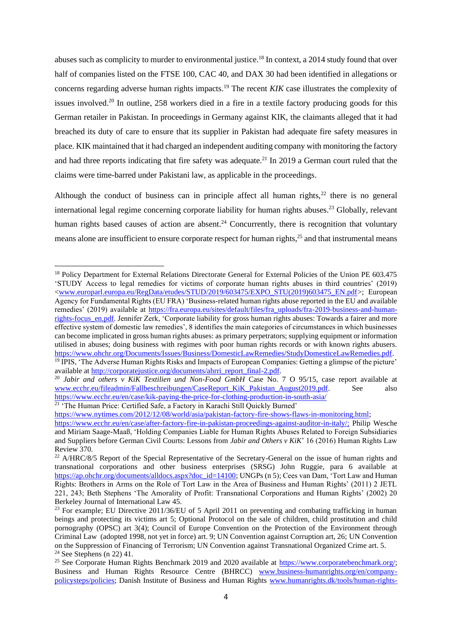<span id="page-7-2"></span><span id="page-7-1"></span>abuses such as complicity to murder to environmental justice.<sup>18</sup> In context, a 2014 study found that over half of companies listed on the FTSE 100, CAC 40, and DAX 30 had been identified in allegations or concerns regarding adverse human rights impacts.<sup>19</sup> The recent *KIK* case illustrates the complexity of issues involved.<sup>20</sup> In outline, 258 workers died in a fire in a textile factory producing goods for this German retailer in Pakistan. In proceedings in Germany against KIK, the claimants alleged that it had breached its duty of care to ensure that its supplier in Pakistan had adequate fire safety measures in place. KIK maintained that it had charged an independent auditing company with monitoring the factory and had three reports indicating that fire safety was adequate.<sup>21</sup> In 2019 a German court ruled that the claims were time-barred under Pakistani law, as applicable in the proceedings.

<span id="page-7-3"></span><span id="page-7-0"></span>Although the conduct of business can in principle affect all human rights, $22$  there is no general international legal regime concerning corporate liability for human rights abuses.<sup>23</sup> Globally, relevant human rights based causes of action are absent.<sup>24</sup> Concurrently, there is recognition that voluntary means alone are insufficient to ensure corporate respect for human rights,<sup>25</sup> and that instrumental means

<sup>21</sup> 'The Human Price: Certified Safe, a Factory in Karachi Still Quickly Burned'

<span id="page-7-4"></span><sup>&</sup>lt;sup>18</sup> Policy Department for External Relations Directorate General for External Policies of the Union PE 603.475 'STUDY Access to legal remedies for victims of corporate human rights abuses in third countries' (2019) [<www.europarl.europa.eu/RegData/etudes/STUD/2019/603475/EXPO\\_STU\(2019\)603475\\_EN.pdf>](http://www.europarl.europa.eu/RegData/etudes/STUD/2019/603475/EXPO_STU(2019)603475_EN.pdf); European Agency for Fundamental Rights (EU FRA) 'Business-related human rights abuse reported in the EU and available remedies' (2019) available at [https://fra.europa.eu/sites/default/files/fra\\_uploads/fra-2019-business-and-human](https://fra.europa.eu/sites/default/files/fra_uploads/fra-2019-business-and-human-rights-focus_en.pdf)[rights-focus\\_en.pdf.](https://fra.europa.eu/sites/default/files/fra_uploads/fra-2019-business-and-human-rights-focus_en.pdf) Jennifer Zerk, 'Corporate liability for gross human rights abuses: Towards a fairer and more effective system of domestic law remedies', 8 identifies the main categories of circumstances in which businesses can become implicated in gross human rights abuses: as primary perpetrators; supplying equipment or information utilised in abuses; doing business with regimes with poor human rights records or with known rights abusers. [https://www.ohchr.org/Documents/Issues/Business/DomesticLawRemedies/StudyDomesticeLawRemedies.pdf.](https://www.ohchr.org/Documents/Issues/Business/DomesticLawRemedies/StudyDomesticeLawRemedies.pdf) <sup>19</sup> IPIS, 'The Adverse Human Rights Risks and Impacts of European Companies: Getting a glimpse of the picture'

available at [http://corporatejustice.org/documents/ahrri\\_report\\_final-2.pdf.](http://corporatejustice.org/documents/ahrri_report_final-2.pdf)

<sup>&</sup>lt;sup>20</sup> *Jabir and others v KiK Textilien und Non-Food GmbH* Case No. 7 O 95/15, case report available at [www.ecchr.eu/fileadmin/Fallbeschreibungen/CaseReport\\_KiK\\_Pakistan\\_August2019.pdf.](http://www.ecchr.eu/fileadmin/Fallbeschreibungen/CaseReport_KiK_Pakistan_August2019.pdf) See also <https://www.ecchr.eu/en/case/kik-paying-the-price-for-clothing-production-in-south-asia/>

[https://www.nytimes.com/2012/12/08/world/asia/pakistan-factory-fire-shows-flaws-in-monitoring.html;](https://www.nytimes.com/2012/12/08/world/asia/pakistan-factory-fire-shows-flaws-in-monitoring.html)

[https://www.ecchr.eu/en/case/after-factory-fire-in-pakistan-proceedings-against-auditor-in-italy/;](https://www.ecchr.eu/en/case/after-factory-fire-in-pakistan-proceedings-against-auditor-in-italy/) Philip Wesche and Miriam Saage-Maaß, 'Holding Companies Liable for Human Rights Abuses Related to Foreign Subsidiaries and Suppliers before German Civil Courts: Lessons from *Jabir and Others v KiK*' 16 (2016) Human Rights Law Review 370.

<sup>&</sup>lt;sup>22</sup> A/HRC/8/5 Report of the Special Representative of the Secretary-General on the issue of human rights and transnational corporations and other business enterprises (SRSG) John Ruggie, para 6 available at [https://ap.ohchr.org/documents/alldocs.aspx?doc\\_id=14100;](https://ap.ohchr.org/documents/alldocs.aspx?doc_id=14100) UNGPs ([n 5\)](#page-2-1); Cees van Dam, 'Tort Law and Human Rights: Brothers in Arms on the Role of Tort Law in the Area of Business and Human Rights' (2011) 2 JETL 221, 243; Beth Stephens 'The Amorality of Profit: Transnational Corporations and Human Rights' (2002) 20 Berkeley Journal of International Law 45.

<sup>&</sup>lt;sup>23</sup> For example; EU Directive 2011/36/EU of 5 April 2011 on preventing and combating trafficking in human beings and protecting its victims art 5; Optional Protocol on the sale of children, child prostitution and child pornography (OPSC) art 3(4); Council of Europe Convention on the Protection of the Environment through Criminal Law (adopted 1998, not yet in force) art. 9; UN Convention against Corruption art, 26; UN Convention on the Suppression of Financing of Terrorism; UN Convention against Transnational Organized Crime art. 5. <sup>24</sup> See Stephens (n [22\)](#page-7-0) 41.

<sup>25</sup> See Corporate Human Rights Benchmark 2019 and 2020 available at [https://www.corporatebenchmark.org/;](https://www.corporatebenchmark.org/) Business and Human Rights Resource Centre (BHRCC) [www.business-humanrights.org/en/company](http://www.business-humanrights.org/en/company-policysteps/policies)[policysteps/policies;](http://www.business-humanrights.org/en/company-policysteps/policies) Danish Institute of Business and Human Rights [www.humanrights.dk/tools/human-rights-](http://www.humanrights.dk/tools/human-rights-indicators-business)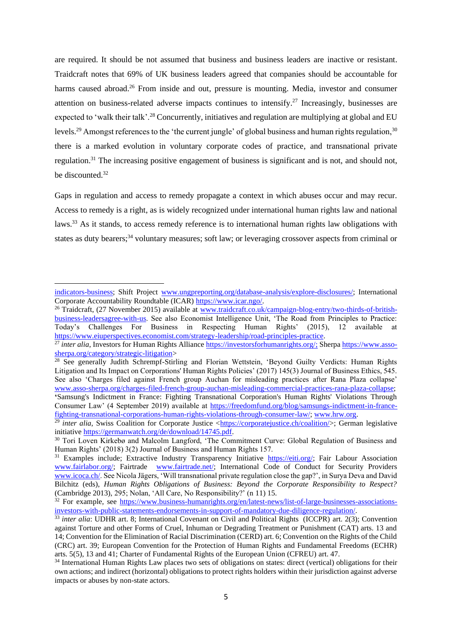<span id="page-8-2"></span>are required. It should be not assumed that business and business leaders are inactive or resistant. Traidcraft notes that 69% of UK business leaders agreed that companies should be accountable for harms caused abroad.<sup>26</sup> From inside and out, pressure is mounting. Media, investor and consumer attention on business-related adverse impacts continues to intensify.<sup>27</sup> Increasingly, businesses are expected to 'walk their talk'.<sup>28</sup> Concurrently, initiatives and regulation are multiplying at global and EU levels.<sup>29</sup> Amongst references to the 'the current jungle' of global business and human rights regulation.<sup>30</sup> there is a marked evolution in voluntary corporate codes of practice, and transnational private regulation.<sup>31</sup> The increasing positive engagement of business is significant and is not, and should not, be discounted.<sup>32</sup>

<span id="page-8-1"></span><span id="page-8-0"></span>Gaps in regulation and access to remedy propagate a context in which abuses occur and may recur. Access to remedy is a right, as is widely recognized under international human rights law and national laws.<sup>33</sup> As it stands, to access remedy reference is to international human rights law obligations with states as duty bearers;<sup>34</sup> voluntary measures; soft law; or leveraging crossover aspects from criminal or

[indicators-business;](http://www.humanrights.dk/tools/human-rights-indicators-business) Shift Project [www.ungpreporting.org/database-analysis/explore-disclosures/;](http://www.ungpreporting.org/database-analysis/explore-disclosures/) International Corporate Accountability Roundtable (ICAR) [https://www.icar.ngo/.](https://www.icar.ngo/) 

<sup>&</sup>lt;sup>26</sup> Traidcraft, (27 November 2015) available at [www.traidcraft.co.uk/campaign-blog-entry/two-thirds-of-british](http://www.traidcraft.co.uk/campaign-blog-entry/two-thirds-of-british-business-leadersagree-with-us)[business-leadersagree-with-us.](http://www.traidcraft.co.uk/campaign-blog-entry/two-thirds-of-british-business-leadersagree-with-us) See also Economist Intelligence Unit, 'The Road from Principles to Practice: Today's Challenges For Business in Respecting Human Rights' (2015), 12 available at [https://www.eiuperspectives.economist.com/strategy-leadership/road-principles-practice.](https://www.eiuperspectives.economist.com/strategy-leadership/road-principles-practice)

<sup>&</sup>lt;sup>27</sup> *inter alia*, Investors for Human Rights Alliance [https://investorsforhumanrights.org/;](https://investorsforhumanrights.org/%3e) Sherpa [https://www.asso](https://www.asso-sherpa.org/category/strategic-litigation)[sherpa.org/category/strategic-litigation>](https://www.asso-sherpa.org/category/strategic-litigation)

<sup>&</sup>lt;sup>28</sup> See generally Judith Schrempf-Stirling and Florian Wettstein, 'Beyond Guilty Verdicts: Human Rights Litigation and Its Impact on Corporations' Human Rights Policies' (2017) 145(3) Journal of Business Ethics, 545. See also 'Charges filed against French group Auchan for misleading practices after Rana Plaza collapse' [www.asso-sherpa.org/charges-filed-french-group-auchan-misleading-commercial-practices-rana-plaza-collapse;](http://www.asso-sherpa.org/charges-filed-french-group-auchan-misleading-commercial-practices-rana-plaza-collapse) **'**Samsung's Indictment in France: Fighting Transnational Corporation's Human Rights' Violations Through Consumer Law' (4 September 2019) available at [https://freedomfund.org/blog/samsungs-indictment-in-france](https://freedomfund.org/blog/samsungs-indictment-in-france-fighting-transnational-corporations-human-rights-violations-through-consumer-law/)[fighting-transnational-corporations-human-rights-violations-through-consumer-law/;](https://freedomfund.org/blog/samsungs-indictment-in-france-fighting-transnational-corporations-human-rights-violations-through-consumer-law/) [www.hrw.org.](http://www.hrw.org/)

<sup>&</sup>lt;sup>29</sup> *inter alia*, Swiss Coalition for Corporate Justice [<https://corporatejustice.ch/coalition/>](https://corporatejustice.ch/coalition/); German legislative initiative [https://germanwatch.org/de/download/14745.pdf.](https://germanwatch.org/de/download/14745.pdf)

<sup>&</sup>lt;sup>30</sup> Tori Loven Kirkebø and Malcolm Langford, 'The Commitment Curve: Global Regulation of Business and Human Rights' (2018) 3(2) Journal of Business and Human Rights 157.

<sup>&</sup>lt;sup>31</sup> Examples include; Extractive Industry Transparency Initiative [https://eiti.org/;](https://eiti.org/) Fair Labour Association [www.fairlabor.org/;](http://www.fairlabor.org/) Fairtrade [www.fairtrade.net/;](http://www.fairtrade.net/) International Code of Conduct for Security Providers [www.icoca.ch/.](http://www.icoca.ch/) See Nicola Jägers, 'Will transnational private regulation close the gap?', in Surya Deva and David Bilchitz (eds), *Human Rights Obligations of Business: Beyond the Corporate Responsibility to Respect?*  (Cambridge 2013), 295; Nolan, 'All Care, No Responsibility?' (n [11\)](#page-6-0) 15.

<sup>32</sup> For example, see [https://www.business-humanrights.org/en/latest-news/list-of-large-businesses-associations](https://www.business-humanrights.org/en/latest-news/list-of-large-businesses-associations-investors-with-public-statements-endorsements-in-support-of-mandatory-due-diligence-regulation/)[investors-with-public-statements-endorsements-in-support-of-mandatory-due-diligence-regulation/.](https://www.business-humanrights.org/en/latest-news/list-of-large-businesses-associations-investors-with-public-statements-endorsements-in-support-of-mandatory-due-diligence-regulation/)

<sup>&</sup>lt;sup>33</sup> *inter alia*: UDHR art. 8; International Covenant on Civil and Political Rights (ICCPR) art. 2(3); Convention against Torture and other Forms of Cruel, Inhuman or Degrading Treatment or Punishment (CAT) arts. 13 and 14; Convention for the Elimination of Racial Discrimination (CERD) art. 6; Convention on the Rights of the Child (CRC) art. 39; European Convention for the Protection of Human Rights and Fundamental Freedoms (ECHR) arts. 5(5), 13 and 41; Charter of Fundamental Rights of the European Union (CFREU) art. 47.

<sup>34</sup> International Human Rights Law places two sets of obligations on states: direct (vertical) obligations for their own actions; and indirect (horizontal) obligations to protect rights holders within their jurisdiction against adverse impacts or abuses by non-state actors.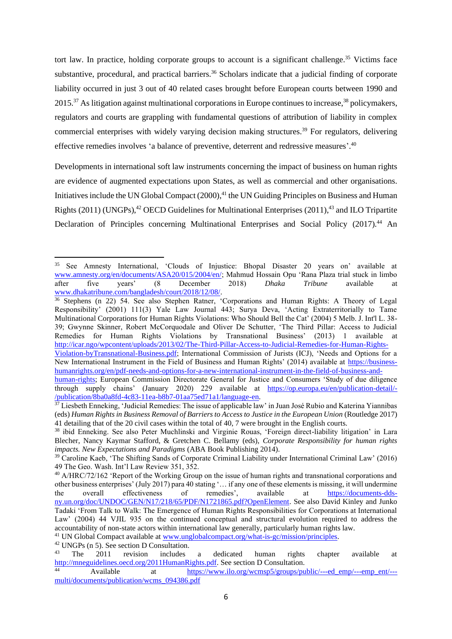<span id="page-9-5"></span><span id="page-9-4"></span><span id="page-9-2"></span><span id="page-9-0"></span>tort law. In practice, holding corporate groups to account is a significant challenge.<sup>35</sup> Victims face substantive, procedural, and practical barriers.<sup>36</sup> Scholars indicate that a judicial finding of corporate liability occurred in just 3 out of 40 related cases brought before European courts between 1990 and 2015.<sup>37</sup> As litigation against multinational corporations in Europe continues to increase,<sup>38</sup> policymakers, regulators and courts are grappling with fundamental questions of attribution of liability in complex commercial enterprises with widely varying decision making structures.<sup>39</sup> For regulators, delivering effective remedies involves 'a balance of preventive, deterrent and redressive measures'.<sup>40</sup>

<span id="page-9-6"></span><span id="page-9-3"></span><span id="page-9-1"></span>Developments in international soft law instruments concerning the impact of business on human rights are evidence of augmented expectations upon States, as well as commercial and other organisations. Initiatives include the UN Global Compact (2000),<sup>41</sup> the UN Guiding Principles on Business and Human Rights (2011) (UNGPs),<sup>42</sup> OECD Guidelines for Multinational Enterprises (2011),<sup>43</sup> and ILO Tripartite Declaration of Principles concerning Multinational Enterprises and Social Policy (2017).<sup>44</sup> An

<sup>35</sup> See Amnesty International, 'Clouds of Injustice: Bhopal Disaster 20 years on' available at [www.amnesty.org/en/documents/ASA20/015/2004/en/;](http://www.amnesty.org/en/documents/ASA20/015/2004/en/) Mahmud Hossain Opu 'Rana Plaza trial stuck in limbo after five years' (8 December 2018) *Dhaka Tribune* available at [www.dhakatribune.com/bangladesh/court/2018/12/08/.](http://www.dhakatribune.com/bangladesh/court/2018/12/08/rana-plaza-trial-stuck-in-limbo-after-five-years)

<sup>36</sup> Stephens (n [22\)](#page-7-0) 54. See also Stephen Ratner, 'Corporations and Human Rights: A Theory of Legal Responsibility' (2001) 111(3) Yale Law Journal 443; Surya Deva, 'Acting Extraterritorially to Tame Multinational Corporations for Human Rights Violations: Who Should Bell the Cat' (2004) 5 Melb. J. Int'l L. 38- 39; Gwynne Skinner, Robert McCorquodale and Oliver De Schutter, 'The Third Pillar: Access to Judicial Remedies for Human Rights Violations by Transnational Business' (2013) 1 available at [http://icar.ngo/wpcontent/uploads/2013/02/The-Third-Pillar-Access-to-Judicial-Remedies-for-Human-Rights-](http://icar.ngo/wpcontent/uploads/2013/02/The-Third-Pillar-Access-to-Judicial-Remedies-for-Human-Rights-Violation-byTransnational-Business.pdf)

[Violation-byTransnational-Business.pdf;](http://icar.ngo/wpcontent/uploads/2013/02/The-Third-Pillar-Access-to-Judicial-Remedies-for-Human-Rights-Violation-byTransnational-Business.pdf) International Commission of Jurists (ICJ), 'Needs and Options for a New International Instrument in the Field of Business and Human Rights' (2014) available at [https://business](https://business-humanrights.org/en/pdf-needs-and-options-for-a-new-international-instrument-in-the-field-of-business-and-human-rights)[humanrights.org/en/pdf-needs-and-options-for-a-new-international-instrument-in-the-field-of-business-and-](https://business-humanrights.org/en/pdf-needs-and-options-for-a-new-international-instrument-in-the-field-of-business-and-human-rights)

[human-rights;](https://business-humanrights.org/en/pdf-needs-and-options-for-a-new-international-instrument-in-the-field-of-business-and-human-rights) European Commission Directorate General for Justice and Consumers 'Study of due diligence through supply chains' (January 2020) 229 available at [https://op.europa.eu/en/publication-detail/-](https://op.europa.eu/en/publication-detail/-/publication/8ba0a8fd-4c83-11ea-b8b7-01aa75ed71a1/language-en) [/publication/8ba0a8fd-4c83-11ea-b8b7-01aa75ed71a1/language-en.](https://op.europa.eu/en/publication-detail/-/publication/8ba0a8fd-4c83-11ea-b8b7-01aa75ed71a1/language-en)

<sup>&</sup>lt;sup>37</sup> Liesbeth Enneking, 'Judicial Remedies: The issue of applicable law' in Juan José Rubio and Katerina Yiannibas (eds) *Human Rights in Business Removal of Barriers to Access to Justice in the European Union* (Routledge 2017) 41 detailing that of the 20 civil cases within the total of 40, 7 were brought in the English courts.

<sup>38</sup> ibid Enneking. See also Peter Muchlinski and Virginie Rouas, 'Foreign direct-liability litigation' in Lara Blecher, Nancy Kaymar Stafford, & Gretchen C. Bellamy (eds), *Corporate Responsibility for human rights impacts. New Expectations and Paradigms* (ABA Book Publishing 2014).

<sup>39</sup> Caroline Kaeb, 'The Shifting Sands of Corporate Criminal Liability under International Criminal Law' (2016) 49 The Geo. Wash. Int'l Law Review 351, 352.

<sup>40</sup> A/HRC/72/162 'Report of the Working Group on the issue of human rights and transnational corporations and other business enterprises' (July 2017) para 40 stating '… if any one of these elements is missing, it will undermine the overall effectiveness of remedies', available at [https://documents-dds](https://documents-dds-ny.un.org/doc/UNDOC/GEN/N17/218/65/PDF/N1721865.pdf?OpenElement)[ny.un.org/doc/UNDOC/GEN/N17/218/65/PDF/N1721865.pdf?OpenElement.](https://documents-dds-ny.un.org/doc/UNDOC/GEN/N17/218/65/PDF/N1721865.pdf?OpenElement) See also David Kinley and Junko Tadaki 'From Talk to Walk: The Emergence of Human Rights Responsibilities for Corporations at International Law' (2004) 44 VJIL 935 on the continued conceptual and structural evolution required to address the accountability of non-state actors within international law generally, particularly human rights law.

<sup>41</sup> UN Global Compact available at [www.unglobalcompact.org/what-is-gc/mission/principles.](http://www.unglobalcompact.org/what-is-gc/mission/principles)

<sup>&</sup>lt;sup>42</sup> UNGPs (n [5\)](#page-2-1). See section D Consultation.<br><sup>43</sup> The 2011 revision includes

<sup>&</sup>lt;sup>43</sup> The 2011 revision includes a dedicated human rights chapter available at [http://mneguidelines.oecd.org/2011HumanRights.pdf.](http://mneguidelines.oecd.org/2011HumanRights.pdf) See section D Consultation.

Available at [https://www.ilo.org/wcmsp5/groups/public/---ed\\_emp/---emp\\_ent/--](https://www.ilo.org/wcmsp5/groups/public/---ed_emp/---emp_ent/---multi/documents/publication/wcms_094386.pdf) [multi/documents/publication/wcms\\_094386.pdf](https://www.ilo.org/wcmsp5/groups/public/---ed_emp/---emp_ent/---multi/documents/publication/wcms_094386.pdf)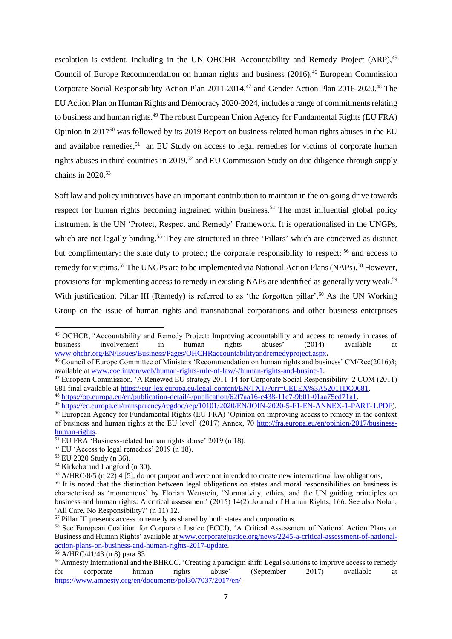<span id="page-10-2"></span><span id="page-10-0"></span>escalation is evident, including in the UN OHCHR Accountability and Remedy Project  $(ARP)$ ,  $45$ Council of Europe Recommendation on human rights and business (2016), <sup>46</sup> European Commission Corporate Social Responsibility Action Plan 2011-2014, <sup>47</sup> and Gender Action Plan 2016-2020. <sup>48</sup> The EU Action Plan on Human Rights and Democracy 2020-2024, includes a range of commitments relating to business and human rights.<sup>49</sup> The robust European Union Agency for Fundamental Rights (EU FRA) Opinion in 2017<sup>50</sup> was followed by its 2019 Report on business-related human rights abuses in the EU and available remedies,<sup>51</sup> an EU Study on access to legal remedies for victims of corporate human rights abuses in third countries in 2019,<sup>52</sup> and EU Commission Study on due diligence through supply chains in 2020. 53

<span id="page-10-3"></span><span id="page-10-1"></span>Soft law and policy initiatives have an important contribution to maintain in the on-going drive towards respect for human rights becoming ingrained within business.<sup>54</sup> The most influential global policy instrument is the UN 'Protect, Respect and Remedy' Framework. It is operationalised in the UNGPs, which are not legally binding.<sup>55</sup> They are structured in three 'Pillars' which are conceived as distinct but complimentary: the state duty to protect; the corporate responsibility to respect; <sup>56</sup> and access to remedy for victims.<sup>57</sup> The UNGPs are to be implemented via National Action Plans (NAPs).<sup>58</sup> However, provisions for implementing access to remedy in existing NAPs are identified as generally very weak.<sup>59</sup> With justification, Pillar III (Remedy) is referred to as 'the forgotten pillar'.<sup>60</sup> As the UN Working Group on the issue of human rights and transnational corporations and other business enterprises

- <sup>53</sup> EU 2020 Study (n [36\)](#page-9-0).
- <sup>54</sup> Kirkebø and Langford ([n 30\)](#page-8-0).

<sup>45</sup> OCHCR, 'Accountability and Remedy Project: Improving accountability and access to remedy in cases of business involvement in human rights abuses' (2014) available at [www.ohchr.org/EN/Issues/Business/Pages/OHCHRaccountabilityandremedyproject.aspx](http://www.ohchr.org/EN/Issues/Business/Pages/OHCHRaccountabilityandremedyproject.aspx)**.** 

<sup>&</sup>lt;sup>46</sup> Council of Europe Committee of Ministers 'Recommendation on human rights and business' CM/Rec(2016)3; available at [www.coe.int/en/web/human-rights-rule-of-law/-/human-rights-and-busine-1.](http://www.coe.int/en/web/human-rights-rule-of-law/-/human-rights-and-busine-1)

<sup>47</sup> European Commission, 'A Renewed EU strategy 2011-14 for Corporate Social Responsibility' 2 COM (2011) 681 final available a[t https://eur-lex.europa.eu/legal-content/EN/TXT/?uri=CELEX%3A52011DC0681.](https://eur-lex.europa.eu/legal-content/EN/TXT/?uri=CELEX%3A52011DC0681)

<sup>48</sup> [https://op.europa.eu/en/publication-detail/-/publication/62f7aa16-c438-11e7-9b01-01aa75ed71a1.](https://op.europa.eu/en/publication-detail/-/publication/62f7aa16-c438-11e7-9b01-01aa75ed71a1) <sup>49</sup> [https://ec.europa.eu/transparency/regdoc/rep/10101/2020/EN/JOIN-2020-5-F1-EN-ANNEX-1-PART-1.PDF\)](https://ec.europa.eu/transparency/regdoc/rep/10101/2020/EN/JOIN-2020-5-F1-EN-ANNEX-1-PART-1.PDF).

<sup>50</sup> European Agency for Fundamental Rights (EU FRA) 'Opinion on improving access to remedy in the context

of business and human rights at the EU level' (2017) Annex, 70 [http://fra.europa.eu/en/opinion/2017/business](http://fra.europa.eu/en/opinion/2017/business-human-rights)[human-rights.](http://fra.europa.eu/en/opinion/2017/business-human-rights) 

<sup>&</sup>lt;sup>51</sup> EU FRA 'Business-related human rights abuse' 2019 (n [18\)](#page-7-1).

 $52$  EU 'Access to legal remedies' 2019 (n [18\)](#page-7-1).

<sup>55</sup> A/HRC/8/5 (n [22\)](#page-7-0) 4 [5], do not purport and were not intended to create new international law obligations,

<sup>&</sup>lt;sup>56</sup> It is noted that the distinction between legal obligations on states and moral responsibilities on business is characterised as 'momentous' by Florian Wettstein, 'Normativity, ethics, and the UN guiding principles on business and human rights: A critical assessment' (2015) 14(2) Journal of Human Rights, 166. See also Nolan, 'All Care, No Responsibility?' (n [11\)](#page-6-0) 12.

<sup>&</sup>lt;sup>57</sup> Pillar III presents access to remedy as shared by both states and corporations.

<sup>58</sup> See European Coalition for Corporate Justice (ECCJ), 'A Critical Assessment of National Action Plans on Business and Human Rights' available a[t www.corporatejustice.org/news/2245-a-critical-assessment-of-national](http://www.corporatejustice.org/news/2245-a-critical-assessment-of-national-action-plans-on-business-and-human-rights-2017-update)[action-plans-on-business-and-human-rights-2017-update.](http://www.corporatejustice.org/news/2245-a-critical-assessment-of-national-action-plans-on-business-and-human-rights-2017-update)

<sup>59</sup> A/HRC/41/43 (n [8\)](#page-4-0) para 83.

<sup>&</sup>lt;sup>60</sup> Amnesty International and the BHRCC, 'Creating a paradigm shift: Legal solutions to improve access to remedy for corporate human rights abuse' (September 2017) available at [https://www.amnesty.org/en/documents/pol30/7037/2017/en/.](https://www.amnesty.org/en/documents/pol30/7037/2017/en/)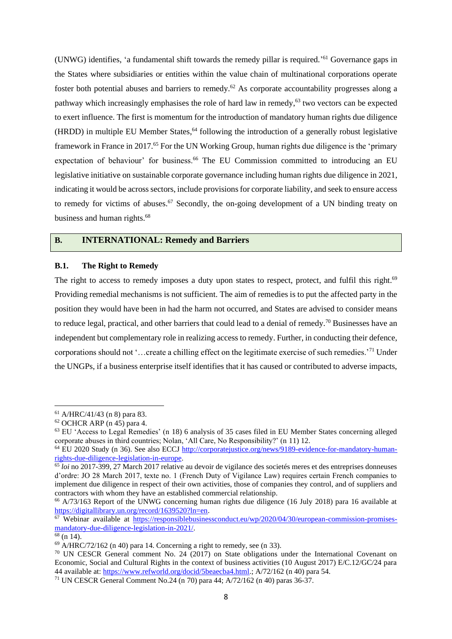<span id="page-11-2"></span><span id="page-11-1"></span>(UNWG) identifies, 'a fundamental shift towards the remedy pillar is required.' <sup>61</sup> Governance gaps in the States where subsidiaries or entities within the value chain of multinational corporations operate foster both potential abuses and barriers to remedy.<sup>62</sup> As corporate accountability progresses along a pathway which increasingly emphasises the role of hard law in remedy,<sup>63</sup> two vectors can be expected to exert influence. The first is momentum for the introduction of mandatory human rights due diligence (HRDD) in multiple EU Member States, <sup>64</sup> following the introduction of a generally robust legislative framework in France in 2017.<sup>65</sup> For the UN Working Group, human rights due diligence is the 'primary expectation of behaviour' for business.<sup>66</sup> The EU Commission committed to introducing an EU legislative initiative on sustainable corporate governance including human rights due diligence in 2021, indicating it would be across sectors, include provisions for corporate liability, and seek to ensure access to remedy for victims of abuses.<sup>67</sup> Secondly, the on-going development of a UN binding treaty on business and human rights.<sup>68</sup>

## <span id="page-11-4"></span><span id="page-11-3"></span>**B. INTERNATIONAL: Remedy and Barriers**

#### **B.1. The Right to Remedy**

<span id="page-11-0"></span>The right to access to remedy imposes a duty upon states to respect, protect, and fulfil this right.<sup>69</sup> Providing remedial mechanisms is not sufficient. The aim of remedies is to put the affected party in the position they would have been in had the harm not occurred, and States are advised to consider means to reduce legal, practical, and other barriers that could lead to a denial of remedy.<sup>70</sup> Businesses have an independent but complementary role in realizing access to remedy. Further, in conducting their defence, corporations should not '…create a chilling effect on the legitimate exercise of such remedies.'<sup>71</sup> Under the UNGPs, if a business enterprise itself identifies that it has caused or contributed to adverse impacts,

<sup>61</sup> A/HRC/41/43 (n [8\)](#page-4-0) para 83.

 $62$  OCHCR ARP ([n 45\)](#page-10-0) para 4.

<sup>63</sup> EU 'Access to Legal Remedies' (n [18\)](#page-7-1) 6 analysis of 35 cases filed in EU Member States concerning alleged corporate abuses in third countries; Nolan, 'All Care, No Responsibility?' (n [11\)](#page-6-0) 12.

<sup>&</sup>lt;sup>64</sup> EU 2020 Study (n [36\)](#page-9-0). See also ECCJ [http://corporatejustice.org/news/9189-evidence-for-mandatory-human](http://corporatejustice.org/news/9189-evidence-for-mandatory-human-rights-due-diligence-legislation-in-europe)[rights-due-diligence-legislation-in-europe.](http://corporatejustice.org/news/9189-evidence-for-mandatory-human-rights-due-diligence-legislation-in-europe)

<sup>65</sup> *loi* no 2017-399, 27 March 2017 relative au devoir de vigilance des societés meres et des entreprises donneuses d'ordre: JO 28 March 2017, texte no. 1 (French Duty of Vigilance Law) requires certain French companies to implement due diligence in respect of their own activities, those of companies they control, and of suppliers and contractors with whom they have an established commercial relationship.

<sup>66</sup> A/73/163 Report of the UNWG concerning human rights due diligence (16 July 2018) para 16 available at [https://digitallibrary.un.org/record/1639520?ln=en.](https://digitallibrary.un.org/record/1639520?ln=en)

<sup>67</sup> Webinar available at [https://responsiblebusinessconduct.eu/wp/2020/04/30/european-commission-promises](https://responsiblebusinessconduct.eu/wp/2020/04/30/european-commission-promises-mandatory-due-diligence-legislation-in-2021/)[mandatory-due-diligence-legislation-in-2021/.](https://responsiblebusinessconduct.eu/wp/2020/04/30/european-commission-promises-mandatory-due-diligence-legislation-in-2021/)

 $\frac{68}{9}$  (n [14\)](#page-6-1).

 $69$  A/HRC/72/162 (n [40\)](#page-9-1) para 14. Concerning a right to remedy, see (n [33\)](#page-8-1).

<sup>&</sup>lt;sup>70</sup> UN CESCR General comment No. 24 (2017) on State obligations under the International Covenant on Economic, Social and Cultural Rights in the context of business activities (10 August 2017) E/C.12/GC/24 para 44 available at[: https://www.refworld.org/docid/5beaecba4.html.](https://www.refworld.org/docid/5beaecba4.html); A/72/162 ([n 40\)](#page-9-1) para 54.

<sup>71</sup> UN CESCR General Comment No.24 (n [70\)](#page-11-0) para 44; A/72/162 (n [40\)](#page-9-1) paras 36-37.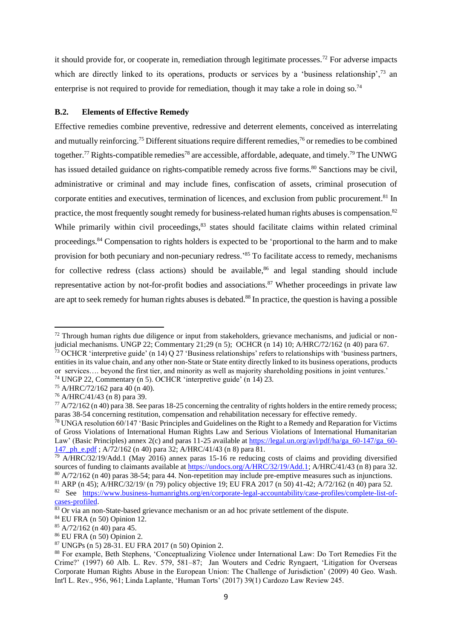it should provide for, or cooperate in, remediation through legitimate processes.<sup>72</sup> For adverse impacts which are directly linked to its operations, products or services by a 'business relationship',<sup>73</sup> an enterprise is not required to provide for remediation, though it may take a role in doing so.<sup>74</sup>

## **B.2. Elements of Effective Remedy**

<span id="page-12-1"></span><span id="page-12-0"></span>Effective remedies combine preventive, redressive and deterrent elements, conceived as interrelating and mutually reinforcing.<sup>75</sup> Different situations require different remedies,<sup>76</sup> or remedies to be combined together.<sup>77</sup> Rights-compatible remedies<sup>78</sup> are accessible, affordable, adequate, and timely.<sup>79</sup> The UNWG has issued detailed guidance on rights-compatible remedy across five forms.<sup>80</sup> Sanctions may be civil, administrative or criminal and may include fines, confiscation of assets, criminal prosecution of corporate entities and executives, termination of licences, and exclusion from public procurement.<sup>81</sup> In practice, the most frequently sought remedy for business-related human rights abuses is compensation.<sup>82</sup> While primarily within civil proceedings,  $83$  states should facilitate claims within related criminal proceedings.<sup>84</sup> Compensation to rights holders is expected to be 'proportional to the harm and to make provision for both pecuniary and non-pecuniary redress.<sup>85</sup> To facilitate access to remedy, mechanisms for collective redress (class actions) should be available.<sup>86</sup> and legal standing should include representative action by not-for-profit bodies and associations.<sup>87</sup> Whether proceedings in private law

<span id="page-12-2"></span>are apt to seek remedy for human rights abuses is debated.<sup>88</sup> In practice, the question is having a possible

entities in its value chain, and any other non-State or State entity directly linked to its business operations, products or services…. beyond the first tier, and minority as well as majority shareholding positions in joint ventures.'

<sup>&</sup>lt;sup>72</sup> Through human rights due diligence or input from stakeholders, grievance mechanisms, and judicial or nonjudicial mechanisms. UNGP 22; Commentary 21;29 ([n 5\)](#page-2-1); OCHCR ([n 14\)](#page-6-1) 10; A/HRC/72/162 (n [40\)](#page-9-1) para 67.  $73$  OCHCR 'interpretive guide' (n [14\)](#page-6-1) Q 27 'Business relationships' refers to relationships with 'business partners,

<sup>74</sup> UNGP 22, Commentary (n [5\)](#page-2-1). OCHCR 'interpretive guide' (n [14\)](#page-6-1) 23.

 $75$  A/HRC/72/162 para 40 ([n 40\)](#page-9-1).

<sup>76</sup> A/HRC/41/43 (n [8\)](#page-4-0) para 39.

 $^{77}$  A/72/162 ([n 40\)](#page-9-1) para 38. See paras 18-25 concerning the centrality of rights holders in the entire remedy process; paras 38-54 concerning restitution, compensation and rehabilitation necessary for effective remedy.

 $^{78}$  UNGA resolution 60/147 'Basic Principles and Guidelines on the Right to a Remedy and Reparation for Victims of Gross Violations of International Human Rights Law and Serious Violations of International Humanitarian Law' (Basic Principles) annex 2(c) and paras 11-25 available at [https://legal.un.org/avl/pdf/ha/ga\\_60-147/ga\\_60-](https://legal.un.org/avl/pdf/ha/ga_60-147/ga_60-147_ph_e.pdf) [147\\_ph\\_e.pdf](https://legal.un.org/avl/pdf/ha/ga_60-147/ga_60-147_ph_e.pdf) ; A/72/162 (n [40\)](#page-9-1) para 32; A/HRC/41/43 (n [8\)](#page-4-0) para 81.

 $^{79}$  A/HRC/32/19/Add.1 (May 2016) annex paras 15-16 re reducing costs of claims and providing diversified sources of funding to claimants available a[t https://undocs.org/A/HRC/32/19/Add.1;](https://undocs.org/A/HRC/32/19/Add.1) A/HRC/41/43 ([n 8\)](#page-4-0) para 32.  $80 \text{ A}/72/162$  (n [40\)](#page-9-1) paras 38-54; para 44. Non-repetition may include pre-emptive measures such as injunctions.

<sup>81</sup> ARP (n [45\)](#page-10-0); A/HRC/32/19/ ([n 79\)](#page-12-0) policy objective 19; EU FRA 2017 (n [50\)](#page-10-1) 41-42; A/72/162 (n [40\)](#page-9-1) para 52.

<sup>82</sup> See [https://www.business-humanrights.org/en/corporate-legal-accountability/case-profiles/complete-list-of](https://www.business-humanrights.org/en/corporate-legal-accountability/case-profiles/complete-list-of-cases-profiled)[cases-profiled.](https://www.business-humanrights.org/en/corporate-legal-accountability/case-profiles/complete-list-of-cases-profiled)

 $83$  Or via an non-State-based grievance mechanism or an ad hoc private settlement of the dispute.

<sup>84</sup> EU FRA (n [50\)](#page-10-1) Opinion 12.

 $85$  A/72/162 (n [40\)](#page-9-1) para 45.

<sup>86</sup> EU FRA (n [50\)](#page-10-1) Opinion 2.

<sup>87</sup> UNGPs (n [5\)](#page-2-1) 28-31. EU FRA 2017 ([n 50\)](#page-10-1) Opinion 2.

<sup>88</sup> For example, Beth Stephens, 'Conceptualizing Violence under International Law: Do Tort Remedies Fit the Crime?' (1997) 60 Alb. L. Rev. 579, 581–87; Jan Wouters and Cedric Ryngaert, 'Litigation for Overseas Corporate Human Rights Abuse in the European Union: The Challenge of Jurisdiction' (2009) 40 Geo. Wash. Int'l L. Rev., 956, 961; Linda Laplante, 'Human Torts' (2017) 39(1) Cardozo Law Review 245.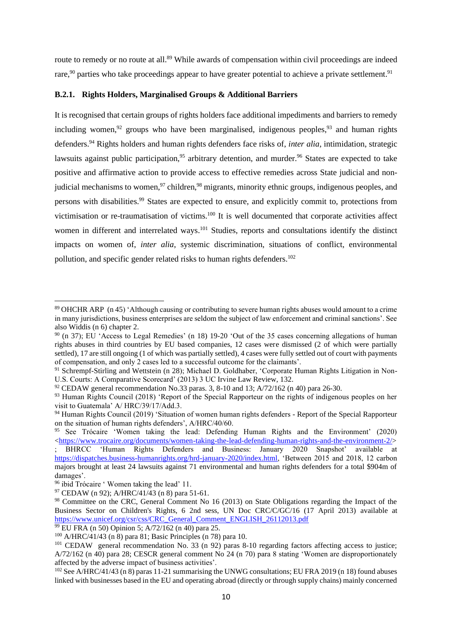route to remedy or no route at all.<sup>89</sup> While awards of compensation within civil proceedings are indeed rare, $90$  parties who take proceedings appear to have greater potential to achieve a private settlement.  $91$ 

## **B.2.1. Rights Holders, Marginalised Groups & Additional Barriers**

<span id="page-13-4"></span><span id="page-13-3"></span><span id="page-13-2"></span><span id="page-13-1"></span><span id="page-13-0"></span>It is recognised that certain groups of rights holders face additional impediments and barriers to remedy including women,  $92$  groups who have been marginalised, indigenous peoples,  $93$  and human rights defenders.<sup>94</sup> Rights holders and human rights defenders face risks of, *inter alia*, intimidation, strategic lawsuits against public participation,<sup>95</sup> arbitrary detention, and murder.<sup>96</sup> States are expected to take positive and affirmative action to provide access to effective remedies across State judicial and nonjudicial mechanisms to women,<sup>97</sup> children,<sup>98</sup> migrants, minority ethnic groups, indigenous peoples, and persons with disabilities.<sup>99</sup> States are expected to ensure, and explicitly commit to, protections from victimisation or re-traumatisation of victims.<sup>100</sup> It is well documented that corporate activities affect women in different and interrelated ways.<sup>101</sup> Studies, reports and consultations identify the distinct impacts on women of, *inter alia*, systemic discrimination, situations of conflict, environmental pollution, and specific gender related risks to human rights defenders.<sup>102</sup>

<sup>89</sup> OHCHR ARP (n [45\)](#page-10-0) 'Although causing or contributing to severe human rights abuses would amount to a crime in many jurisdictions, business enterprises are seldom the subject of law enforcement and criminal sanctions'. See also Widdis (n [6\)](#page-2-2) chapter 2.

<sup>90</sup> (n [37\)](#page-9-2); EU 'Access to Legal Remedies' (n [18\)](#page-7-1) 19-20 'Out of the 35 cases concerning allegations of human rights abuses in third countries by EU based companies, 12 cases were dismissed (2 of which were partially settled), 17 are still ongoing (1 of which was partially settled), 4 cases were fully settled out of court with payments of compensation, and only 2 cases led to a successful outcome for the claimants'.

<sup>&</sup>lt;sup>91</sup> Schrempf-Stirling and Wettstein (n [28\)](#page-8-2); Michael D. Goldhaber, 'Corporate Human Rights Litigation in Non-U.S. Courts: A Comparative Scorecard' (2013) 3 UC Irvine Law Review, 132.

 $92$  CEDAW general recommendation No.33 paras. 3, 8-10 and 13; A/72/162 (n [40\)](#page-9-1) para 26-30.

<sup>&</sup>lt;sup>93</sup> Human Rights Council (2018) 'Report of the Special Rapporteur on the rights of indigenous peoples on her visit to Guatemala' A/ HRC/39/17/Add.3.

<sup>94</sup> Human Rights Council (2019) 'Situation of women human rights defenders - Report of the Special Rapporteur on the situation of human rights defenders', A/HRC/40/60.

<sup>95</sup> See Trócaire 'Women taking the lead: Defending Human Rights and the Environment' (2020) [<https://www.trocaire.org/documents/women-taking-the-lead-defending-human-rights-and-the-environment-2/>](https://www.trocaire.org/documents/women-taking-the-lead-defending-human-rights-and-the-environment-2/)

<sup>;</sup> BHRCC 'Human Rights Defenders and Business: January 2020 Snapshot' available at https://dispatches.business-humanrights.org/hrd-january-2020/jndex.html, 'Between 2015 and 2018, 12 carbon majors brought at least 24 lawsuits against 71 environmental and human rights defenders for a total \$904m of damages'.

<sup>96</sup> ibid Trócaire ' Women taking the lead' 11.

 $97$  CEDAW (n [92\)](#page-13-0); A/HRC/41/43 (n [8\)](#page-4-1) para 51-61.

<sup>&</sup>lt;sup>98</sup> Committee on the CRC, General Comment No 16 (2013) on State Obligations regarding the Impact of the Business Sector on Children's Rights, 6 2nd sess, UN Doc CRC/C/GC/16 (17 April 2013) available at [https://www.unicef.org/csr/css/CRC\\_General\\_Comment\\_ENGLISH\\_26112013.pdf](https://www.unicef.org/csr/css/CRC_General_Comment_ENGLISH_26112013.pdf)

<sup>99</sup> EU FRA (n [50\)](#page-10-1) Opinion 5; A/72/162 (n [40\)](#page-9-1) para 25.

<sup>100</sup> A/HRC/41/43 ([n 8\)](#page-4-1) para 81; Basic Principles (n [78\)](#page-12-1) para 10.

<sup>&</sup>lt;sup>101</sup> CEDAW general recommendation No. 33 (n [92\)](#page-13-0) paras 8-10 regarding factors affecting access to justice; A/72/162 (n [40\)](#page-9-1) para 28; CESCR general comment No 24 (n [70\)](#page-11-0) para 8 stating 'Women are disproportionately affected by the adverse impact of business activities'.

 $102$  See A/HRC/41/43 (n [8\)](#page-4-1) paras 11-21 summarising the UNWG consultations; EU FRA 2019 (n [18\)](#page-7-1) found abuses linked with businesses based in the EU and operating abroad (directly or through supply chains) mainly concerned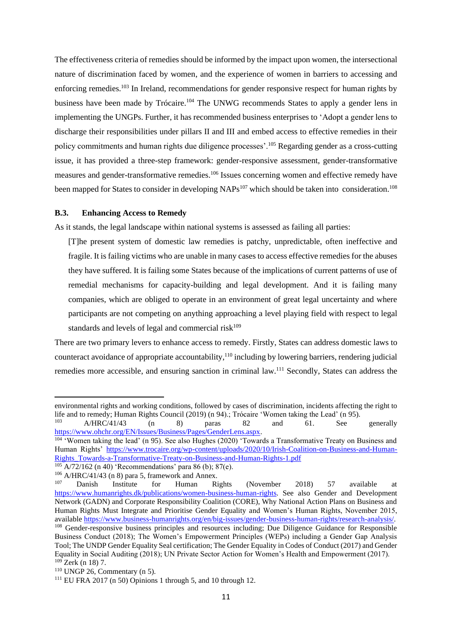The effectiveness criteria of remedies should be informed by the impact upon women, the intersectional nature of discrimination faced by women, and the experience of women in barriers to accessing and enforcing remedies.<sup>103</sup> In Ireland, recommendations for gender responsive respect for human rights by business have been made by Trócaire.<sup>104</sup> The UNWG recommends States to apply a gender lens in implementing the UNGPs. Further, it has recommended business enterprises to 'Adopt a gender lens to discharge their responsibilities under pillars II and III and embed access to effective remedies in their policy commitments and human rights due diligence processes'.<sup>105</sup> Regarding gender as a cross-cutting issue, it has provided a three-step framework: gender-responsive assessment, gender-transformative measures and gender-transformative remedies.<sup>106</sup> Issues concerning women and effective remedy have been mapped for States to consider in developing NAPs<sup>107</sup> which should be taken into consideration.<sup>108</sup>

#### **B.3. Enhancing Access to Remedy**

As it stands, the legal landscape within national systems is assessed as failing all parties:

[T]he present system of domestic law remedies is patchy, unpredictable, often ineffective and fragile. It is failing victims who are unable in many cases to access effective remedies for the abuses they have suffered. It is failing some States because of the implications of current patterns of use of remedial mechanisms for capacity-building and legal development. And it is failing many companies, which are obliged to operate in an environment of great legal uncertainty and where participants are not competing on anything approaching a level playing field with respect to legal standards and levels of legal and commercial risk $109$ 

There are two primary levers to enhance access to remedy. Firstly, States can address domestic laws to counteract avoidance of appropriate accountability,<sup>110</sup> including by lowering barriers, rendering judicial remedies more accessible, and ensuring sanction in criminal law.<sup>111</sup> Secondly, States can address the

environmental rights and working conditions, followed by cases of discrimination, incidents affecting the right to life and to remedy; Human Rights Council (2019) (n [94\)](#page-13-1).; Trócaire 'Women taking the Lead' (n [95\)](#page-13-2).

<sup>103</sup> A/HRC/41/43 (n [8\)](#page-4-1) paras 82 and 61. See generally [https://www.ohchr.org/EN/Issues/Business/Pages/GenderLens.aspx.](https://www.ohchr.org/EN/Issues/Business/Pages/GenderLens.aspx)

<sup>&</sup>lt;sup>104</sup> 'Women taking the lead' (n [95\)](#page-13-2). See also Hughes (2020) 'Towards a Transformative Treaty on Business and Human Rights' [https://www.trocaire.org/wp-content/uploads/2020/10/Irish-Coalition-on-Business-and-Human-](https://www.trocaire.org/wp-content/uploads/2020/10/Irish-Coalition-on-Business-and-Human-Rights_Towards-a-Transformative-Treaty-on-Business-and-Human-Rights-1.pdf)[Rights\\_Towards-a-Transformative-Treaty-on-Business-and-Human-Rights-1.pdf](https://www.trocaire.org/wp-content/uploads/2020/10/Irish-Coalition-on-Business-and-Human-Rights_Towards-a-Transformative-Treaty-on-Business-and-Human-Rights-1.pdf)

<sup>105</sup> A/72/162 (n [40\)](#page-9-1) 'Recommendations' para 86 (b); 87(e).

<sup>&</sup>lt;sup>106</sup> A/HRC/41/43 ([n 8\)](#page-4-1) para 5, framework and Annex.<br> $\frac{107}{107}$  Dopish Institute for Hyman P.

<sup>&</sup>lt;sup>107</sup> Danish Institute for Human Rights (November 2018) 57 available at [https://www.humanrights.dk/publications/women-business-human-rights.](https://www.humanrights.dk/publications/women-business-human-rights) See also Gender and Development Network (GADN) and Corporate Responsibility Coalition (CORE), Why National Action Plans on Business and Human Rights Must Integrate and Prioritise Gender Equality and Women's Human Rights, November 2015, availabl[e https://www.business-humanrights.org/en/big-issues/gender-business-human-rights/research-analysis/.](https://www.business-humanrights.org/en/big-issues/gender-business-human-rights/research-analysis/) <sup>108</sup> Gender-responsive business principles and resources including; Due Diligence Guidance for Responsible Business Conduct (2018); The Women's Empowerment Principles (WEPs) including a Gender Gap Analysis

Tool; The UNDP Gender Equality Seal certification; The Gender Equality in Codes of Conduct (2017) and Gender Equality in Social Auditing (2018); UN Private Sector Action for Women's Health and Empowerment (2017).  $109$  Zerk (n [18\)](#page-7-1) 7.

 $110$  UNGP 26, Commentary (n [5\)](#page-2-1).

 $111$  EU FRA 2017 (n [50\)](#page-10-1) Opinions 1 through 5, and 10 through 12.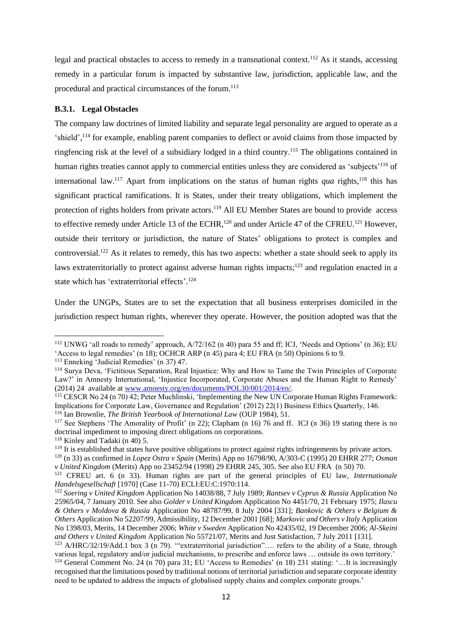legal and practical obstacles to access to remedy in a transnational context.<sup>112</sup> As it stands, accessing remedy in a particular forum is impacted by substantive law, jurisdiction, applicable law, and the procedural and practical circumstances of the forum.<sup>113</sup>

#### **B.3.1. Legal Obstacles**

The company law doctrines of limited liability and separate legal personality are argued to operate as a 'shield',<sup>114</sup> for example, enabling parent companies to deflect or avoid claims from those impacted by ringfencing risk at the level of a subsidiary lodged in a third country.<sup>115</sup> The obligations contained in human rights treaties cannot apply to commercial entities unless they are considered as 'subjects'<sup>116</sup> of international law.<sup>117</sup> Apart from implications on the status of human rights *qua* rights,<sup>118</sup> this has significant practical ramifications. It is States, under their treaty obligations, which implement the protection of rights holders from private actors.<sup>119</sup> All EU Member States are bound to provide access to effective remedy under Article 13 of the ECHR,<sup>120</sup> and under Article 47 of the CFREU.<sup>121</sup> However, outside their territory or jurisdiction, the nature of States' obligations to protect is complex and controversial.<sup>122</sup> As it relates to remedy, this has two aspects: whether a state should seek to apply its laws extraterritorially to protect against adverse human rights impacts;<sup>123</sup> and regulation enacted in a state which has 'extraterritorial effects'. 124

<span id="page-15-0"></span>Under the UNGPs, States are to set the expectation that all business enterprises domiciled in the jurisdiction respect human rights, wherever they operate. However, the position adopted was that the

<sup>112</sup> UNWG 'all roads to remedy' approach, A/72/162 (n [40\)](#page-9-1) para 55 and ff; ICJ, 'Needs and Options' (n [36\)](#page-9-0); EU 'Access to legal remedies' (n [18\)](#page-7-1); OCHCR ARP (n [45\)](#page-10-0) para 4; EU FRA (n [50\)](#page-10-1) Opinions 6 to 9.

<sup>&</sup>lt;sup>113</sup> Enneking 'Judicial Remedies' (n [37\)](#page-9-2) 47.

<sup>114</sup> Surya Deva, 'Fictitious Separation, Real Injustice: Why and How to Tame the Twin Principles of Corporate Law?' in Amnesty International, 'Injustice Incorporated, Corporate Abuses and the Human Right to Remedy' (2014) 24 available at www.amnesty.org/en/documents/POL30/001/2014/en/.

<sup>115</sup> CESCR No 24 (n [70\)](#page-11-0) 42; Peter Muchlinski, 'Implementing the New UN Corporate Human Rights Framework: Implications for Corporate Law, Governance and Regulation' (2012) 22(1) Business Ethics Quarterly, 146.

<sup>116</sup> Ian Brownlie, *The British Yearbook of International Law* (OUP 1984), 51.

<sup>117</sup> See Stephens 'The Amorality of Profit' (n [22\)](#page-7-0); Clapham (n [16\)](#page-6-2) 76 and ff. ICJ (n [36\)](#page-9-0) 19 stating there is no doctrinal impediment to imposing direct obligations on corporations.

 $118$  Kinley and Tadaki (n [40\)](#page-9-1) 5.

<sup>&</sup>lt;sup>119</sup> It is established that states have positive obligations to protect against rights infringements by private actors.

<sup>120</sup> ([n 33\)](#page-8-1) as confirmed in *Lopez Ostra v Spain* (Merits) App no 16798/90, A/303-C (1995) 20 EHRR 277; *Osman v United Kingdom* (Merits) App no 23452/94 (1998) 29 EHRR 245, 305. See also EU FRA (n [50\)](#page-10-1) 70.

<sup>121</sup> CFREU art. 6 (n [33\)](#page-8-1). Human rights are part of the general principles of EU law, *Internationale Handelsgesellschaft* [1970] (Case 11-70) ECLI:EU:C:1970:114.

<sup>122</sup> *Soering v United Kingdom* Application No 14038/88, 7 July 1989; *Rantsev v Cyprus & Russia* Application No 25965/04, 7 January 2010. See also *Golder v United Kingdom* Application No 4451/70, 21 February 1975; *Ilascu & Others v Moldova & Russia* Application No 48787/99, 8 July 2004 [331]; *Bankovic & Others v Belgium & Others* Application No 52207/99, Admissibility, 12 December 2001 [68]; *Markovic and Others v Italy* Application No 1398/03, Merits, 14 December 2006; *White v Sweden* Application No 42435/02, 19 December 2006; *Al-Skeini and Others v United Kingdom* Application No 55721/07, Merits and Just Satisfaction, 7 July 2011 [131].

<sup>&</sup>lt;sup>123</sup> A/HRC/32/19/Add.1 box 3 (n [79\)](#page-12-0). "extraterritorial jurisdiction".... refers to the ability of a State, through various legal, regulatory and/or judicial mechanisms, to prescribe and enforce laws … outside its own territory.'

<sup>&</sup>lt;sup>124</sup> General Comment No. 24 (n [70\)](#page-11-0) para 31; EU 'Access to Remedies' (n [18\)](#page-7-1) 231 stating: '...It is increasingly recognised that the limitations posed by traditional notions of territorial jurisdiction and separate corporate identity need to be updated to address the impacts of globalised supply chains and complex corporate groups.'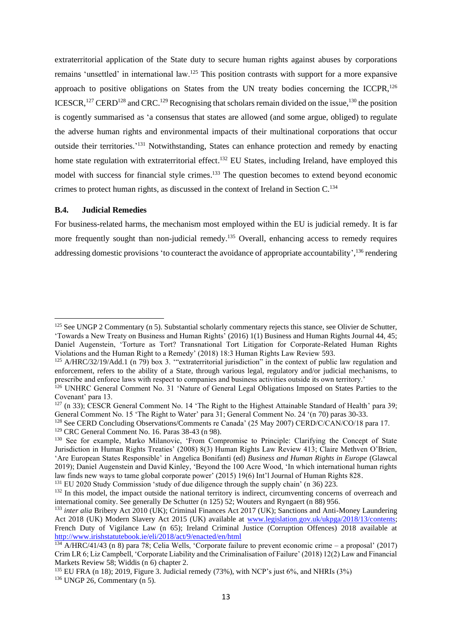<span id="page-16-0"></span>extraterritorial application of the State duty to secure human rights against abuses by corporations remains 'unsettled' in international law.<sup>125</sup> This position contrasts with support for a more expansive approach to positive obligations on States from the UN treaty bodies concerning the ICCPR, $126$ ICESCR,<sup>127</sup> CERD<sup>128</sup> and CRC.<sup>129</sup> Recognising that scholars remain divided on the issue,<sup>130</sup> the position is cogently summarised as 'a consensus that states are allowed (and some argue, obliged) to regulate the adverse human rights and environmental impacts of their multinational corporations that occur outside their territories.<sup>'131</sup> Notwithstanding, States can enhance protection and remedy by enacting home state regulation with extraterritorial effect.<sup>132</sup> EU States, including Ireland, have employed this model with success for financial style crimes.<sup>133</sup> The question becomes to extend beyond economic crimes to protect human rights, as discussed in the context of Ireland in Section C.<sup>134</sup>

#### <span id="page-16-2"></span>**B.4. Judicial Remedies**

<span id="page-16-1"></span>For business-related harms, the mechanism most employed within the EU is judicial remedy. It is far more frequently sought than non-judicial remedy.<sup>135</sup> Overall, enhancing access to remedy requires addressing domestic provisions 'to counteract the avoidance of appropriate accountability', <sup>136</sup> rendering

<sup>&</sup>lt;sup>125</sup> See UNGP 2 Commentary (n [5\)](#page-2-1). Substantial scholarly commentary rejects this stance, see Olivier de Schutter, 'Towards a New Treaty on Business and Human Rights' (2016) 1(1) Business and Human Rights Journal 44, 45; Daniel Augenstein, 'Torture as Tort? Transnational Tort Litigation for Corporate-Related Human Rights Violations and the Human Right to a Remedy' (2018) 18:3 Human Rights Law Review 593.

<sup>&</sup>lt;sup>125</sup> A/HRC/32/19/Add.1 (n [79\)](#page-12-0) box 3. "extraterritorial jurisdiction" in the context of public law regulation and enforcement, refers to the ability of a State, through various legal, regulatory and/or judicial mechanisms, to prescribe and enforce laws with respect to companies and business activities outside its own territory.'

<sup>&</sup>lt;sup>126</sup> UNHRC General Comment No. 31 'Nature of General Legal Obligations Imposed on States Parties to the Covenant' para 13.

 $127$  (n [33\)](#page-8-1); CESCR General Comment No. 14 'The Right to the Highest Attainable Standard of Health' para 39; General Comment No. 15 'The Right to Water' para 31; General Comment No. 24 '(n [70\)](#page-11-0) paras 30-33.

<sup>&</sup>lt;sup>128</sup> See CERD Concluding Observations/Comments re Canada' (25 May 2007) CERD/C/CAN/CO/18 para 17.  $129$  CRC General Comment No. 16. Paras 38-43 (n [98\)](#page-13-3).

<sup>&</sup>lt;sup>130</sup> See for example, Marko Milanovic, 'From Compromise to Principle: Clarifying the Concept of State Jurisdiction in Human Rights Treaties' (2008) 8(3) Human Rights Law Review 413; Claire Methven O'Brien, 'Are European States Responsible' in Angelica Bonifanti (ed) *Business and Human Rights in Europe* (Glawcal 2019); Daniel Augenstein and David Kinley, 'Beyond the 100 Acre Wood, 'In which international human rights law finds new ways to tame global corporate power' (2015) 19(6) Int'l Journal of Human Rights 828.

<sup>&</sup>lt;sup>131</sup> EU 2020 Study Commission 'study of due diligence through the supply chain' (n [36\)](#page-9-0) 223.

<sup>&</sup>lt;sup>132</sup> In this model, the impact outside the national territory is indirect, circumventing concerns of overreach and international comity. See generally De Schutter (n [125\)](#page-16-0) 52; Wouters and Ryngaert ([n 88\)](#page-12-2) 956.

<sup>&</sup>lt;sup>133</sup> *inter alia* Bribery Act 2010 (UK); Criminal Finances Act 2017 (UK); Sanctions and Anti-Money Laundering Act 2018 (UK) Modern Slavery Act 2015 (UK) available at [www.legislation.gov.uk/ukpga/2018/13/contents;](http://www.legislation.gov.uk/ukpga/2018/13/contents) French Duty of Vigilance Law (n [65\)](#page-11-1); Ireland Criminal Justice (Corruption Offences) 2018 available at <http://www.irishstatutebook.ie/eli/2018/act/9/enacted/en/html>

 $\frac{134}{134}$  A/HRC/41/43 (n [8\)](#page-4-1) para 78; Celia Wells, 'Corporate failure to prevent economic crime – a proposal' (2017) Crim LR 6; Liz Campbell, 'Corporate Liability and the Criminalisation of Failure' (2018) 12(2) Law and Financial Markets Review 58; Widdis (n [6\)](#page-2-2) chapter 2.

<sup>&</sup>lt;sup>135</sup> EU FRA (n [18\)](#page-7-1); 2019, Figure 3. Judicial remedy (73%), with NCP's just 6%, and NHRIs (3%)  $136$  UNGP 26, Commentary (n [5\)](#page-2-1).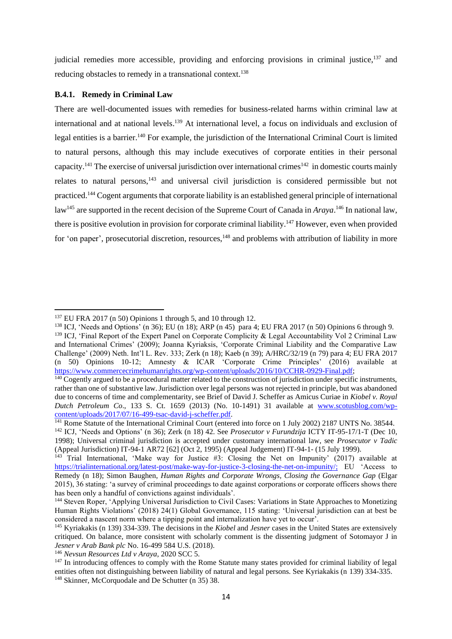judicial remedies more accessible, providing and enforcing provisions in criminal justice,<sup>137</sup> and reducing obstacles to remedy in a transnational context.<sup>138</sup>

#### **B.4.1. Remedy in Criminal Law**

<span id="page-17-2"></span><span id="page-17-1"></span><span id="page-17-0"></span>There are well-documented issues with remedies for business-related harms within criminal law at international and at national levels. <sup>139</sup> At international level, a focus on individuals and exclusion of legal entities is a barrier.<sup>140</sup> For example, the jurisdiction of the International Criminal Court is limited to natural persons, although this may include executives of corporate entities in their personal capacity.<sup>141</sup> The exercise of universal jurisdiction over international crimes<sup>142</sup> in domestic courts mainly relates to natural persons,<sup>143</sup> and universal civil jurisdiction is considered permissible but not practiced.<sup>144</sup> Cogent arguments that corporate liability is an established general principle of international law<sup>145</sup> are supported in the recent decision of the Supreme Court of Canada in *Araya*.<sup>146</sup> In national law, there is positive evolution in provision for corporate criminal liability.<sup>147</sup> However, even when provided for 'on paper', prosecutorial discretion, resources,<sup>148</sup> and problems with attribution of liability in more

<sup>146</sup> *Nevsun Resources Ltd v Araya*, 2020 SCC 5.

<sup>137</sup> EU FRA 2017 (n [50\)](#page-10-1) Opinions 1 through 5, and 10 through 12.

<sup>&</sup>lt;sup>138</sup> ICJ, 'Needs and Options' (n [36\)](#page-9-0); EU ([n 18\)](#page-7-1); ARP (n [45\)](#page-10-0) para 4; EU FRA 2017 (n [50\)](#page-10-1) Opinions 6 through 9.

<sup>&</sup>lt;sup>139</sup> ICJ, 'Final Report of the Expert Panel on Corporate Complicity & Legal Accountability Vol 2 Criminal Law and International Crimes' (2009); Joanna Kyriaksis, 'Corporate Criminal Liability and the Comparative Law Challenge' (2009) Neth. Int'l L. Rev. 333; Zerk (n [18\)](#page-7-1); Kaeb (n [39\)](#page-9-3); A/HRC/32/19 (n [79\)](#page-12-0) para 4; EU FRA 2017 (n [50\)](#page-10-1) Opinions 10-12; Amnesty & ICAR 'Corporate Crime Principles' (2016) available at [https://www.commercecrimehumanrights.org/wp-content/uploads/2016/10/CCHR-0929-Final.pdf;](https://www.commercecrimehumanrights.org/wp-content/uploads/2016/10/CCHR-0929-Final.pdf)

 $140$  Cogently argued to be a procedural matter related to the construction of jurisdiction under specific instruments, rather than one of substantive law.Jurisdiction over legal persons was not rejected in principle, but was abandoned due to concerns of time and complementarity, see Brief of David J. Scheffer as Amicus Curiae in *Kiobel v. Royal Dutch Petroleum Co*., 133 S. Ct. 1659 (2013) (No. 10-1491) 31 available at [www.scotusblog.com/wp](http://www.scotusblog.com/wp-content/uploads/2017/07/16-499-tsac-david-j-scheffer.pdf)[content/uploads/2017/07/16-499-tsac-david-j-scheffer.pdf.](http://www.scotusblog.com/wp-content/uploads/2017/07/16-499-tsac-david-j-scheffer.pdf)

<sup>&</sup>lt;sup>141</sup> Rome Statute of the International Criminal Court (entered into force on 1 July 2002) 2187 UNTS No. 38544. <sup>142</sup> ICJ, 'Needs and Options' (n [36\)](#page-9-0); Zerk (n [18\)](#page-7-1) 42. See *Prosecutor v Furundzija* ICTY IT-95-17/1-T (Dec 10, 1998); Universal criminal jurisdiction is accepted under customary international law, see *Prosecutor v Tadic*  (Appeal Jurisdiction) IT-94-1 AR72 [62] (Oct 2, 1995) (Appeal Judgement) IT-94-1- (15 July 1999).

<sup>143</sup> Trial International, 'Make way for Justice #3: Closing the Net on Impunity' (2017) available at [https://trialinternational.org/latest-post/make-way-for-justice-3-closing-the-net-on-impunity/;](https://trialinternational.org/latest-post/make-way-for-justice-3-closing-the-net-on-impunity/) EU 'Access to Remedy (n [18\)](#page-7-1); Simon Baughen, *Human Rights and Corporate Wrongs, Closing the Governance Gap* (Elgar 2015), 36 stating: 'a survey of criminal proceedings to date against corporations or corporate officers shows there has been only a handful of convictions against individuals'.

<sup>&</sup>lt;sup>144</sup> Steven Roper, 'Applying Universal Jurisdiction to Civil Cases: Variations in State Approaches to Monetizing Human Rights Violations' (2018) 24(1) Global Governance, 115 stating: 'Universal jurisdiction can at best be considered a nascent norm where a tipping point and internalization have yet to occur'.

<sup>145</sup> Kyriakakis ([n 139\)](#page-17-0) 334-339. The decisions in the *Kiobel* and *Jesner* cases in the United States are extensively critiqued. On balance, more consistent with scholarly comment is the dissenting judgment of Sotomayor J in *Jesner v Arab Bank plc* No. 16-499 584 U.S. (2018).

<sup>&</sup>lt;sup>147</sup> In introducing offences to comply with the Rome Statute many states provided for criminal liability of legal entities often not distinguishing between liability of natural and legal persons. See Kyriakakis (n [139\)](#page-17-0) 334-335. <sup>148</sup> Skinner, McCorquodale and De Schutter (n [35\)](#page-9-4) 38.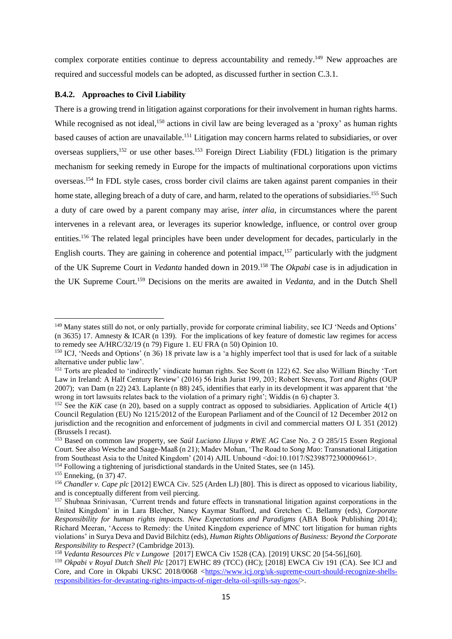complex corporate entities continue to depress accountability and remedy.<sup>149</sup> New approaches are required and successful models can be adopted, as discussed further in section C.3.1.

## **B.4.2. Approaches to Civil Liability**

<span id="page-18-6"></span><span id="page-18-3"></span><span id="page-18-2"></span>There is a growing trend in litigation against corporations for their involvement in human rights harms. While recognised as not ideal,<sup>150</sup> actions in civil law are being leveraged as a 'proxy' as human rights based causes of action are unavailable.<sup>151</sup> Litigation may concern harms related to subsidiaries, or over overseas suppliers,<sup>152</sup> or use other bases.<sup>153</sup> Foreign Direct Liability (FDL) litigation is the primary mechanism for seeking remedy in Europe for the impacts of multinational corporations upon victims overseas.<sup>154</sup> In FDL style cases, cross border civil claims are taken against parent companies in their home state, alleging breach of a duty of care, and harm, related to the operations of subsidiaries.<sup>155</sup> Such a duty of care owed by a parent company may arise, *inter alia*, in circumstances where the parent intervenes in a relevant area, or leverages its superior knowledge, influence, or control over group entities.<sup>156</sup> The related legal principles have been under development for decades, particularly in the English courts. They are gaining in coherence and potential impact,<sup>157</sup> particularly with the judgment of the UK Supreme Court in *Vedanta* handed down in 2019.<sup>158</sup> The *Okpabi* case is in adjudication in the UK Supreme Court.<sup>159</sup> Decisions on the merits are awaited in *Vedanta,* and in the Dutch Shell

<sup>154</sup> Following a tightening of jurisdictional standards in the United States, see (n [145\)](#page-17-1).

<span id="page-18-5"></span><span id="page-18-4"></span><span id="page-18-1"></span><span id="page-18-0"></span><sup>&</sup>lt;sup>149</sup> Many states still do not, or only partially, provide for corporate criminal liability, see ICJ 'Needs and Options' (n [36](#page-9-0)[35\)](#page-9-4) 17. Amnesty & ICAR (n [139\)](#page-17-0). For the implications of key feature of domestic law regimes for access to remedy see A/HRC/32/19 (n [79\)](#page-12-0) Figure 1. EU FRA (n [50\)](#page-10-1) Opinion 10.

<sup>&</sup>lt;sup>150</sup> ICJ, 'Needs and Options' (n [36\)](#page-9-0) 18 private law is a 'a highly imperfect tool that is used for lack of a suitable alternative under public law'.

<sup>&</sup>lt;sup>151</sup> Torts are pleaded to 'indirectly' vindicate human rights. See Scott (n [122\)](#page-15-0) 62. See also William Binchy 'Tort Law in Ireland: A Half Century Review' (2016) 56 Irish Jurist 199, 203; Robert Stevens, *Tort and Rights* (OUP 2007); van Dam ([n 22\)](#page-7-0) 243. Laplante (n [88\)](#page-12-2) 245, identifies that early in its development it was apparent that 'the wrong in tort lawsuits relates back to the violation of a primary right'; Widdis (n [6\)](#page-2-2) chapter 3.

<sup>&</sup>lt;sup>152</sup> See the *KiK* case (n [20\)](#page-7-2), based on a supply contract as opposed to subsidiaries. Application of Article  $4(1)$ Council Regulation (EU) No 1215/2012 of the European Parliament and of the Council of 12 December 2012 on jurisdiction and the recognition and enforcement of judgments in civil and commercial matters OJ L 351 (2012) (Brussels I recast).

<sup>153</sup> Based on common law property, see *Saúl Luciano Lliuya v RWE AG* Case No. 2 O 285/15 Essen Regional Court. See also Wesche and Saage-Maaß ([n 21\)](#page-7-3); Madev Mohan, 'The Road to *Song Mao*: Transnational Litigation from Southeast Asia to the United Kingdom' (2014) AJIL Unbound <doi:10.1017/S2398772300009661>.

<sup>155</sup> Enneking, (n [37\)](#page-9-2) 47.

<sup>156</sup> *Chandler v. Cape plc* [2012] EWCA Civ. 525 (Arden LJ) [80]. This is direct as opposed to vicarious liability, and is conceptually different from veil piercing.

<sup>157</sup> Shubnaa Srinivasan, 'Current trends and future effects in transnational litigation against corporations in the United Kingdom' in in Lara Blecher, Nancy Kaymar Stafford, and Gretchen C. Bellamy (eds), *Corporate Responsibility for human rights impacts. New Expectations and Paradigms* (ABA Book Publishing 2014); Richard Meeran, 'Access to Remedy: the United Kingdom experience of MNC tort litigation for human rights violations' in Surya Deva and David Bilchitz (eds), *Human Rights Obligations of Business: Beyond the Corporate Responsibility to Respect?* (Cambridge 2013).

<sup>158</sup> *Vedanta Resources Plc v Lungowe* [2017] EWCA Civ 1528 (CA). [2019] UKSC 20 [54-56],[60].

<sup>159</sup> *Okpabi v Royal Dutch Shell Plc* [2017] EWHC 89 (TCC) (HC); [2018] EWCA Civ 191 (CA). See ICJ and Core, and Core in Okpabi UKSC 2018/0068 [<https://www.icj.org/uk-supreme-court-should-recognize-shells](https://www.icj.org/uk-supreme-court-should-recognize-shells-responsibilities-for-devastating-rights-impacts-of-niger-delta-oil-spills-say-ngos/)[responsibilities-for-devastating-rights-impacts-of-niger-delta-oil-spills-say-ngos/>](https://www.icj.org/uk-supreme-court-should-recognize-shells-responsibilities-for-devastating-rights-impacts-of-niger-delta-oil-spills-say-ngos/).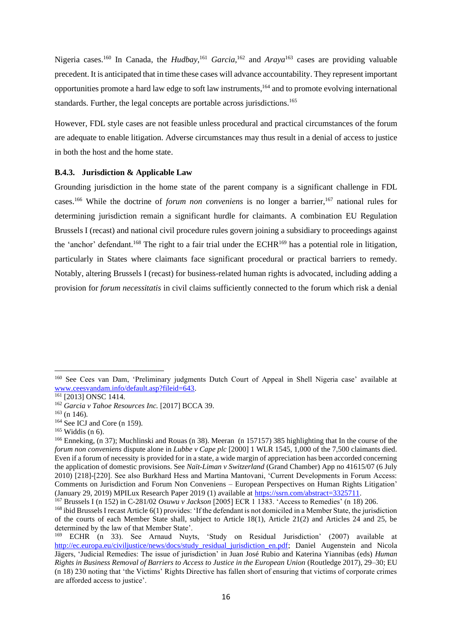<span id="page-19-3"></span><span id="page-19-2"></span><span id="page-19-1"></span>Nigeria cases.<sup>160</sup> In Canada, the *Hudbay*,<sup>161</sup> *Garcia*,<sup>162</sup> and *Araya*<sup>163</sup> cases are providing valuable precedent. It is anticipated that in time these cases will advance accountability. They represent important opportunities promote a hard law edge to soft law instruments, <sup>164</sup> and to promote evolving international standards. Further, the legal concepts are portable across jurisdictions.<sup>165</sup>

However, FDL style cases are not feasible unless procedural and practical circumstances of the forum are adequate to enable litigation. Adverse circumstances may thus result in a denial of access to justice in both the host and the home state.

#### **B.4.3. Jurisdiction & Applicable Law**

<span id="page-19-0"></span>Grounding jurisdiction in the home state of the parent company is a significant challenge in FDL cases. <sup>166</sup> While the doctrine of *forum non conveniens* is no longer a barrier, <sup>167</sup> national rules for determining jurisdiction remain a significant hurdle for claimants. A combination EU Regulation Brussels I (recast) and national civil procedure rules govern joining a subsidiary to proceedings against the 'anchor' defendant.<sup>168</sup> The right to a fair trial under the ECHR<sup>169</sup> has a potential role in litigation, particularly in States where claimants face significant procedural or practical barriers to remedy. Notably, altering Brussels I (recast) for business-related human rights is advocated, including adding a provision for *forum necessitatis* in civil claims sufficiently connected to the forum which risk a denial

<sup>160</sup> See Cees van Dam, 'Preliminary judgments Dutch Court of Appeal in Shell Nigeria case' available at [www.ceesvandam.info/default.asp?fileid=643.](http://www.ceesvandam.info/default.asp?fileid=643)

<sup>161</sup> [2013] ONSC 1414.

<sup>162</sup> *Garcia v Tahoe Resources Inc.* [2017] BCCA 39.

<sup>163</sup> (n [146\)](#page-17-2)*.*

<sup>164</sup> See ICJ and Core (n [159\)](#page-18-0).

 $165$  Widdis (n [6\)](#page-2-2).

<sup>166</sup> Enneking, (n [37\)](#page-9-2); Muchlinski and Rouas (n [38\)](#page-9-5). Meeran (n [157157\)](#page-18-1) 385 highlighting that In the course of the *forum non conveniens* dispute alone in *Lubbe v Cape plc* [2000] 1 WLR 1545, 1,000 of the 7,500 claimants died. Even if a forum of necessity is provided for in a state, a wide margin of appreciation has been accorded concerning the application of domestic provisions. See *Naït-Liman v Switzerland* (Grand Chamber) App no 41615/07 (6 July 2010) [218]-[220]. See also Burkhard Hess and Martina Mantovani, 'Current Developments in Forum Access: Comments on Jurisdiction and Forum Non Conveniens – European Perspectives on Human Rights Litigation' (January 29, 2019) MPILux Research Paper 2019 (1) available at [https://ssrn.com/abstract=3325711.](https://ssrn.com/abstract=3325711)

<sup>167</sup> Brussels I (n [152\)](#page-18-2) in C-281/02 *Osuwu v Jackson* [2005] ECR 1 1383. 'Access to Remedies' (n [18\)](#page-7-1) 206.

<sup>&</sup>lt;sup>168</sup> ibid Brussels I recast Article 6(1) provides: 'If the defendant is not domiciled in a Member State, the jurisdiction of the courts of each Member State shall, subject to Article 18(1), Article 21(2) and Articles 24 and 25, be determined by the law of that Member State'.

<sup>169</sup> ECHR (n [33\)](#page-8-1). See Arnaud Nuyts, 'Study on Residual Jurisdiction' (2007) available at [http://ec.europa.eu/civiljustice/news/docs/study\\_residual\\_jurisdiction\\_en.pdf;](http://ec.europa.eu/civiljustice/news/docs/study_residual_jurisdiction_en.pdf) Daniel Augenstein and Nicola Jägers, 'Judicial Remedies: The issue of jurisdiction' in Juan José Rubio and Katerina Yiannibas (eds) *Human Rights in Business Removal of Barriers to Access to Justice in the European Union* (Routledge 2017), 29–30; EU (n [18\)](#page-7-1) 230 noting that 'the Victims' Rights Directive has fallen short of ensuring that victims of corporate crimes are afforded access to justice'.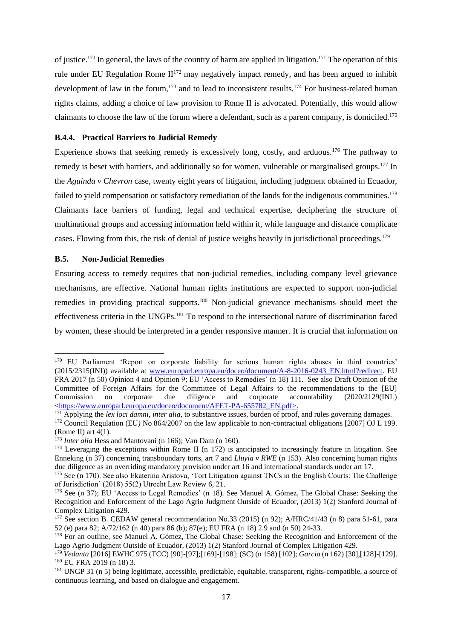<span id="page-20-1"></span><span id="page-20-0"></span>of justice.<sup>170</sup> In general, the laws of the country of harm are applied in litigation.<sup>171</sup> The operation of this rule under EU Regulation Rome  $II^{172}$  may negatively impact remedy, and has been argued to inhibit development of law in the forum,<sup>173</sup> and to lead to inconsistent results.<sup>174</sup> For business-related human rights claims, adding a choice of law provision to Rome II is advocated. Potentially, this would allow claimants to choose the law of the forum where a defendant, such as a parent company, is domiciled.<sup>175</sup>

## **B.4.4. Practical Barriers to Judicial Remedy**

Experience shows that seeking remedy is excessively long, costly, and arduous.<sup>176</sup> The pathway to remedy is beset with barriers, and additionally so for women, vulnerable or marginalised groups.<sup>177</sup> In the *Aguinda v Chevron* case, twenty eight years of litigation, including judgment obtained in Ecuador, failed to yield compensation or satisfactory remediation of the lands for the indigenous communities.<sup>178</sup> Claimants face barriers of funding, legal and technical expertise, deciphering the structure of multinational groups and accessing information held within it, while language and distance complicate cases. Flowing from this, the risk of denial of justice weighs heavily in jurisdictional proceedings.<sup>179</sup>

## **B.5. Non-Judicial Remedies**

Ensuring access to remedy requires that non-judicial remedies, including company level grievance mechanisms, are effective. National human rights institutions are expected to support non-judicial remedies in providing practical supports.<sup>180</sup> Non-judicial grievance mechanisms should meet the effectiveness criteria in the UNGPs.<sup>181</sup> To respond to the intersectional nature of discrimination faced by women, these should be interpreted in a gender responsive manner. It is crucial that information on

<sup>170</sup> EU Parliament 'Report on corporate liability for serious human rights abuses in third countries' (2015/2315(INI)) available at [www.europarl.europa.eu/doceo/document/A-8-2016-0243\\_EN.html?redirect.](http://www.europarl.europa.eu/doceo/document/A-8-2016-0243_EN.html?redirect) EU FRA 2017 ([n 50\)](#page-10-1) Opinion 4 and Opinion 9; EU 'Access to Remedies' (n [18\)](#page-7-1) 111. See also Draft Opinion of the Committee of Foreign Affairs for the Committee of Legal Affairs to the recommendations to the [EU]<br>Commission on corporate due diligence and corporate accountability (2020/2129(INL) Commission on corporate due diligence and corporate accountability (2020/2129(INL) [<https://www.europarl.europa.eu/doceo/document/AFET-PA-655782\\_EN.pdf>](https://www.europarl.europa.eu/doceo/document/AFET-PA-655782_EN.pdf).

<sup>&</sup>lt;sup>171</sup> Applying the *lex loci damni*, *inter alia*, to substantive issues, burden of proof, and rules governing damages.

<sup>&</sup>lt;sup>172</sup> Council Regulation (EU) No 864/2007 on the law applicable to non-contractual obligations [2007] OJ L 199. (Rome II) art  $4(1)$ .

<sup>173</sup> *Inter alia* Hess and Mantovani (n [166\)](#page-19-0); Van Dam (n [160\)](#page-19-1).

<sup>&</sup>lt;sup>174</sup> Leveraging the exceptions within Rome II (n [172\)](#page-20-0) is anticipated to increasingly feature in litigation. See Enneking (n [37\)](#page-9-2) concerning transboundary torts, art 7 and *Lluyia v RWE* (n [153\)](#page-18-3). Also concerning human rights due diligence as an overriding mandatory provision under art 16 and international standards under art 17.

<sup>175</sup> See (n [170\)](#page-20-1). See also Ekaterina Aristova, 'Tort Litigation against TNCs in the English Courts: The Challenge of Jurisdiction' (2018) 55(2) Utrecht Law Review 6, 21.

<sup>176</sup> See (n [37\)](#page-9-2); EU 'Access to Legal Remedies' (n [18\)](#page-7-1). See Manuel A. Gómez, The Global Chase: Seeking the Recognition and Enforcement of the Lago Agrio Judgment Outside of Ecuador, (2013) 1(2) Stanford Journal of Complex Litigation 429.

<sup>177</sup> See section B. CEDAW general recommendation No.33 (2015) (n [92\)](#page-13-0); A/HRC/41/43 (n [8\)](#page-4-1) para 51-61, para 52 (e) para 82; A/72/162 (n [40\)](#page-9-1) para 86 (b); 87(e); EU FRA (n [18\)](#page-7-1) 2.9 and (n [50\)](#page-10-1) 24-33.

<sup>178</sup> For an outline, see Manuel A. Gómez, The Global Chase: Seeking the Recognition and Enforcement of the Lago Agrio Judgment Outside of Ecuador, (2013) 1(2) Stanford Journal of Complex Litigation 429.

<sup>179</sup> *Vedanta* [2016] EWHC 975 (TCC) [90]-[97];[169]-[198]; (SC) (n [158\)](#page-18-4) [102]; *Garcia* ([n 162\)](#page-19-2) [30],[128]-[129]. <sup>180</sup> EU FRA 2019 (n [18\)](#page-7-1) 3.

<sup>&</sup>lt;sup>181</sup> UNGP 31 (n [5\)](#page-2-1) being legitimate, accessible, predictable, equitable, transparent, rights-compatible, a source of continuous learning, and based on dialogue and engagement.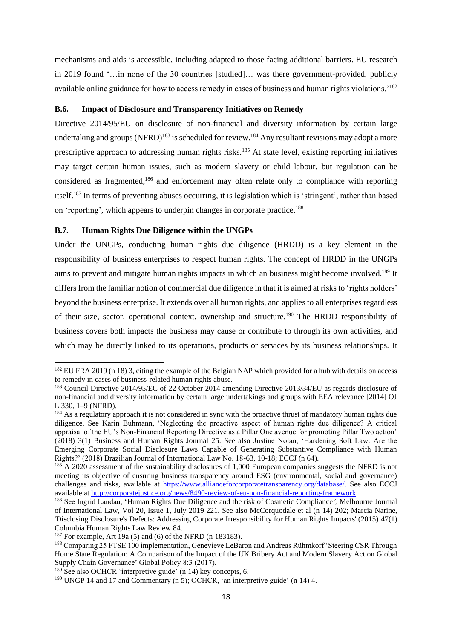mechanisms and aids is accessible, including adapted to those facing additional barriers. EU research in 2019 found '…in none of the 30 countries [studied]… was there government-provided, publicly available online guidance for how to access remedy in cases of business and human rights violations.'<sup>182</sup>

#### **B.6. Impact of Disclosure and Transparency Initiatives on Remedy**

<span id="page-21-1"></span><span id="page-21-0"></span>Directive 2014/95/EU on disclosure of non-financial and diversity information by certain large undertaking and groups  $(NFRD)^{183}$  is scheduled for review.<sup>184</sup> Any resultant revisions may adopt a more prescriptive approach to addressing human rights risks.<sup>185</sup> At state level, existing reporting initiatives may target certain human issues, such as modern slavery or child labour, but regulation can be considered as fragmented,<sup>186</sup> and enforcement may often relate only to compliance with reporting itself. <sup>187</sup> In terms of preventing abuses occurring, it is legislation which is 'stringent', rather than based on 'reporting', which appears to underpin changes in corporate practice.<sup>188</sup>

## <span id="page-21-3"></span><span id="page-21-2"></span>**B.7. Human Rights Due Diligence within the UNGPs**

Under the UNGPs, conducting human rights due diligence (HRDD) is a key element in the responsibility of business enterprises to respect human rights. The concept of HRDD in the UNGPs aims to prevent and mitigate human rights impacts in which an business might become involved.<sup>189</sup> It differs from the familiar notion of commercial due diligence in that it is aimed at risks to 'rights holders' beyond the business enterprise. It extends over all human rights, and applies to all enterprises regardless of their size, sector, operational context, ownership and structure.<sup>190</sup> The HRDD responsibility of business covers both impacts the business may cause or contribute to through its own activities, and which may be directly linked to its operations, products or services by its business relationships. It

<sup>&</sup>lt;sup>182</sup> EU FRA 2019 (n [18\)](#page-7-1) 3, citing the example of the Belgian NAP which provided for a hub with details on access to remedy in cases of business-related human rights abuse.

<sup>&</sup>lt;sup>183</sup> Council Directive 2014/95/EC of 22 October 2014 amending Directive 2013/34/EU as regards disclosure of non-financial and diversity information by certain large undertakings and groups with EEA relevance [2014] OJ L 330, 1–9 (NFRD).

<sup>&</sup>lt;sup>184</sup> As a regulatory approach it is not considered in sync with the proactive thrust of mandatory human rights due diligence. See Karin Buhmann, 'Neglecting the proactive aspect of human rights due diligence? A critical appraisal of the EU's Non-Financial Reporting Directive as a Pillar One avenue for promoting Pillar Two action' (2018) 3(1) Business and Human Rights Journal 25. See also Justine Nolan, 'Hardening Soft Law: Are the Emerging Corporate Social Disclosure Laws Capable of Generating Substantive Compliance with Human Rights?' (2018) Brazilian Journal of International Law No. 18-63, 10-18; ECCJ (n [64\)](#page-11-2).

<sup>&</sup>lt;sup>185</sup> A 2020 assessment of the sustainability disclosures of 1,000 European companies suggests the [NFRD](https://eur-lex.europa.eu/legal-content/EN/TXT/PDF/?uri=CELEX:32014L0095&from=EN) is not meeting its objective of ensuring business transparency around ESG (environmental, social and governance) challenges and risks, available at [https://www.allianceforcorporatetransparency.org/database/.](https://www.allianceforcorporatetransparency.org/database/) See also ECCJ available at [http://corporatejustice.org/news/8490-review-of-eu-non-financial-reporting-framework.](http://corporatejustice.org/news/8490-review-of-eu-non-financial-reporting-framework)

<sup>186</sup> See Ingrid Landau, 'Human Rights Due Diligence and the risk of Cosmetic Compliance*',* Melbourne Journal of International Law, Vol 20, Issue 1, July 2019 221. See also McCorquodale et al (n [14\)](#page-6-1) 202; Marcia Narine, 'Disclosing Disclosure's Defects: Addressing Corporate Irresponsibility for Human Rights Impacts' (2015) 47(1) Columbia Human Rights Law Review 84.

<sup>&</sup>lt;sup>187</sup> For example, Art 19a (5) and (6) of the NFRD (n [183183\)](#page-21-0).

<sup>188</sup> Comparing 25 FTSE 100 implementation, Genevieve LeBaron and Andreas Rühmkorf 'Steering CSR Through Home State Regulation: A Comparison of the Impact of the UK Bribery Act and Modern Slavery Act on Global Supply Chain Governance' Global Policy 8:3 (2017).

 $189$  See also OCHCR 'interpretive guide' (n [14\)](#page-6-1) key concepts, 6.

<sup>&</sup>lt;sup>190</sup> UNGP 14 and 17 and Commentary (n [5\)](#page-2-1); OCHCR, 'an interpretive guide' (n [14\)](#page-6-1) 4.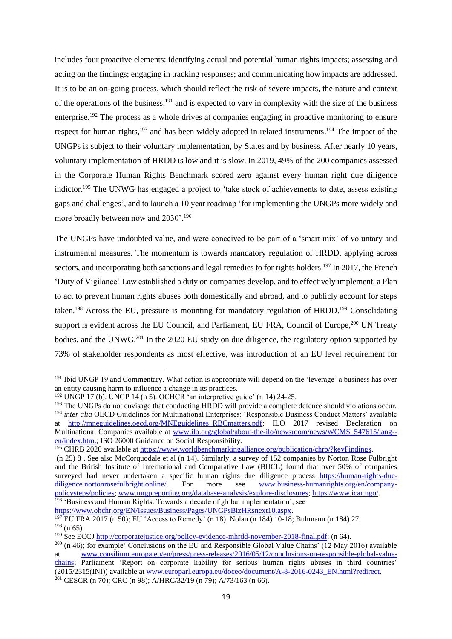includes four proactive elements: identifying actual and potential human rights impacts; assessing and acting on the findings; engaging in tracking responses; and communicating how impacts are addressed. It is to be an on-going process, which should reflect the risk of severe impacts, the nature and context of the operations of the business, <sup>191</sup> and is expected to vary in complexity with the size of the business enterprise.<sup>192</sup> The process as a whole drives at companies engaging in proactive monitoring to ensure respect for human rights,<sup>193</sup> and has been widely adopted in related instruments.<sup>194</sup> The impact of the UNGPs is subject to their voluntary implementation, by States and by business. After nearly 10 years, voluntary implementation of HRDD is low and it is slow. In 2019, 49% of the 200 companies assessed in the Corporate Human Rights Benchmark scored zero against every human right due diligence indictor.<sup>195</sup> The UNWG has engaged a project to 'take stock of achievements to date, assess existing gaps and challenges', and to launch a 10 year roadmap 'for implementing the UNGPs more widely and more broadly between now and 2030'.<sup>196</sup>

The UNGPs have undoubted value, and were conceived to be part of a 'smart mix' of voluntary and instrumental measures. The momentum is towards mandatory regulation of HRDD, applying across sectors, and incorporating both sanctions and legal remedies to for rights holders.<sup>197</sup> In 2017, the French 'Duty of Vigilance' Law established a duty on companies develop, and to effectively implement, a Plan to act to prevent human rights abuses both domestically and abroad, and to publicly account for steps taken.<sup>198</sup> Across the EU, pressure is mounting for mandatory regulation of HRDD.<sup>199</sup> Consolidating support is evident across the EU Council, and Parliament, EU FRA, Council of Europe,<sup>200</sup> UN Treaty bodies, and the UNWG.<sup>201</sup> In the 2020 EU study on due diligence, the regulatory option supported by 73% of stakeholder respondents as most effective, was introduction of an EU level requirement for

[https://www.ohchr.org/EN/Issues/Business/Pages/UNGPsBizHRsnext10.aspx.](https://www.ohchr.org/EN/Issues/Business/Pages/UNGPsBizHRsnext10.aspx)

<span id="page-22-0"></span><sup>&</sup>lt;sup>191</sup> Ibid UNGP 19 and Commentary. What action is appropriate will depend on the 'leverage' a business has over an entity causing harm to influence a change in its practices.

 $192$  UNGP 17 (b). UNGP 14 (n [5\)](#page-2-1). OCHCR 'an interpretive guide' (n [14\)](#page-6-1) 24-25.

<sup>&</sup>lt;sup>193</sup> The UNGPs do not envisage that conducting HRDD will provide a complete defence should violations occur.

<sup>&</sup>lt;sup>194</sup> *inter alia* OECD Guidelines for Multinational Enterprises: 'Responsible Business Conduct Matters' available at [http://mneguidelines.oecd.org/MNEguidelines\\_RBCmatters.pdf;](http://mneguidelines.oecd.org/MNEguidelines_RBCmatters.pdf) ILO 2017 revised Declaration on

Multinational Companies available at [www.ilo.org/global/about-the-ilo/newsroom/news/WCMS\\_547615/lang-](http://www.ilo.org/global/about-the-ilo/newsroom/news/WCMS_547615/lang--en/index.htm.) [en/index.htm.;](http://www.ilo.org/global/about-the-ilo/newsroom/news/WCMS_547615/lang--en/index.htm.) ISO 26000 Guidance on Social Responsibility.

<sup>&</sup>lt;sup>195</sup> CHRB 2020 available at [https://www.worldbenchmarkingalliance.org/publication/chrb/?keyFindings.](https://www.worldbenchmarkingalliance.org/publication/chrb/?keyFindings)

<sup>(</sup>n [25\)](#page-7-4) 8 . See also McCorquodale et al (n [14\)](#page-6-1). Similarly, a survey of 152 companies by Norton Rose Fulbright and the British Institute of International and Comparative Law (BIICL) found that over 50% of companies surveyed had never undertaken a specific human rights due diligence process [https://human-rights-due](https://human-rights-due-diligence.nortonrosefulbright.online/)[diligence.nortonrosefulbright.online/.](https://human-rights-due-diligence.nortonrosefulbright.online/) For more see [www.business-humanrights.org/en/company](http://www.business-humanrights.org/en/company-policysteps/policies)[policysteps/policies;](http://www.business-humanrights.org/en/company-policysteps/policies) [www.ungpreporting.org/database-analysis/explore-disclosures;](http://www.ungpreporting.org/database-analysis/explore-disclosures) [https://www.icar.ngo/.](https://www.icar.ngo/) <sup>196</sup> 'Business and Human Rights: Towards a decade of global implementation', see

<sup>197</sup> EU FRA 2017 (n [50\)](#page-10-1); EU 'Access to Remedy' (n [18\)](#page-7-1). Nolan (n [184\)](#page-21-1) 10-18; Buhmann (n [184\)](#page-21-1) 27.  $198$  (n [65\)](#page-11-1).

<sup>&</sup>lt;sup>199</sup> See ECCJ [http://corporatejustice.org/policy-evidence-mhrdd-november-2018-final.pdf;](http://corporatejustice.org/policy-evidence-mhrdd-november-2018-final.pdf) (n [64\)](#page-11-2).

<sup>&</sup>lt;sup>200</sup> (n [46\)](#page-10-2); for example' Conclusions on the EU and Responsible Global Value Chains' (12 May 2016) available at [www.consilium.europa.eu/en/press/press-releases/2016/05/12/conclusions-on-responsible-global-value](http://www.consilium.europa.eu/en/press/press-releases/2016/05/12/conclusions-on-responsible-global-value-chains)[chains;](http://www.consilium.europa.eu/en/press/press-releases/2016/05/12/conclusions-on-responsible-global-value-chains) Parliament 'Report on corporate liability for serious human rights abuses in third countries' (2015/2315(INI)) available at [www.europarl.europa.eu/doceo/document/A-8-2016-0243\\_EN.html?redirect.](http://www.europarl.europa.eu/doceo/document/A-8-2016-0243_EN.html?redirect) <sup>201</sup> CESCR (n [70\)](#page-11-0); CRC (n [98\)](#page-13-3); A/HRC/32/19 (n [79\)](#page-12-0); A/73/163 (n [66\)](#page-11-3).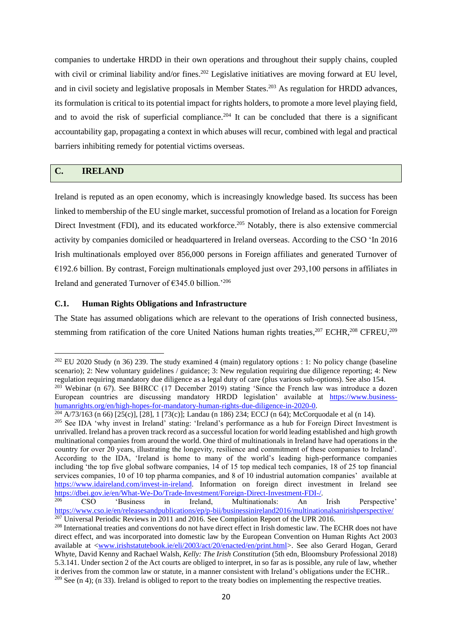companies to undertake HRDD in their own operations and throughout their supply chains, coupled with civil or criminal liability and/or fines.<sup>202</sup> Legislative initiatives are moving forward at EU level, and in civil society and legislative proposals in Member States.<sup>203</sup> As regulation for HRDD advances, its formulation is critical to its potential impact for rights holders, to promote a more level playing field, and to avoid the risk of superficial compliance.<sup>204</sup> It can be concluded that there is a significant accountability gap, propagating a context in which abuses will recur, combined with legal and practical barriers inhibiting remedy for potential victims overseas.

## **C. IRELAND**

Ireland is reputed as an open economy, which is increasingly knowledge based. Its success has been linked to membership of the EU single market, successful promotion of Ireland as a location for Foreign Direct Investment (FDI), and its educated workforce.<sup>205</sup> Notably, there is also extensive commercial activity by companies domiciled or headquartered in Ireland overseas. According to the CSO 'In 2016 Irish multinationals employed over 856,000 persons in Foreign affiliates and generated Turnover of  $\epsilon$ 192.6 billion. By contrast, Foreign multinationals employed just over 293,100 persons in affiliates in Ireland and generated Turnover of €345.0 billion.'<sup>206</sup>

## **C.1. Human Rights Obligations and Infrastructure**

<span id="page-23-0"></span>The State has assumed obligations which are relevant to the operations of Irish connected business, stemming from ratification of the core United Nations human rights treaties,<sup>207</sup> ECHR,<sup>208</sup> CFREU,<sup>209</sup>

<sup>&</sup>lt;sup>202</sup> EU 2020 Study (n [36\)](#page-9-0) 239. The study examined 4 (main) regulatory options : 1: No policy change (baseline scenario): 2: New voluntary guidelines / guidance; 3: New regulation requiring due diligence reporting; 4: New regulation requiring mandatory due diligence as a legal duty of care (plus various sub-options). See also 154.

 $203$  Webinar (n [67\)](#page-11-4). See BHRCC (17 December 2019) stating 'Since the French law was introduce a dozen European countries are discussing mandatory HRDD legislation' available at [https://www.business](https://www.business-humanrights.org/en/high-hopes-for-mandatory-human-rights-due-diligence-in-2020-0)[humanrights.org/en/high-hopes-for-mandatory-human-rights-due-diligence-in-2020-0.](https://www.business-humanrights.org/en/high-hopes-for-mandatory-human-rights-due-diligence-in-2020-0)

 $204$  A/73/163 (n [66\)](#page-11-3) [25(c)], [28], 1 [73(c)]; Landau (n [186\)](#page-21-2) 234; ECCJ (n [64\)](#page-11-2); McCorquodale et al ([n 14\)](#page-6-1).

<sup>&</sup>lt;sup>205</sup> See IDA 'why invest in Ireland' stating: 'Ireland's performance as a hub for Foreign Direct Investment is unrivalled. Ireland has a proven track record as a successful location for world leading established and high growth multinational companies from around the world. One third of multinationals in Ireland have had operations in the country for over 20 years, illustrating the longevity, resilience and commitment of these companies to Ireland'. According to the IDA, 'Ireland is home to many of the world's leading high-performance companies including 'the top five global software companies, 14 of 15 top medical tech companies, 18 of 25 top financial services companies, 10 of 10 top pharma companies, and 8 of 10 industrial automation companies' available at [https://www.idaireland.com/invest-in-ireland.](https://www.idaireland.com/invest-in-ireland) Information on foreign direct investment in Ireland see [https://dbei.gov.ie/en/What-We-Do/Trade-Investment/Foreign-Direct-Investment-FDI-/.](https://dbei.gov.ie/en/What-We-Do/Trade-Investment/Foreign-Direct-Investment-FDI-/)

<sup>206</sup> CSO 'Business in Ireland, Multinationals: An Irish Perspective' <https://www.cso.ie/en/releasesandpublications/ep/p-bii/businessinireland2016/multinationalsanirishperspective/>  $207$  Universal Periodic Reviews in 2011 and 2016. See Compilation Report of the UPR 2016.

<sup>&</sup>lt;sup>208</sup> International treaties and conventions do not have direct effect in Irish domestic law. The ECHR does not have direct effect, and was incorporated into domestic law by the European Convention on Human Rights Act 2003 available at [<www.irishstatutebook.ie/eli/2003/act/20/enacted/en/print.html>](http://www.irishstatutebook.ie/eli/2003/act/20/enacted/en/print.html). See also Gerard Hogan, Gerard Whyte, David Kenny and Rachael Walsh, *Kelly: The Irish Constitution* (5th edn, Bloomsbury Professional 2018) 5.3.141. Under section 2 of the Act courts are obliged to interpret, in so far as is possible, any rule of law, whether it derives from the common law or statute, in a manner consistent with Ireland's obligations under the ECHR.. <sup>209</sup> See (n [4\)](#page-2-3); (n [33\)](#page-8-1). Ireland is obliged to report to the treaty bodies on implementing the respective treaties.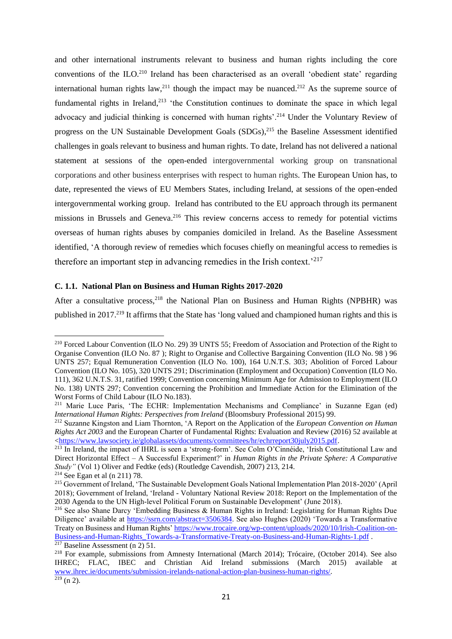<span id="page-24-0"></span>and other international instruments relevant to business and human rights including the core conventions of the ILO.<sup>210</sup> Ireland has been characterised as an overall 'obedient state' regarding international human rights  $law<sub>11</sub><sup>211</sup>$  though the impact may be nuanced.<sup>212</sup> As the supreme source of fundamental rights in Ireland,<sup>213</sup> 'the Constitution continues to dominate the space in which legal advocacy and judicial thinking is concerned with human rights'.<sup>214</sup> Under the Voluntary Review of progress on the UN Sustainable Development Goals (SDGs),<sup>215</sup> the Baseline Assessment identified challenges in goals relevant to business and human rights. To date, Ireland has not delivered a national statement at sessions of the open-ended intergovernmental working group on transnational corporations and other business enterprises with respect to human rights. The European Union has, to date, represented the views of EU Members States, including Ireland, at sessions of the open-ended intergovernmental working group. Ireland has contributed to the EU approach through its permanent missions in Brussels and Geneva.<sup>216</sup> This review concerns access to remedy for potential victims overseas of human rights abuses by companies domiciled in Ireland. As the Baseline Assessment identified, 'A thorough review of remedies which focuses chiefly on meaningful access to remedies is therefore an important step in advancing remedies in the Irish context.<sup> $217$ </sup>

## <span id="page-24-1"></span>**C. 1.1. National Plan on Business and Human Rights 2017-2020**

<span id="page-24-2"></span>After a consultative process,<sup>218</sup> the National Plan on Business and Human Rights (NPBHR) was published in 2017.<sup>219</sup> It affirms that the State has 'long valued and championed human rights and this is

<sup>210</sup> Forced Labour Convention (ILO No. 29) 39 UNTS 55; Freedom of Association and Protection of the Right to Organise Convention (ILO No. 87 ); Right to Organise and Collective Bargaining Convention (ILO No. 98 ) 96 UNTS 257; Equal Remuneration Convention (ILO No. 100), 164 U.N.T.S. 303; Abolition of Forced Labour Convention (ILO No. 105), 320 UNTS 291; Discrimination (Employment and Occupation) Convention (ILO No. 111), 362 U.N.T.S. 31, ratified 1999; Convention concerning Minimum Age for Admission to Employment (ILO No. 138) UNTS 297; Convention concerning the Prohibition and Immediate Action for the Elimination of the Worst Forms of Child Labour (ILO No.183).

<sup>&</sup>lt;sup>211</sup> Marie Luce Paris, 'The ECHR: Implementation Mechanisms and Compliance' in Suzanne Egan (ed) *International Human Rights: Perspectives from Ireland* (Bloomsbury Professional 2015) 99.

<sup>212</sup> Suzanne Kingston and Liam Thornton, 'A Report on the Application of the *European Convention on Human Rights Act 2003* and the European Charter of Fundamental Rights: Evaluation and Review (2016) 52 available at [<https://www.lawsociety.ie/globalassets/documents/committees/hr/echrreport30july2015.pdf.](https://www.lawsociety.ie/globalassets/documents/committees/hr/echrreport30july2015.pdf)

<sup>213</sup> In Ireland, the impact of IHRL is seen a 'strong-form'. See Colm O'Cinnéide, 'Irish Constitutional Law and Direct Horizontal Effect – A Successful Experiment?' in *Human Rights in the Private Sphere: A Comparative Study"* (Vol 1) Oliver and Fedtke (eds) (Routledge Cavendish, 2007) 213, 214.

<sup>214</sup> See Egan et al (n [211\)](#page-24-0) 78.

<sup>215</sup> Government of Ireland, 'The Sustainable Development Goals National Implementation Plan 2018-2020' (April 2018); Government of Ireland, 'Ireland - Voluntary National Review 2018: Report on the Implementation of the 2030 Agenda to the UN High-level Political Forum on Sustainable Development' (June 2018).

<sup>216</sup> See also Shane Darcy 'Embedding Business & Human Rights in Ireland: Legislating for Human Rights Due Diligence' available at [https://ssrn.com/abstract=3506384.](https://ssrn.com/abstract=3506384) See also Hughes (2020) 'Towards a Transformative Treaty on Business and Human Rights[' https://www.trocaire.org/wp-content/uploads/2020/10/Irish-Coalition-on-](https://www.trocaire.org/wp-content/uploads/2020/10/Irish-Coalition-on-Business-and-Human-Rights_Towards-a-Transformative-Treaty-on-Business-and-Human-Rights-1.pdf)[Business-and-Human-Rights\\_Towards-a-Transformative-Treaty-on-Business-and-Human-Rights-1.pdf](https://www.trocaire.org/wp-content/uploads/2020/10/Irish-Coalition-on-Business-and-Human-Rights_Towards-a-Transformative-Treaty-on-Business-and-Human-Rights-1.pdf) .  $\frac{217}{217}$  Baseline Assessment ([n 2\)](#page-2-0) 51.

<sup>218</sup> For example, submissions from Amnesty International (March 2014); Trócaire, (October 2014). See also IHREC; FLAC, IBEC and Christian Aid Ireland submissions (March 2015) available at [www.ihrec.ie/documents/submission-irelands-national-action-plan-business-human-rights/.](https://www.ihrec.ie/documents/submission-irelands-national-action-plan-business-human-rights/)   $\frac{219}{219}$  (n [2\)](#page-2-0).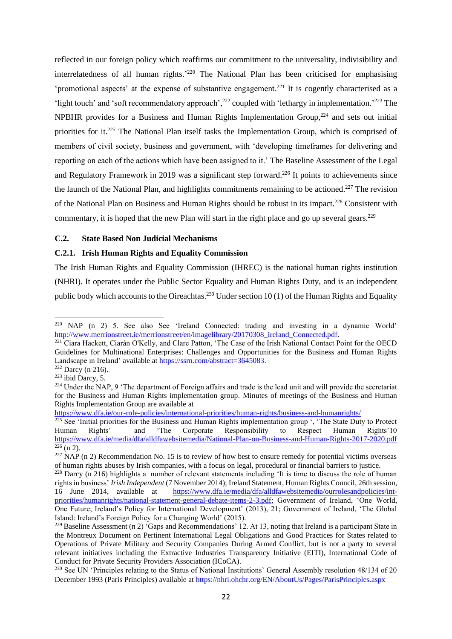<span id="page-25-0"></span>reflected in our foreign policy which reaffirms our commitment to the universality, indivisibility and interrelatedness of all human rights.'<sup>220</sup> The National Plan has been criticised for emphasising 'promotional aspects' at the expense of substantive engagement.<sup>221</sup> It is cogently characterised as a 'light touch' and 'soft recommendatory approach',<sup>222</sup> coupled with 'lethargy in implementation.'<sup>223</sup> The NPBHR provides for a Business and Human Rights Implementation Group,<sup>224</sup> and sets out initial priorities for it.<sup>225</sup> The National Plan itself tasks the Implementation Group, which is comprised of members of civil society, business and government, with 'developing timeframes for delivering and reporting on each of the actions which have been assigned to it.' The Baseline Assessment of the Legal and Regulatory Framework in 2019 was a significant step forward.<sup>226</sup> It points to achievements since the launch of the National Plan, and highlights commitments remaining to be actioned.<sup>227</sup> The revision of the National Plan on Business and Human Rights should be robust in its impact.<sup>228</sup> Consistent with commentary, it is hoped that the new Plan will start in the right place and go up several gears.<sup>229</sup>

#### **C.2. State Based Non Judicial Mechanisms**

#### **C.2.1. Irish Human Rights and Equality Commission**

The Irish Human Rights and Equality Commission (IHREC) is the national human rights institution (NHRI). It operates under the Public Sector Equality and Human Rights Duty, and is an independent public body which accounts to the Oireachtas.<sup>230</sup> Under section 10 (1) of the Human Rights and Equality

<sup>220</sup> NAP (n [2\)](#page-2-0) 5. See also See 'Ireland Connected: trading and investing in a dynamic World' [http://www.merrionstreet.ie/merrionstreet/en/imagelibrary/20170308\\_ireland\\_Connected.pdf.](http://www.merrionstreet.ie/merrionstreet/en/imagelibrary/20170308_ireland_Connected.pdf)

<sup>&</sup>lt;sup>221</sup> Ciara Hackett, Ciarán O'Kelly, and Clare Patton, 'The Case of the Irish National Contact Point for the OECD Guidelines for Multinational Enterprises: Challenges and Opportunities for the Business and Human Rights Landscape in Ireland' available at [https://ssrn.com/abstract=3645083.](https://ssrn.com/abstract=3645083)

 $222$  Darcy (n [216\)](#page-24-1)...

<sup>223</sup> ibid Darcy, 5.

<sup>&</sup>lt;sup>224</sup> Under the NAP, 9 'The department of Foreign affairs and trade is the lead unit and will provide the secretariat for the Business and Human Rights implementation group. Minutes of meetings of the Business and Human Rights Implementation Group are available at

<https://www.dfa.ie/our-role-policies/international-priorities/human-rights/business-and-humanrights/>

<sup>&</sup>lt;sup>225</sup> See 'Initial priorities for the Business and Human Rights implementation group ', 'The State Duty to Protect Human Rights' and 'The Corporate Responsibility to Respect Human Rights'10 <https://www.dfa.ie/media/dfa/alldfawebsitemedia/National-Plan-on-Business-and-Human-Rights-2017-2020.pdf>  $226$  (n [2\)](#page-2-0).

 $227$  NAP (n [2\)](#page-2-0) Recommendation No. 15 is to review of how best to ensure remedy for potential victims overseas of human rights abuses by Irish companies, with a focus on legal, procedural or financial barriers to justice.

<sup>&</sup>lt;sup>228</sup> Darcy (n [216\)](#page-24-1) highlights a number of relevant statements including 'It is time to discuss the role of human rights in business' *Irish Independent* (7 November 2014); Ireland Statement, Human Rights Council, 26th session, 16 June 2014, available at [https://www.dfa.ie/media/dfa/alldfawebsitemedia/ourrolesandpolicies/int](https://www.dfa.ie/media/dfa/alldfawebsitemedia/ourrolesandpolicies/int-priorities/humanrights/national-statement-general-debate-items-2-3.pdf)[priorities/humanrights/national-statement-general-debate-items-2-3.pdf;](https://www.dfa.ie/media/dfa/alldfawebsitemedia/ourrolesandpolicies/int-priorities/humanrights/national-statement-general-debate-items-2-3.pdf) Government of Ireland, 'One World, One Future; Ireland's Policy for International Development' (2013), 21; Government of Ireland, 'The Global Island: Ireland's Foreign Policy for a Changing World' (2015).

<sup>&</sup>lt;sup>229</sup> Baseline Assessment (n [2\)](#page-2-0) 'Gaps and Recommendations' 12. At 13, noting that Ireland is a participant State in the Montreux Document on Pertinent International Legal Obligations and Good Practices for States related to Operations of Private Military and Security Companies During Armed Conflict, but is not a party to several relevant initiatives including the Extractive Industries Transparency Initiative (EITI), International Code of Conduct for Private Security Providers Association (ICoCA).

<sup>&</sup>lt;sup>230</sup> See UN 'Principles relating to the Status of National Institutions' General Assembly resolution 48/134 of 20 December 1993 (Paris Principles) available at<https://nhri.ohchr.org/EN/AboutUs/Pages/ParisPrinciples.aspx>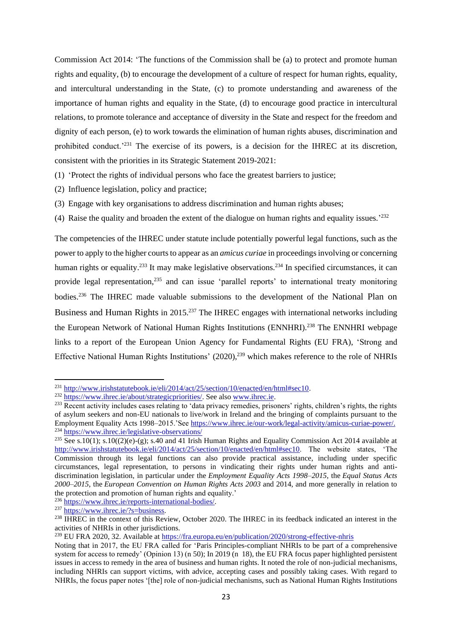Commission Act 2014: 'The functions of the Commission shall be (a) to protect and promote human rights and equality, (b) to encourage the development of a culture of respect for human rights, equality, and intercultural understanding in the State, (c) to promote understanding and awareness of the importance of human rights and equality in the State, (d) to encourage good practice in intercultural relations, to promote tolerance and acceptance of diversity in the State and respect for the freedom and dignity of each person, (e) to work towards the elimination of human rights abuses, discrimination and prohibited conduct.<sup>'231</sup> The exercise of its powers, is a decision for the IHREC at its discretion, consistent with the priorities in its Strategic Statement 2019-2021:

(1) 'Protect the rights of individual persons who face the greatest barriers to justice;

- (2) Influence legislation, policy and practice;
- (3) Engage with key organisations to address discrimination and human rights abuses;
- (4) Raise the quality and broaden the extent of the dialogue on human rights and equality issues.' 232

The competencies of the IHREC under statute include potentially powerful legal functions, such as the power to apply to the higher courts to appear as an *amicus curiae* in proceedings involving or concerning human rights or equality.<sup>233</sup> It may make legislative observations.<sup>234</sup> In specified circumstances, it can provide legal representation,<sup>235</sup> and can issue 'parallel reports' to international treaty monitoring bodies.<sup>236</sup> The IHREC made valuable submissions to the development of the National Plan on Business and Human Rights in 2015.<sup>237</sup> The IHREC engages with international networks including the European Network of National Human Rights Institutions (ENNHRI).<sup>238</sup> The ENNHRI webpage links to a report of the European Union Agency for Fundamental Rights (EU FRA), 'Strong and Effective National Human Rights Institutions' (2020),<sup>239</sup> which makes reference to the role of NHRIs

<sup>236</sup> [https://www.ihrec.ie/reports-international-bodies/.](https://www.ihrec.ie/reports-international-bodies/)

<sup>237</sup> [https://www.ihrec.ie/?s=business.](https://www.ihrec.ie/?s=business)

<sup>239</sup> EU FRA 2020, 32. Available at<https://fra.europa.eu/en/publication/2020/strong-effective-nhris>

<span id="page-26-0"></span><sup>231</sup> [http://www.irishstatutebook.ie/eli/2014/act/25/section/10/enacted/en/html#sec10.](http://www.irishstatutebook.ie/eli/2014/act/25/section/10/enacted/en/html#sec10)

<sup>&</sup>lt;sup>232</sup> [https://www.ihrec.ie/about/strategicpriorities/.](https://www.ihrec.ie/about/strategicpriorities/) See also [www.ihrec.ie.](https://www.ihrec.ie/)

<sup>&</sup>lt;sup>233</sup> Recent activity includes cases relating to 'data privacy remedies, prisoners' rights, children's rights, the rights of asylum seekers and non-EU nationals to live/work in Ireland and the bringing of complaints pursuant to the Employment Equality Acts 1998–2015.'See [https://www.ihrec.ie/our-work/legal-activity/amicus-curiae-power/.](https://www.ihrec.ie/our-work/legal-activity/amicus-curiae-power/) <sup>234</sup> <https://www.ihrec.ie/legislative-observations/>

<sup>&</sup>lt;sup>235</sup> See s.10(1); s.10((2)(e)-(g); s.40 and 41 Irish Human Rights and Equality Commission Act 2014 available at [http://www.irishstatutebook.ie/eli/2014/act/25/section/10/enacted/en/html#sec10.](http://www.irishstatutebook.ie/eli/2014/act/25/section/10/enacted/en/html#sec10) The website states, 'The Commission through its legal functions can also provide practical assistance, including under specific circumstances, legal representation, to persons in vindicating their rights under human rights and antidiscrimination legislation, in particular under the *Employment Equality Acts 1998–2015*, the *Equal Status Acts 2000–2015*, the *European Convention on Human Rights Acts 2003* and 2014, and more generally in relation to the protection and promotion of human rights and equality.'

<sup>&</sup>lt;sup>238</sup> IHREC in the context of this Review, October 2020. The IHREC in its feedback indicated an interest in the activities of NHRIs in other jurisdictions.

Noting that in 2017, the EU FRA called for 'Paris Principles-compliant NHRIs to be part of a comprehensive system for access to remedy' (Opinion 13) (n [50\)](#page-10-3); In 2019 (n [18\)](#page-7-1), the EU FRA focus paper highlighted persistent issues in access to remedy in the area of business and human rights. It noted the role of non-judicial mechanisms, including NHRIs can support victims, with advice, accepting cases and possibly taking cases. With regard to NHRIs, the focus paper notes '[the] role of non-judicial mechanisms, such as National Human Rights Institutions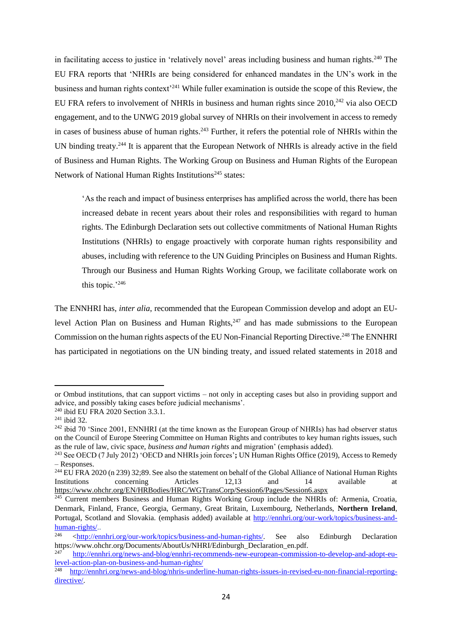in facilitating access to justice in 'relatively novel' areas including business and human rights.<sup>240</sup> The EU FRA reports that 'NHRIs are being considered for enhanced mandates in the UN's work in the business and human rights context'<sup>241</sup> While fuller examination is outside the scope of this Review, the EU FRA refers to involvement of NHRIs in business and human rights since 2010,<sup>242</sup> via also OECD engagement, and to the UNWG 2019 global survey of NHRIs on their involvement in access to remedy in cases of business abuse of human rights.<sup>243</sup> Further, it refers the potential role of NHRIs within the UN binding treaty.<sup>244</sup> It is apparent that the European Network of NHRIs is already active in the field of Business and Human Rights. The Working Group on Business and Human Rights of the European Network of National Human Rights Institutions<sup>245</sup> states:

'As the reach and impact of business enterprises has amplified across the world, there has been increased debate in recent years about their roles and responsibilities with regard to human rights. The [Edinburgh Declaration](https://nhri.ohchr.org/EN/Themes/BusinessHR/DocumentsPage/Edinburgh_Declaration_ENG.pdf) sets out collective commitments of [National Human Rights](http://ennhri.org/about-nhris/)  [Institutions \(NHRIs\)](http://ennhri.org/about-nhris/) to engage proactively with corporate human rights responsibility and abuses, including with reference to the UN Guiding Principles on Business and Human Rights. Through our Business and Human Rights Working Group, we facilitate collaborate work on this topic.'<sup>246</sup>

The ENNHRI has, *inter alia*, recommended that the European Commission develop and adopt an EUlevel Action Plan on Business and Human Rights, $247$  and has made submissions to the European Commission on the human rights aspects of the EU Non-Financial Reporting Directive.<sup>248</sup> The ENNHRI has participated in negotiations on the UN binding treaty, and issued related statements in 2018 and

or Ombud institutions, that can support victims – not only in accepting cases but also in providing support and advice, and possibly taking cases before judicial mechanisms'.

<sup>&</sup>lt;sup>240</sup> ibid EU FRA 2020 Section 3.3.1.

 $241$  ibid 32.

<sup>&</sup>lt;sup>242</sup> ibid 70 'Since 2001, ENNHRI (at the time known as the European Group of NHRIs) has had observer status on the Council of Europe Steering Committee on Human Rights and contributes to key human rights issues, such as the rule of law, civic space, *business and human rights* and migration' (emphasis added).

<sup>243</sup> See OECD (7 July 2012) 'OECD and NHRIs join forces'**;** UN Human Rights Office (2019), Access to Remedy – Responses.

<sup>&</sup>lt;sup>244</sup> EU FRA 2020 (n [239\)](#page-26-0) 32;89. See also the statement on behalf of the Global Alliance of National Human Rights Institutions concerning Articles 12,13 and 14 available at <https://www.ohchr.org/EN/HRBodies/HRC/WGTransCorp/Session6/Pages/Session6.aspx>

<sup>&</sup>lt;sup>245</sup> Current members Business and Human Rights Working Group include the NHRIs of: Armenia, Croatia, Denmark, Finland, France, Georgia, Germany, Great Britain, Luxembourg, Netherlands, **Northern Ireland**, Portugal, Scotland and Slovakia. (emphasis added) available at [http://ennhri.org/our-work/topics/business-and-](http://ennhri.org/our-work/topics/business-and-human-rights/) $\frac{\text{human-right}/\text{.}}{246}$ 

<sup>246</sup> [<http://ennhri.org/our-work/topics/business-and-human-rights/.](http://ennhri.org/our-work/topics/business-and-human-rights/) See also Edinburgh Declaration https://www.ohchr.org/Documents/AboutUs/NHRI/Edinburgh\_Declaration\_en.pdf.

<sup>247</sup> [http://ennhri.org/news-and-blog/ennhri-recommends-new-european-commission-to-develop-and-adopt-eu](http://ennhri.org/news-and-blog/ennhri-recommends-new-european-commission-to-develop-and-adopt-eu-level-action-plan-on-business-and-human-rights/)[level-action-plan-on-business-and-human-rights/](http://ennhri.org/news-and-blog/ennhri-recommends-new-european-commission-to-develop-and-adopt-eu-level-action-plan-on-business-and-human-rights/)

<sup>248</sup> [http://ennhri.org/news-and-blog/nhris-underline-human-rights-issues-in-revised-eu-non-financial-reporting](http://ennhri.org/news-and-blog/nhris-underline-human-rights-issues-in-revised-eu-non-financial-reporting-directive/)[directive/.](http://ennhri.org/news-and-blog/nhris-underline-human-rights-issues-in-revised-eu-non-financial-reporting-directive/)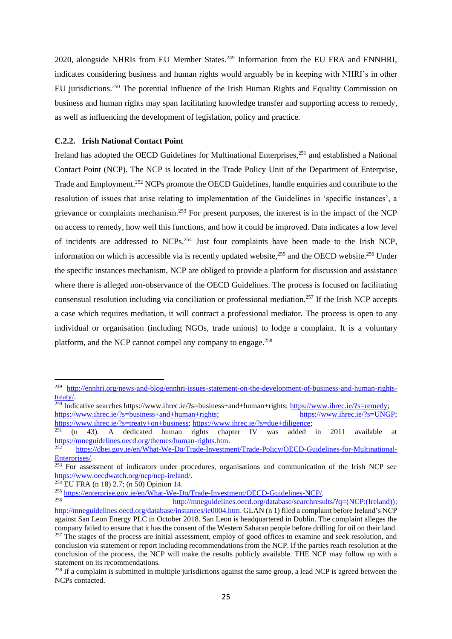2020, alongside NHRIs from EU Member States.<sup>249</sup> Information from the EU FRA and ENNHRI, indicates considering business and human rights would arguably be in keeping with NHRI's in other EU jurisdictions.<sup>250</sup> The potential influence of the Irish Human Rights and Equality Commission on business and human rights may span facilitating knowledge transfer and supporting access to remedy, as well as influencing the development of legislation, policy and practice.

#### **C.2.2. Irish National Contact Point**

Ireland has adopted the OECD Guidelines for Multinational Enterprises.<sup>251</sup> and established a National Contact Point (NCP). The NCP is located in the Trade Policy Unit of the Department of Enterprise, Trade and Employment.<sup>252</sup> NCPs promote the OECD Guidelines, handle enquiries and contribute to the resolution of issues that arise relating to implementation of the Guidelines in 'specific instances', a grievance or complaints mechanism.<sup>253</sup> For present purposes, the interest is in the impact of the NCP on access to remedy, how well this functions, and how it could be improved. Data indicates a low level of incidents are addressed to NCPs.<sup>254</sup> Just four complaints have been made to the Irish NCP, information on which is accessible via is recently updated website, $255$  and the OECD website. $256$  Under the specific instances mechanism, NCP are obliged to provide a platform for discussion and assistance where there is alleged non-observance of the OECD Guidelines. The process is focused on facilitating consensual resolution including via conciliation or professional mediation.<sup>257</sup> If the Irish NCP accepts a case which requires mediation, it will contract a professional mediator. The process is open to any individual or organisation (including NGOs, trade unions) to lodge a complaint. It is a voluntary platform, and the NCP cannot compel any company to engage.<sup>258</sup>

<sup>254</sup> EU FRA (n [18\)](#page-7-1) 2.7; (n [50\)](#page-10-1) Opinion 14.

<sup>249</sup> [http://ennhri.org/news-and-blog/ennhri-issues-statement-on-the-development-of-business-and-human-rights](http://ennhri.org/news-and-blog/ennhri-issues-statement-on-the-development-of-business-and-human-rights-treaty/)[treaty/.](http://ennhri.org/news-and-blog/ennhri-issues-statement-on-the-development-of-business-and-human-rights-treaty/)

<sup>&</sup>lt;sup>250</sup> Indicative searches https://www.ihrec.ie/?s=business+and+human+rights; [https://www.ihrec.ie/?s=remedy;](https://www.ihrec.ie/?s=remedy) [https://www.ihrec.ie/?s=business+and+human+rights;](https://www.ihrec.ie/?s=business+and+human+rights) [https://www.ihrec.ie/?s=UNGP;](https://www.ihrec.ie/?s=UNGP)

[https://www.ihrec.ie/?s=treaty+on+business;](https://www.ihrec.ie/?s=treaty+on+business) [https://www.ihrec.ie/?s=due+diligence;](https://www.ihrec.ie/?s=due+diligence)<br>251 (p. 43) A dodicated buman rights shapter IV wes added <sup>251</sup> (n [43\)](#page-9-6). A dedicated human rights chapter IV was added in 2011 available at [https://mneguidelines.oecd.org/themes/human-rights.htm.](https://mneguidelines.oecd.org/themes/human-rights.htm)

<sup>252</sup> [https://dbei.gov.ie/en/What-We-Do/Trade-Investment/Trade-Policy/OECD-Guidelines-for-Multinational-](https://dbei.gov.ie/en/What-We-Do/Trade-Investment/Trade-Policy/OECD-Guidelines-for-Multinational-Enterprises/)[Enterprises/.](https://dbei.gov.ie/en/What-We-Do/Trade-Investment/Trade-Policy/OECD-Guidelines-for-Multinational-Enterprises/)

<sup>&</sup>lt;sup>253</sup> For assessment of indicators under procedures, organisations and communication of the Irish NCP see [https://www.oecdwatch.org/ncp/ncp-ireland/.](https://www.oecdwatch.org/ncp/ncp-ireland/)

<sup>&</sup>lt;sup>255</sup> [https://enterprise.gov.ie/en/What-We-Do/Trade-Investment/OECD-Guidelines-NCP/.](https://enterprise.gov.ie/en/What-We-Do/Trade-Investment/OECD-Guidelines-NCP/)<br>256 http://magazidelines.good.gra/database/sasashagay

<sup>256</sup> [http://mneguidelines.oecd.org/database/searchresults/?q=\(NCP:\(Ireland\)\);](http://mneguidelines.oecd.org/database/searchresults/?q=(NCP:(Ireland))) [http://mneguidelines.oecd.org/database/instances/ie0004.htm.](http://mneguidelines.oecd.org/database/instances/ie0004.htm) GLAN ([n 1\)](#page-1-0) filed a complaint before Ireland's NCP against San Leon Energy PLC in October 2018. San Leon is headquartered in Dublin. The complaint alleges the company failed to ensure that it has the consent of the Western Saharan people before drilling for oil on their land. <sup>257</sup> The stages of the process are initial assessment, employ of good offices to examine and seek resolution, and conclusion via statement or report including recommendations from the NCP. If the parties reach resolution at the conclusion of the process, the NCP will make the results publicly available. THE NCP may follow up with a statement on its recommendations.

<sup>&</sup>lt;sup>258</sup> If a complaint is submitted in multiple jurisdictions against the same group, a lead NCP is agreed between the NCPs contacted.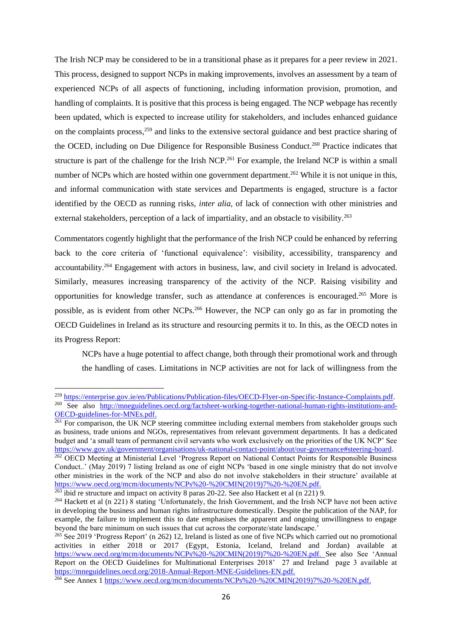The Irish NCP may be considered to be in a transitional phase as it prepares for a peer review in 2021. This process, designed to support NCPs in making improvements, involves an assessment by a team of experienced NCPs of all aspects of functioning, including information provision, promotion, and handling of complaints. It is positive that this process is being engaged. The NCP webpage has recently been updated, which is expected to increase utility for stakeholders, and includes enhanced guidance on the complaints process,<sup>259</sup> and links to the extensive sectoral guidance and best practice sharing of the OCED, including on Due Diligence for Responsible Business Conduct. <sup>260</sup> Practice indicates that structure is part of the challenge for the Irish NCP.<sup>261</sup> For example, the Ireland NCP is within a small number of NCPs which are hosted within one government department.<sup>262</sup> While it is not unique in this, and informal communication with state services and Departments is engaged, structure is a factor identified by the OECD as running risks, *inter alia*, of lack of connection with other ministries and external stakeholders, perception of a lack of impartiality, and an obstacle to visibility.<sup>263</sup>

<span id="page-29-0"></span>Commentators cogently highlight that the performance of the Irish NCP could be enhanced by referring back to the core criteria of 'functional equivalence': visibility, accessibility, transparency and accountability.<sup>264</sup> Engagement with actors in business, law, and civil society in Ireland is advocated. Similarly, measures increasing transparency of the activity of the NCP. Raising visibility and opportunities for knowledge transfer, such as attendance at conferences is encouraged. <sup>265</sup> More is possible, as is evident from other NCPs.<sup>266</sup> However, the NCP can only go as far in promoting the OECD Guidelines in Ireland as its structure and resourcing permits it to. In this, as the OECD notes in its Progress Report:

NCPs have a huge potential to affect change, both through their promotional work and through the handling of cases. Limitations in NCP activities are not for lack of willingness from the

<sup>259</sup> [https://enterprise.gov.ie/en/Publications/Publication-files/OECD-Flyer-on-Specific-Instance-Complaints.pdf.](https://enterprise.gov.ie/en/Publications/Publication-files/OECD-Flyer-on-Specific-Instance-Complaints.pdf) <sup>260</sup> See also [http://mneguidelines.oecd.org/factsheet-working-together-national-human-rights-institutions-and-](http://mneguidelines.oecd.org/factsheet-working-together-national-human-rights-institutions-and-OECD-guidelines-for-MNEs.pdf)[OECD-guidelines-for-MNEs.pdf.](http://mneguidelines.oecd.org/factsheet-working-together-national-human-rights-institutions-and-OECD-guidelines-for-MNEs.pdf)

<sup>&</sup>lt;sup>261</sup> For comparison, the UK NCP steering committee including external members from stakeholder groups such as business, trade unions and NGOs, representatives from relevant government departments. It has a dedicated budget and 'a small team of permanent civil servants who work exclusively on the priorities of the UK NCP' See [https://www.gov.uk/government/organisations/uk-national-contact-point/about/our-governance#steering-board.](https://www.gov.uk/government/organisations/uk-national-contact-point/about/our-governance#steering-board)

<sup>&</sup>lt;sup>262</sup> OECD Meeting at Ministerial Level 'Progress Report on National Contact Points for Responsible Business Conduct..' (May 2019) 7 listing Ireland as one of eight NCPs 'based in one single ministry that do not involve other ministries in the work of the NCP and also do not involve stakeholders in their structure' available at [https://www.oecd.org/mcm/documents/NCPs%20-%20CMIN\(2019\)7%20-%20EN.pdf.](https://www.oecd.org/mcm/documents/NCPs%20-%20CMIN(2019)7%20-%20EN.pdf)

 $^{263}$  ibid re structure and impact on activity 8 paras 20-22. See also Hackett et al ([n 221\)](#page-25-0) 9.

<sup>&</sup>lt;sup>264</sup> Hackett et al (n [221\)](#page-25-0) 8 stating 'Unfortunately, the Irish Government, and the Irish NCP have not been active in developing the business and human rights infrastructure domestically. Despite the publication of the NAP, for example, the failure to implement this to date emphasises the apparent and ongoing unwillingness to engage beyond the bare minimum on such issues that cut across the corporate/state landscape.'

<sup>&</sup>lt;sup>265</sup> See 2019 'Progress Report' ([n 262\)](#page-29-0) 12. Ireland is listed as one of five NCPs which carried out no promotional activities in either 2018 or 2017 (Egypt, Estonia, Iceland, Ireland and Jordan) available at [https://www.oecd.org/mcm/documents/NCPs%20-%20CMIN\(2019\)7%20-%20EN.pdf.](https://www.oecd.org/mcm/documents/NCPs%20-%20CMIN(2019)7%20-%20EN.pdf) See also See 'Annual Report on the OECD Guidelines for Multinational Enterprises 2018' 27 and Ireland page 3 available at [https://mneguidelines.oecd.org/2018-Annual-Report-MNE-Guidelines-EN.pdf.](https://mneguidelines.oecd.org/2018-Annual-Report-MNE-Guidelines-EN.pdf)

<sup>&</sup>lt;sup>266</sup> See Annex 1 [https://www.oecd.org/mcm/documents/NCPs%20-%20CMIN\(2019\)7%20-%20EN.pdf.](https://www.oecd.org/mcm/documents/NCPs%20-%20CMIN(2019)7%20-%20EN.pdf)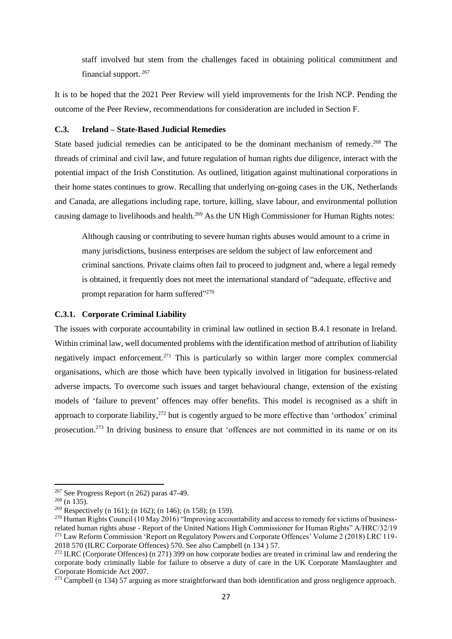staff involved but stem from the challenges faced in obtaining political commitment and financial support. <sup>267</sup>

It is to be hoped that the 2021 Peer Review will yield improvements for the Irish NCP. Pending the outcome of the Peer Review, recommendations for consideration are included in Section F.

## **C.3. Ireland – State-Based Judicial Remedies**

State based judicial remedies can be anticipated to be the dominant mechanism of remedy.<sup>268</sup> The threads of criminal and civil law, and future regulation of human rights due diligence, interact with the potential impact of the Irish Constitution. As outlined, litigation against multinational corporations in their home states continues to grow. Recalling that underlying on-going cases in the UK, Netherlands and Canada, are allegations including rape, torture, killing, slave labour, and environmental pollution causing damage to livelihoods and health.<sup>269</sup> As the UN High Commissioner for Human Rights notes:

Although causing or contributing to severe human rights abuses would amount to a crime in many jurisdictions, business enterprises are seldom the subject of law enforcement and criminal sanctions. Private claims often fail to proceed to judgment and, where a legal remedy is obtained, it frequently does not meet the international standard of "adequate, effective and prompt reparation for harm suffered"<sup>270</sup>

## **C.3.1. Corporate Criminal Liability**

<span id="page-30-0"></span>The issues with corporate accountability in criminal law outlined in section B.4.1 resonate in Ireland. Within criminal law, well documented problems with the identification method of attribution of liability negatively impact enforcement.<sup>271</sup> This is particularly so within larger more complex commercial organisations, which are those which have been typically involved in litigation for business-related adverse impacts. To overcome such issues and target behavioural change, extension of the existing models of 'failure to prevent' offences may offer benefits. This model is recognised as a shift in approach to corporate liability,  $272$  but is cogently argued to be more effective than 'orthodox' criminal prosecution.<sup>273</sup> In driving business to ensure that 'offences are not committed in its name or on its

<sup>267</sup> See Progress Report ([n 262\)](#page-29-0) paras 47-49.

<sup>268</sup> (n [135\)](#page-16-1).

<sup>&</sup>lt;sup>269</sup> Respectively (n [161\)](#page-19-3); ([n 162\)](#page-19-2); (n [146\)](#page-17-2); ([n 158\)](#page-18-4); (n [159\)](#page-18-0).

<sup>&</sup>lt;sup>270</sup> Human Rights Council (10 May 2016) "Improving accountability and access to remedy for victims of businessrelated human rights abuse - Report of the United Nations High Commissioner for Human Rights" A/HRC/32/19 <sup>271</sup> Law Reform Commission 'Report on Regulatory Powers and Corporate Offences' Volume 2 (2018) LRC 119- 2018 570 (ILRC Corporate Offences) 570. See also Campbell (n [134](#page-16-2) ) 57.

<sup>&</sup>lt;sup>272</sup> ILRC (Corporate Offences) ([n 271\)](#page-30-0) 399 on how corporate bodies are treated in criminal law and rendering the corporate body criminally liable for failure to observe a duty of care in the UK Corporate Manslaughter and Corporate Homicide Act 2007.

 $^{273}$  Campbell (n [134\)](#page-16-2) 57 arguing as more straightforward than both identification and gross negligence approach.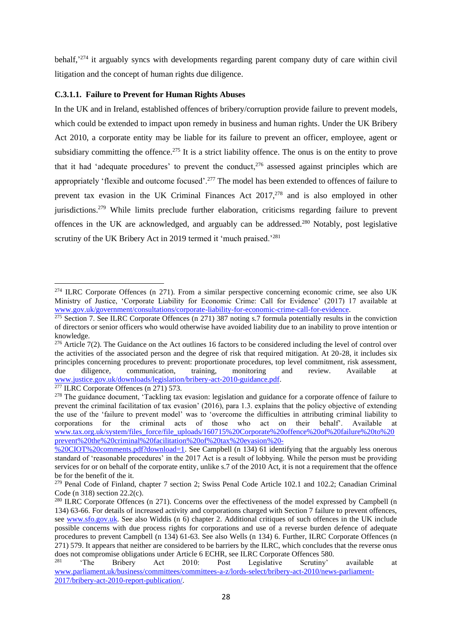behalf,<sup>274</sup> it arguably syncs with developments regarding parent company duty of care within civil litigation and the concept of human rights due diligence.

## **C.3.1.1. Failure to Prevent for Human Rights Abuses**

In the UK and in Ireland, established offences of bribery/corruption provide failure to prevent models, which could be extended to impact upon remedy in business and human rights. Under the UK Bribery Act 2010, a corporate entity may be liable for its failure to prevent an officer, employee, agent or subsidiary committing the offence.<sup>275</sup> It is a strict liability offence. The onus is on the entity to prove that it had 'adequate procedures' to prevent the conduct,<sup>276</sup> assessed against principles which are appropriately 'flexible and outcome focused'.<sup>277</sup> The model has been extended to offences of failure to prevent tax evasion in the UK Criminal Finances Act 2017,<sup>278</sup> and is also employed in other jurisdictions.<sup>279</sup> While limits preclude further elaboration, criticisms regarding failure to prevent offences in the UK are acknowledged, and arguably can be addressed.<sup>280</sup> Notably, post legislative scrutiny of the UK Bribery Act in 2019 termed it 'much praised.'<sup>281</sup>

<sup>277</sup> ILRC Corporate Offences (n [271\)](#page-30-0) 573.

<sup>274</sup> ILRC Corporate Offences (n [271\)](#page-30-0). From a similar perspective concerning economic crime, see also UK Ministry of Justice, 'Corporate Liability for Economic Crime: Call for Evidence' (2017) 17 available at [www.gov.uk/government/consultations/corporate-liability-for-economic-crime-call-for-evidence.](http://www.gov.uk/government/consultations/corporate-liability-for-economic-crime-call-for-evidence)

 $275$  Section 7. See ILRC Corporate Offences (n [271\)](#page-30-0) 387 noting s.7 formula potentially results in the conviction of directors or senior officers who would otherwise have avoided liability due to an inability to prove intention or knowledge.

 $276$  Article 7(2). The Guidance on the Act outlines 16 factors to be considered including the level of control over the activities of the associated person and the degree of risk that required mitigation. At 20-28, it includes six principles concerning procedures to prevent: proportionate procedures, top level commitment, risk assessment, due diligence, communication, training, monitoring and review. Available at [www.justice.gov.uk/downloads/legislation/bribery-act-2010-guidance.pdf.](http://www.justice.gov.uk/downloads/legislation/bribery-act-2010-guidance.pdf)

<sup>&</sup>lt;sup>278</sup> The guidance document, 'Tackling tax evasion: legislation and guidance for a corporate offence of failure to prevent the criminal facilitation of tax evasion' (2016), para 1.3. explains that the policy objective of extending the use of the 'failure to prevent model' was to 'overcome the difficulties in attributing criminal liability to corporations for the criminal acts of those who act on their behalf'. Available at [www.tax.org.uk/system/files\\_force/file\\_uploads/160715%20Corporate%20offence%20of%20failure%20to%20](http://www.tax.org.uk/system/files_force/file_uploads/160715%20Corporate%20offence%20of%20failure%20to%20prevent%20the%20criminal%20facilitation%20of%20tax%20evasion%20-%20CIOT%20comments.pdf?download=1) [prevent%20the%20criminal%20facilitation%20of%20tax%20evasion%20-](http://www.tax.org.uk/system/files_force/file_uploads/160715%20Corporate%20offence%20of%20failure%20to%20prevent%20the%20criminal%20facilitation%20of%20tax%20evasion%20-%20CIOT%20comments.pdf?download=1)

[<sup>%20</sup>CIOT%20comments.pdf?download=1.](http://www.tax.org.uk/system/files_force/file_uploads/160715%20Corporate%20offence%20of%20failure%20to%20prevent%20the%20criminal%20facilitation%20of%20tax%20evasion%20-%20CIOT%20comments.pdf?download=1) See Campbell (n [134\)](#page-16-2) 61 identifying that the arguably less onerous standard of 'reasonable procedures' in the 2017 Act is a result of lobbying. While the person must be providing services for or on behalf of the corporate entity, unlike s.7 of the 2010 Act, it is not a requirement that the offence be for the benefit of the it.

<sup>&</sup>lt;sup>279</sup> Penal Code of Finland, chapter 7 section 2; Swiss Penal Code Article 102.1 and 102.2; Canadian Criminal Code (n 318) section 22.2(c).

<sup>&</sup>lt;sup>280</sup> ILRC Corporate Offences (n [271\)](#page-30-0). Concerns over the effectiveness of the model expressed by Campbell (n [134\)](#page-16-2) 63-66. For details of increased activity and corporations charged with Section 7 failure to prevent offences, see [www.sfo.gov.uk.](http://www.sfo.gov.uk/) See also Widdis (n [6\)](#page-2-2) chapter 2. Additional critiques of such offences in the UK include possible concerns with due process rights for corporations and use of a reverse burden defence of adequate procedures to prevent Campbell (n [134\)](#page-16-2) 61-63. See also Wells (n [134\)](#page-16-2) 6. Further, ILRC Corporate Offences (n [271\)](#page-30-0) 579. It appears that neither are considered to be barriers by the ILRC, which concludes that the reverse onus does not compromise obligations under Article 6 ECHR, see ILRC Corporate Offences 580.

<sup>&</sup>lt;sup>281</sup> 'The Bribery Act 2010: Post Legislative Scrutiny' available at [www.parliament.uk/business/committees/committees-a-z/lords-select/bribery-act-2010/news-parliament-](http://www.parliament.uk/business/committees/committees-a-z/lords-select/bribery-act-2010/news-parliament-2017/bribery-act-2010-report-publication/)[2017/bribery-act-2010-report-publication/.](http://www.parliament.uk/business/committees/committees-a-z/lords-select/bribery-act-2010/news-parliament-2017/bribery-act-2010-report-publication/)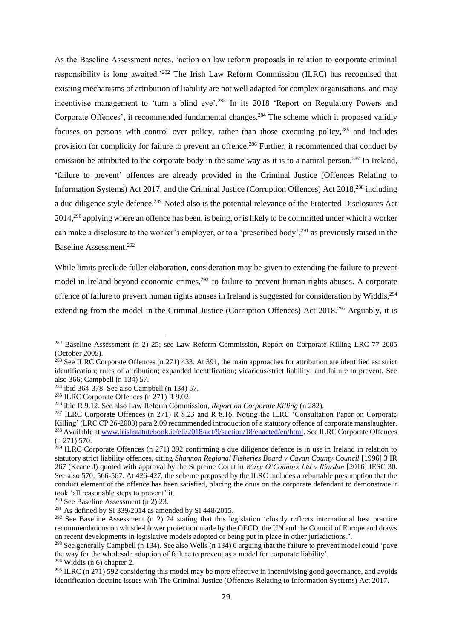<span id="page-32-0"></span>As the Baseline Assessment notes, 'action on law reform proposals in relation to corporate criminal responsibility is long awaited.'<sup>282</sup> The Irish Law Reform Commission (ILRC) has recognised that existing mechanisms of attribution of liability are not well adapted for complex organisations, and may incentivise management to 'turn a blind eye'.<sup>283</sup> In its 2018 'Report on Regulatory Powers and Corporate Offences', it recommended fundamental changes.<sup>284</sup> The scheme which it proposed validly focuses on persons with control over policy, rather than those executing policy,<sup>285</sup> and includes provision for complicity for failure to prevent an offence.<sup>286</sup> Further, it recommended that conduct by omission be attributed to the corporate body in the same way as it is to a natural person.<sup>287</sup> In Ireland, 'failure to prevent' offences are already provided in the Criminal Justice (Offences Relating to Information Systems) Act 2017, and the Criminal Justice (Corruption Offences) Act 2018,<sup>288</sup> including a due diligence style defence.<sup>289</sup> Noted also is the potential relevance of the Protected Disclosures Act 2014,<sup>290</sup> applying where an offence has been, is being, or is likely to be committed under which a worker can make a disclosure to the worker's employer, or to a 'prescribed body',<sup>291</sup> as previously raised in the Baseline Assessment.<sup>292</sup>

While limits preclude fuller elaboration, consideration may be given to extending the failure to prevent model in Ireland beyond economic crimes, $293$  to failure to prevent human rights abuses. A corporate offence of failure to prevent human rights abuses in Ireland is suggested for consideration by Widdis, <sup>294</sup> extending from the model in the Criminal Justice (Corruption Offences) Act 2018.<sup>295</sup> Arguably, it is

<sup>282</sup> Baseline Assessment (n [2\)](#page-2-0) 25; see Law Reform Commission, Report on Corporate Killing LRC 77-2005 (October 2005).

 $^{283}$  See ILRC Corporate Offences (n [271\)](#page-30-0) 433. At 391, the main approaches for attribution are identified as: strict identification; rules of attribution; expanded identification; vicarious/strict liability; and failure to prevent. See also 366; Campbell (n [134\)](#page-16-2) 57.

<sup>284</sup> ibid 364-378. See also Campbell (n [134\)](#page-16-2) 57.

<sup>&</sup>lt;sup>285</sup> ILRC Corporate Offences  $(n 271)$  $(n 271)$  R 9.02.

<sup>286</sup> ibid R 9.12. See also Law Reform Commission, *Report on Corporate Killing* (n [282\)](#page-32-0).

<sup>&</sup>lt;sup>287</sup> ILRC Corporate Offences (n [271\)](#page-30-0) R 8.23 and R 8.16. Noting the ILRC 'Consultation Paper on Corporate Killing' (LRC CP 26-2003) para 2.09 recommended introduction of a statutory offence of corporate manslaughter. <sup>288</sup> Available a[t www.irishstatutebook.ie/eli/2018/act/9/section/18/enacted/en/html.](http://www.irishstatutebook.ie/eli/2018/act/9/section/18/enacted/en/html) See ILRC Corporate Offences (n [271\)](#page-30-0) 570.

<sup>&</sup>lt;sup>289</sup> ILRC Corporate Offences (n [271\)](#page-30-0) 392 confirming a due diligence defence is in use in Ireland in relation to statutory strict liability offences, citing *Shannon Regional Fisheries Board v Cavan County Council* [1996] 3 IR 267 (Keane J) quoted with approval by the Supreme Court in *Waxy O'Connors Ltd v Riordan* [2016] IESC 30. See also 570; 566-567. At 426-427, the scheme proposed by the ILRC includes a rebuttable presumption that the conduct element of the offence has been satisfied, placing the onus on the corporate defendant to demonstrate it took 'all reasonable steps to prevent' it.

<sup>290</sup> See Baseline Assessment ([n 2\)](#page-2-0) 23.

 $291$  As defined by SI 339/2014 as amended by SI 448/2015.

<sup>&</sup>lt;sup>292</sup> See Baseline Assessment (n [2\)](#page-2-0) 24 stating that this legislation 'closely reflects international best practice recommendations on whistle-blower protection made by the OECD, the UN and the Council of Europe and draws on recent developments in legislative models adopted or being put in place in other jurisdictions.'.

<sup>&</sup>lt;sup>293</sup> See generally Campbell (n [134\)](#page-16-2). See also Wells (n 134) 6 arguing that the failure to prevent model could 'pave the way for the wholesale adoption of failure to prevent as a model for corporate liability'.

 $294$  Widdis (n [6\)](#page-2-2) chapter 2.

<sup>&</sup>lt;sup>295</sup> ILRC (n [271\)](#page-30-0) 592 considering this model may be more effective in incentivising good governance, and avoids identification doctrine issues with The Criminal Justice (Offences Relating to Information Systems) Act 2017.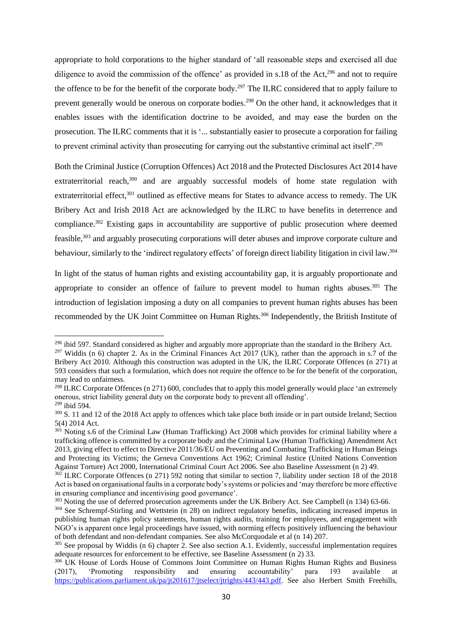appropriate to hold corporations to the higher standard of 'all reasonable steps and exercised all due diligence to avoid the commission of the offence' as provided in s.18 of the Act,<sup>296</sup> and not to require the offence to be for the benefit of the corporate body.<sup>297</sup> The ILRC considered that to apply failure to prevent generally would be onerous on corporate bodies.<sup>298</sup> On the other hand, it acknowledges that it enables issues with the identification doctrine to be avoided, and may ease the burden on the prosecution. The ILRC comments that it is '... substantially easier to prosecute a corporation for failing to prevent criminal activity than prosecuting for carrying out the substantive criminal act itself<sup>'.299</sup>

Both the Criminal Justice (Corruption Offences) Act 2018 and the Protected Disclosures Act 2014 have extraterritorial reach,<sup>300</sup> and are arguably successful models of home state regulation with extraterritorial effect,<sup>301</sup> outlined as effective means for States to advance access to remedy. The UK Bribery Act and Irish 2018 Act are acknowledged by the ILRC to have benefits in deterrence and compliance.<sup>302</sup> Existing gaps in accountability are supportive of public prosecution where deemed feasible,<sup>303</sup> and arguably prosecuting corporations will deter abuses and improve corporate culture and behaviour, similarly to the 'indirect regulatory effects' of foreign direct liability litigation in civil law.<sup>304</sup>

In light of the status of human rights and existing accountability gap, it is arguably proportionate and appropriate to consider an offence of failure to prevent model to human rights abuses.<sup>305</sup> The introduction of legislation imposing a duty on all companies to prevent human rights abuses has been recommended by the UK Joint Committee on Human Rights.<sup>306</sup> Independently, the British Institute of

<span id="page-33-0"></span><sup>&</sup>lt;sup>296</sup> ibid 597. Standard considered as higher and arguably more appropriate than the standard in the Bribery Act.

<sup>&</sup>lt;sup>297</sup> Widdis (n [6\)](#page-2-2) chapter 2. As in the Criminal Finances Act  $2017$  (UK), rather than the approach in s.7 of the Bribery Act 2010. Although this construction was adopted in the UK, the ILRC Corporate Offences (n [271\)](#page-30-0) at 593 considers that such a formulation, which does not require the offence to be for the benefit of the corporation, may lead to unfairness.

<sup>&</sup>lt;sup>298</sup> ILRC Corporate Offences (n [271\)](#page-30-0) 600, concludes that to apply this model generally would place 'an extremely onerous, strict liability general duty on the corporate body to prevent all offending'.

 $299$  ibid 594.

<sup>300</sup> S. 11 and 12 of the 2018 Act apply to offences which take place both inside or in part outside Ireland; Section 5(4) 2014 Act.

<sup>&</sup>lt;sup>301</sup> Noting s.6 of the Criminal Law (Human Trafficking) Act 2008 which provides for criminal liability where a trafficking offence is committed by a corporate body and the Criminal Law (Human Trafficking) Amendment Act 2013, giving effect to effect to Directive 2011/36/EU on Preventing and Combating Trafficking in Human Beings and Protecting its Victims; the Geneva Conventions Act 1962; Criminal Justice (United Nations Convention Against Torture) Act 2000, International Criminal Court Act 2006. See also Baseline Assessment (n [2\)](#page-2-0) 49.

 $302$  ILRC Corporate Offences (n [271\)](#page-30-0) 592 noting that similar to section 7, liability under section 18 of the 2018 Act is based on organisational faults in a corporate body's systems or policies and 'may therefore be more effective in ensuring compliance and incentivising good governance'.

<sup>&</sup>lt;sup>303</sup> Noting the use of deferred prosecution agreements under the UK Bribery Act. See Campbell (n [134\)](#page-16-2) 63-66.

<sup>&</sup>lt;sup>304</sup> See Schrempf-Stirling and Wettstein (n [28\)](#page-8-2) on indirect regulatory benefits, indicating increased impetus in publishing human rights policy statements, human rights audits, training for employees, and engagement with NGO's is apparent once legal proceedings have issued, with norming effects positively influencing the behaviour of both defendant and non-defendant companies. See also McCorquodale et al (n [14\)](#page-6-1) 207.

<sup>&</sup>lt;sup>305</sup> See proposal by Widdis (n [6\)](#page-2-2) chapter 2. See also section A.1. Evidently, successful implementation requires adequate resources for enforcement to be effective, see Baseline Assessment (n [2\)](#page-2-0) 33.

<sup>&</sup>lt;sup>306</sup> UK House of Lords House of Commons Joint Committee on Human Rights Human Rights and Business (2017), <br>
(2017), 'Promoting responsibility and ensuring accountability' para 193 available at (2017), 'Promoting responsibility and ensuring accountability' para 193 available at [https://publications.parliament.uk/pa/jt201617/jtselect/jtrights/443/443.pdf.](https://publications.parliament.uk/pa/jt201617/jtselect/jtrights/443/443.pdf) See also Herbert Smith Freehills,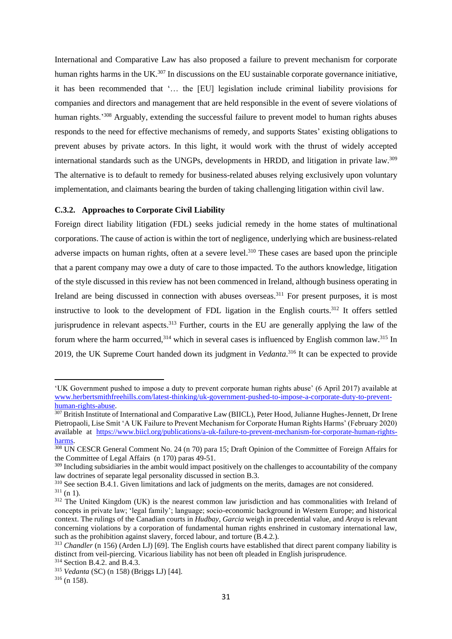International and Comparative Law has also proposed a failure to prevent mechanism for corporate human rights harms in the UK.<sup>307</sup> In discussions on the EU sustainable corporate governance initiative, it has been recommended that '… the [EU] legislation include criminal liability provisions for companies and directors and management that are held responsible in the event of severe violations of human rights.<sup>'308</sup> Arguably, extending the successful failure to prevent model to human rights abuses responds to the need for effective mechanisms of remedy, and supports States' existing obligations to prevent abuses by private actors. In this light, it would work with the thrust of widely accepted international standards such as the UNGPs, developments in HRDD, and litigation in private law.<sup>309</sup> The alternative is to default to remedy for business-related abuses relying exclusively upon voluntary implementation, and claimants bearing the burden of taking challenging litigation within civil law.

#### **C.3.2. Approaches to Corporate Civil Liability**

Foreign direct liability litigation (FDL) seeks judicial remedy in the home states of multinational corporations. The cause of action is within the tort of negligence, underlying which are business-related adverse impacts on human rights, often at a severe level. <sup>310</sup> These cases are based upon the principle that a parent company may owe a duty of care to those impacted. To the authors knowledge, litigation of the style discussed in this review has not been commenced in Ireland, although business operating in Ireland are being discussed in connection with abuses overseas.<sup>311</sup> For present purposes, it is most instructive to look to the development of FDL ligation in the English courts.<sup>312</sup> It offers settled jurisprudence in relevant aspects.<sup>313</sup> Further, courts in the EU are generally applying the law of the forum where the harm occurred,  $314$  which in several cases is influenced by English common law.  $315$  In 2019, the UK Supreme Court handed down its judgment in *Vedanta*. <sup>316</sup> It can be expected to provide

<sup>&#</sup>x27;UK Government pushed to impose a duty to prevent corporate human rights abuse' (6 April 2017) available at [www.herbertsmithfreehills.com/latest-thinking/uk-government-pushed-to-impose-a-corporate-duty-to-prevent](http://www.herbertsmithfreehills.com/latest-thinking/uk-government-pushed-to-impose-a-corporate-duty-to-prevent-human-rights-abuse)[human-rights-abuse.](http://www.herbertsmithfreehills.com/latest-thinking/uk-government-pushed-to-impose-a-corporate-duty-to-prevent-human-rights-abuse) 

<sup>&</sup>lt;sup>307</sup> British Institute of International and Comparative Law (BIICL), Peter Hood, Julianne Hughes-Jennett, Dr Irene [Pietropaoli,](https://www.biicl.org/people/irene-pietropaoli) [Lise Smit](https://www.biicl.org/people/lise-smit) 'A UK Failure to Prevent Mechanism for Corporate Human Rights Harms' (February 2020) available at [https://www.biicl.org/publications/a-uk-failure-to-prevent-mechanism-for-corporate-human-rights](https://www.biicl.org/publications/a-uk-failure-to-prevent-mechanism-for-corporate-human-rights-harms)[harms.](https://www.biicl.org/publications/a-uk-failure-to-prevent-mechanism-for-corporate-human-rights-harms)

<sup>&</sup>lt;sup>308</sup> UN CESCR General Comment No. 24 (n [70\)](#page-11-0) para 15; Draft Opinion of the Committee of Foreign Affairs for the Committee of Legal Affairs (n [170\)](#page-20-1) paras 49-51.

<sup>&</sup>lt;sup>309</sup> Including subsidiaries in the ambit would impact positively on the challenges to accountability of the company law doctrines of separate legal personality discussed in section B.3.

<sup>310</sup> See section B.4.1. Given limitations and lack of judgments on the merits, damages are not considered.  $311$  (n [1\)](#page-1-0).

<sup>&</sup>lt;sup>312</sup> The United Kingdom (UK) is the nearest common law jurisdiction and has commonalities with Ireland of concepts in private law; 'legal family'; language; socio-economic background in Western Europe; and historical context. The rulings of the Canadian courts in *Hudbay*, *Garcia* weigh in precedential value, and *Araya* is relevant concerning violations by a corporation of fundamental human rights enshrined in customary international law, such as the prohibition against slavery, forced labour, and torture (B.4.2.).

<sup>313</sup> *Chandler* (n [156\)](#page-18-5) (Arden LJ) [69]. The English courts have established that direct parent company liability is distinct from veil-piercing. Vicarious liability has not been oft pleaded in English jurisprudence.

<sup>314</sup> Section B.4.2. and B.4.3.

<sup>315</sup> *Vedanta* (SC) (n [158\)](#page-18-4) (Briggs LJ) [44].

 $316$  (n [158\)](#page-18-4).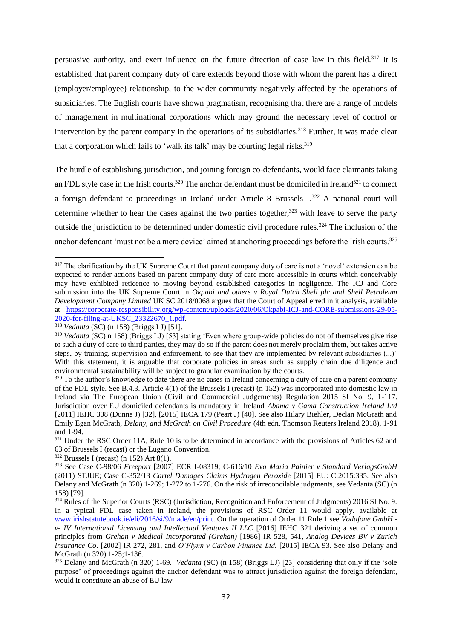persuasive authority, and exert influence on the future direction of case law in this field.<sup>317</sup> It is established that parent company duty of care extends beyond those with whom the parent has a direct (employer/employee) relationship, to the wider community negatively affected by the operations of subsidiaries. The English courts have shown pragmatism, recognising that there are a range of models of management in multinational corporations which may ground the necessary level of control or intervention by the parent company in the operations of its subsidiaries.<sup>318</sup> Further, it was made clear that a corporation which fails to 'walk its talk' may be courting legal risks. $319$ 

<span id="page-35-0"></span>The hurdle of establishing jurisdiction, and joining foreign co-defendants, would face claimants taking an FDL style case in the Irish courts.<sup>320</sup> The anchor defendant must be domiciled in Ireland<sup>321</sup> to connect a foreign defendant to proceedings in Ireland under Article 8 Brussels I.<sup>322</sup> A national court will determine whether to hear the cases against the two parties together, $323$  with leave to serve the party outside the jurisdiction to be determined under domestic civil procedure rules.<sup>324</sup> The inclusion of the anchor defendant 'must not be a mere device' aimed at anchoring proceedings before the Irish courts.<sup>325</sup>

<sup>318</sup> *Vedanta* (SC) (n [158\)](#page-18-4) (Briggs LJ) [51].

<sup>&</sup>lt;sup>317</sup> The clarification by the UK Supreme Court that parent company duty of care is not a 'novel' extension can be expected to render actions based on parent company duty of care more accessible in courts which conceivably may have exhibited reticence to moving beyond established categories in negligence. The ICJ and Core submission into the UK Supreme Court in *Okpabi and others v Royal Dutch Shell plc and Shell Petroleum Development Company Limited* UK SC 2018/0068 argues that the Court of Appeal erred in it analysis, available at [https://corporate-responsibility.org/wp-content/uploads/2020/06/Okpabi-ICJ-and-CORE-submissions-29-05-](https://corporate-responsibility.org/wp-content/uploads/2020/06/Okpabi-ICJ-and-CORE-submissions-29-05-2020-for-filing-at-UKSC_23322670_1.pdf) [2020-for-filing-at-UKSC\\_23322670\\_1.pdf.](https://corporate-responsibility.org/wp-content/uploads/2020/06/Okpabi-ICJ-and-CORE-submissions-29-05-2020-for-filing-at-UKSC_23322670_1.pdf)

<sup>319</sup> *Vedanta* (SC) n [158\)](#page-18-4) (Briggs LJ) [53] stating 'Even where group-wide policies do not of themselves give rise to such a duty of care to third parties, they may do so if the parent does not merely proclaim them, but takes active steps, by training, supervision and enforcement, to see that they are implemented by relevant subsidiaries (...)' With this statement, it is arguable that corporate policies in areas such as supply chain due diligence and environmental sustainability will be subject to granular examination by the courts.

<sup>&</sup>lt;sup>320</sup> To the author's knowledge to date there are no cases in Ireland concerning a duty of care on a parent company of the FDL style. See B.4.3. Article 4(1) of the Brussels I (recast) (n [152\)](#page-18-6) was incorporated into domestic law in Ireland via The European Union (Civil and Commercial Judgements) Regulation 2015 SI No. 9, 1-117. Jurisdiction over EU domiciled defendants is mandatory in Ireland *Abama v Gama Construction Ireland Ltd* [2011] IEHC 308 (Dunne J) [32], [2015] IECA 179 (Peart J) [40]. See also Hilary Biehler, Declan McGrath and Emily Egan McGrath, *Delany, and McGrath on Civil Procedure* (4th edn, Thomson Reuters Ireland 2018), 1-91 and 1-94.

<sup>&</sup>lt;sup>321</sup> Under the RSC Order 11A, Rule 10 is to be determined in accordance with the provisions of Articles 62 and 63 of Brussels I (recast) or the Lugano Convention.

 $322$  Brussels I (recast) (n [152\)](#page-18-6) Art 8(1).

<sup>323</sup> See Case C-98/06 *Freeport* [2007] ECR I-08319; C-616/10 *Eva Maria Painier v Standard VerlagsGmbH*  (2011) STJUE; Case C-352/13 *Cartel Damages Claims Hydrogen Peroxide* [2015] EU: C:2015:335. See also Delany and McGrath (n [320\)](#page-35-0) 1-269; 1-272 to 1-276. On the risk of irreconcilable judgments, see Vedanta (SC) (n [158\)](#page-18-4) [79].

<sup>324</sup> Rules of the Superior Courts (RSC) (Jurisdiction, Recognition and Enforcement of Judgments) 2016 SI No. 9. In a typical FDL case taken in Ireland, the provisions of RSC Order 11 would apply. available at [www.irishstatutebook.ie/eli/2016/si/9/made/en/print.](http://www.irishstatutebook.ie/eli/2016/si/9/made/en/print) On the operation of Order 11 Rule 1 see *Vodafone GmbH v- IV International Licensing and Intellectual Ventures II LLC* [2016] IEHC 321 deriving a set of common principles from *Grehan v Medical Incorporated (Grehan)* [1986] IR 528, 541, *Analog Devices BV v Zurich Insurance Co*. [2002] IR 272, 281, and *O'Flynn v Carbon Finance Ltd.* [2015] IECA 93. See also Delany and McGrath (n [320\)](#page-35-0) 1-25;1-136.

<sup>325</sup> Delany and McGrath (n [320\)](#page-35-0) 1-69. *Vedanta* (SC) (n [158\)](#page-18-4) (Briggs LJ) [23] considering that only if the 'sole purpose' of proceedings against the anchor defendant was to attract jurisdiction against the foreign defendant, would it constitute an abuse of EU law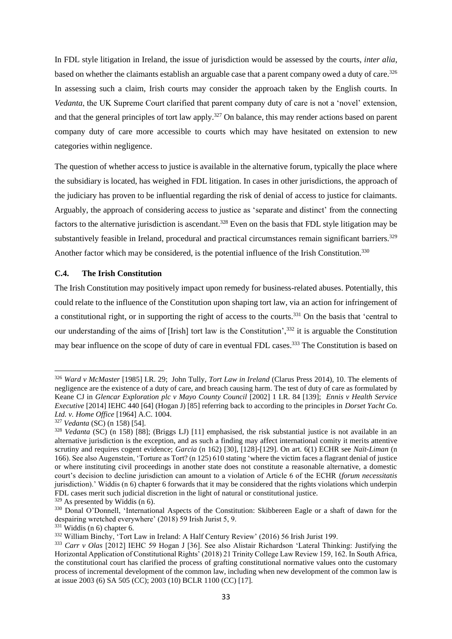In FDL style litigation in Ireland, the issue of jurisdiction would be assessed by the courts, *inter alia*, based on whether the claimants establish an arguable case that a parent company owed a duty of care.<sup>326</sup> In assessing such a claim, Irish courts may consider the approach taken by the English courts. In *Vedanta*, the UK Supreme Court clarified that parent company duty of care is not a 'novel' extension, and that the general principles of tort law apply.<sup>327</sup> On balance, this may render actions based on parent company duty of care more accessible to courts which may have hesitated on extension to new categories within negligence.

The question of whether access to justice is available in the alternative forum, typically the place where the subsidiary is located, has weighed in FDL litigation. In cases in other jurisdictions, the approach of the judiciary has proven to be influential regarding the risk of denial of access to justice for claimants. Arguably, the approach of considering access to justice as 'separate and distinct' from the connecting factors to the alternative jurisdiction is ascendant.<sup>328</sup> Even on the basis that FDL style litigation may be substantively feasible in Ireland, procedural and practical circumstances remain significant barriers.<sup>329</sup> Another factor which may be considered, is the potential influence of the Irish Constitution.<sup>330</sup>

#### **C.4. The Irish Constitution**

<span id="page-36-0"></span>The Irish Constitution may positively impact upon remedy for business-related abuses. Potentially, this could relate to the influence of the Constitution upon shaping tort law, via an action for infringement of a constitutional right, or in supporting the right of access to the courts.<sup>331</sup> On the basis that 'central to our understanding of the aims of [Irish] tort law is the Constitution',<sup>332</sup> it is arguable the Constitution may bear influence on the scope of duty of care in eventual FDL cases.<sup>333</sup> The Constitution is based on

<span id="page-36-1"></span><sup>326</sup> *Ward v McMaster* [1985] I.R. 29; John Tully, *Tort Law in Ireland* (Clarus Press 2014), 10. The elements of negligence are the existence of a duty of care, and breach causing harm. The test of duty of care as formulated by Keane CJ in *Glencar Exploration plc v Mayo County Council* [2002] 1 I.R. 84 [139]; *Ennis v Health Service Executive* [2014] IEHC 440 [64] (Hogan J) [85] referring back to according to the principles in *Dorset Yacht Co. Ltd. v. Home Office* [1964] A.C. 1004.

<sup>327</sup> *Vedanta* (SC) (n [158\)](#page-18-4) [54].

<sup>&</sup>lt;sup>328</sup> *Vedanta* (SC) (n [158\)](#page-18-4) [88]; (Briggs LJ) [11] emphasised, the risk substantial justice is not available in an alternative jurisdiction is the exception, and as such a finding may affect international comity it merits attentive scrutiny and requires cogent evidence; *Garcia* (n [162\)](#page-19-2) [30], [128]-[129]. On art. 6(1) ECHR see *Naït-Liman* (n [166\)](#page-19-0). See also Augenstein, 'Torture as Tort? (n [125\)](#page-16-0) 610 stating 'where the victim faces a flagrant denial of justice or where instituting civil proceedings in another state does not constitute a reasonable alternative, a domestic court's decision to decline jurisdiction can amount to a violation of Article 6 of the ECHR (*forum necessitatis*  jurisdiction).' Widdis (n [6\)](#page-2-2) chapter 6 forwards that it may be considered that the rights violations which underpin FDL cases merit such judicial discretion in the light of natural or constitutional justice.

 $329$  As presented by Widdis (n [6\)](#page-2-2).

<sup>&</sup>lt;sup>330</sup> Donal O'Donnell, 'International Aspects of the Constitution: Skibbereen Eagle or a shaft of dawn for the despairing wretched everywhere' (2018) 59 Irish Jurist 5, 9.

 $331$  Widdis (n [6\)](#page-2-2) chapter 6.

<sup>332</sup> William Binchy, 'Tort Law in Ireland: A Half Century Review' (2016) 56 Irish Jurist 199.

<sup>333</sup> *Carr v Olas* [2012] IEHC 59 Hogan J [36]. See also Alistair Richardson 'Lateral Thinking: Justifying the Horizontal Application of Constitutional Rights' (2018) 21 Trinity College Law Review 159, 162. In South Africa, the constitutional court has clarified the process of grafting constitutional normative values onto the customary process of incremental development of the common law, including when new development of the common law is at issue 2003 (6) SA 505 (CC); 2003 (10) BCLR 1100 (CC) [17].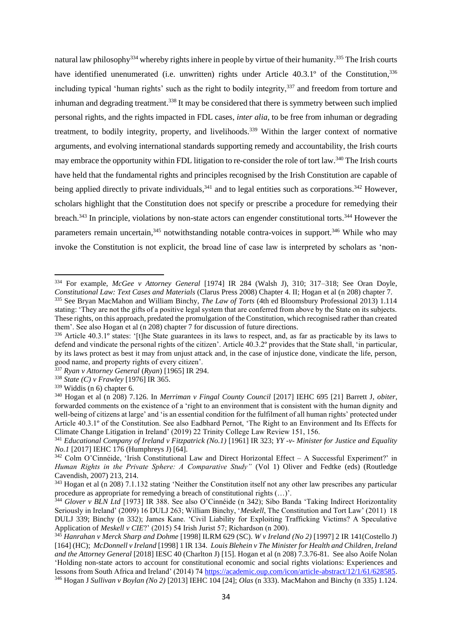<span id="page-37-1"></span>natural law philosophy<sup>334</sup> whereby rights inhere in people by virtue of their humanity.<sup>335</sup> The Irish courts have identified unenumerated (i.e. unwritten) rights under Article 40.3.1° of the Constitution,<sup>336</sup> including typical 'human rights' such as the right to bodily integrity,<sup>337</sup> and freedom from torture and inhuman and degrading treatment.<sup>338</sup> It may be considered that there is symmetry between such implied personal rights, and the rights impacted in FDL cases, *inter alia*, to be free from inhuman or degrading treatment, to bodily integrity, property, and livelihoods.<sup>339</sup> Within the larger context of normative arguments, and evolving international standards supporting remedy and accountability, the Irish courts may embrace the opportunity within FDL litigation to re-consider the role of tort law.<sup>340</sup> The Irish courts have held that the fundamental rights and principles recognised by the Irish Constitution are capable of being applied directly to private individuals,<sup>341</sup> and to legal entities such as corporations.<sup>342</sup> However, scholars highlight that the Constitution does not specify or prescribe a procedure for remedying their breach.<sup>343</sup> In principle, violations by non-state actors can engender constitutional torts.<sup>344</sup> However the parameters remain uncertain,<sup>345</sup> notwithstanding notable contra-voices in support.<sup>346</sup> While who may invoke the Constitution is not explicit, the broad line of case law is interpreted by scholars as 'non-

<span id="page-37-0"></span><sup>334</sup> For example, *McGee v Attorney General* [1974] IR 284 (Walsh J), 310; 317–318; See Oran Doyle, *Constitutional Law: Text Cases and Materials* (Clarus Press 2008) Chapter 4. II; Hogan et al (n [208\)](#page-23-0) chapter 7. <sup>335</sup> See Bryan MacMahon and William Binchy, *The Law of Torts* (4th ed Bloomsbury Professional 2013) 1.114 stating: 'They are not the gifts of a positive legal system that are conferred from above by the State on its subjects. These rights, on this approach, predated the promulgation of the Constitution, which recognised rather than created them'. See also Hogan et al (n [208\)](#page-23-0) chapter 7 for discussion of future directions.

<sup>336</sup> Article 40.3.1º states: '[t]he State guarantees in its laws to respect, and, as far as practicable by its laws to defend and vindicate the personal rights of the citizen'. Article 40.3.2º provides that the State shall, 'in particular, by its laws protect as best it may from unjust attack and, in the case of injustice done, vindicate the life, person, good name, and property rights of every citizen'.

<sup>337</sup> *Ryan v Attorney General* (*Ryan*) [1965] IR 294.

<sup>338</sup> *State (C) v Frawley* [1976] IR 365.

<sup>339</sup> Widdis (n [6\)](#page-2-2) chapter 6.

<sup>340</sup> Hogan et al (n [208\)](#page-23-0) 7.126. In *Merriman v Fingal County Council* [2017] IEHC 695 [21] Barrett J, *obiter*, forwarded comments on the existence of a 'right to an environment that is consistent with the human dignity and well-being of citizens at large' and 'is an essential condition for the fulfilment of all human rights' protected under Article 40.3.1º of the Constitution. See also Eadbhard Pernot, 'The Right to an Environment and Its Effects for Climate Change Litigation in Ireland' (2019) 22 Trinity College Law Review 151, 156.

<sup>341</sup> *Educational Company of Ireland v Fitzpatrick (No.1)* [1961] IR 323; *YY -v- Minister for Justice and Equality No.1* [2017] IEHC 176 (Humphreys J) [64].

 $342$  Colm O'Cinnéide, 'Irish Constitutional Law and Direct Horizontal Effect – A Successful Experiment?' in *Human Rights in the Private Sphere: A Comparative Study"* (Vol 1) Oliver and Fedtke (eds) (Routledge Cavendish, 2007) 213, 214.

<sup>&</sup>lt;sup>343</sup> Hogan et al (n [208\)](#page-23-0) 7.1.132 stating 'Neither the Constitution itself not any other law prescribes any particular procedure as appropriate for remedying a breach of constitutional rights (…)'.

<sup>344</sup> *Glover v BLN Ltd* [1973] IR 388. See also O'Cinnéide (n [342\)](#page-37-0); Sibo Banda 'Taking Indirect Horizontality Seriously in Ireland' (2009) 16 DULJ 263; William Binchy, '*Meskell*, The Constitution and Tort Law' (2011) 18 DULJ 339; Binchy (n [332\)](#page-36-0); James Kane. 'Civil Liability for Exploiting Trafficking Victims? A Speculative Application of *Meskell v CIE*?' (2015) 54 Irish Jurist 57; Richardson (n 200).

<sup>345</sup> *Hanrahan v Merck Sharp and Dohme* [1998] ILRM 629 (SC). *W v Ireland (No 2)* [1997] 2 IR 141(Costello J) [164] (HC); *McDonnell v Ireland* [1998] 1 IR 134. *Louis Blehein v The Minister for Health and Children, Ireland and the Attorney General* [2018] IESC 40 (Charlton J) [15]*.* Hogan et al (n [208\)](#page-23-0) 7.3.76-81. See also Aoife Nolan 'Holding non-state actors to account for constitutional economic and social rights violations: Experiences and lessons from South Africa and Ireland' (2014) 74 [https://academic.oup.com/icon/article-abstract/12/1/61/628585.](https://academic.oup.com/icon/article-abstract/12/1/61/628585) <sup>346</sup> Hogan J *Sullivan v Boylan (No 2)* [2013] IEHC 104 [24]; *Olas* (n [333\)](#page-36-1). MacMahon and Binchy ([n 335\)](#page-37-1) 1.124.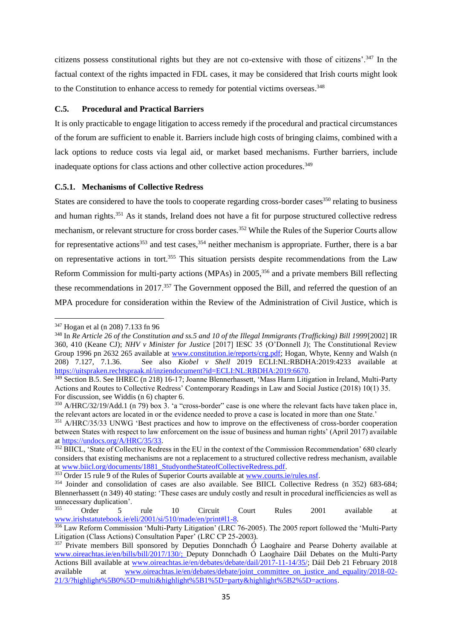citizens possess constitutional rights but they are not co-extensive with those of citizens'.<sup>347</sup> In the factual context of the rights impacted in FDL cases, it may be considered that Irish courts might look to the Constitution to enhance access to remedy for potential victims overseas.<sup>348</sup>

## **C.5. Procedural and Practical Barriers**

It is only practicable to engage litigation to access remedy if the procedural and practical circumstances of the forum are sufficient to enable it. Barriers include high costs of bringing claims, combined with a lack options to reduce costs via legal aid, or market based mechanisms. Further barriers, include inadequate options for class actions and other collective action procedures.<sup>349</sup>

## <span id="page-38-1"></span>**C.5.1. Mechanisms of Collective Redress**

<span id="page-38-0"></span>States are considered to have the tools to cooperate regarding cross-border cases<sup>350</sup> relating to business and human rights.<sup>351</sup> As it stands, Ireland does not have a fit for purpose structured collective redress mechanism, or relevant structure for cross border cases.<sup>352</sup> While the Rules of the Superior Courts allow for representative actions<sup>353</sup> and test cases,  $354$  neither mechanism is appropriate. Further, there is a bar on representative actions in tort.<sup>355</sup> This situation persists despite recommendations from the Law Reform Commission for multi-party actions (MPAs) in 2005,<sup>356</sup> and a private members Bill reflecting these recommendations in 2017.<sup>357</sup> The Government opposed the Bill, and referred the question of an MPA procedure for consideration within the Review of the Administration of Civil Justice, which is

<span id="page-38-2"></span><sup>347</sup> Hogan et al (n [208\)](#page-23-0) 7.133 fn 96

<sup>&</sup>lt;sup>348</sup> In *Re Article 26 of the Constitution and ss.5 and 10 of the Illegal Immigrants (Trafficking) Bill 1999*[2002] IR 360, 410 (Keane CJ); *NHV v Minister for Justice* [2017] IESC 35 (O'Donnell J); The Constitutional Review Group 1996 pn 2632 265 available at [www.constitution.ie/reports/crg.pdf;](http://www.constitution.ie/reports/crg.pdf) Hogan, Whyte, Kenny and Walsh (n [208\)](#page-23-0) 7.127, 7.1.36. See also *Kiobel v Shell* 2019 ECLI:NL:RBDHA:2019:4233 available at [https://uitspraken.rechtspraak.nl/inziendocument?id=ECLI:NL:RBDHA:2019:6670.](https://uitspraken.rechtspraak.nl/inziendocument?id=ECLI:NL:RBDHA:2019:6670)

<sup>&</sup>lt;sup>349</sup> Section B.5. See IHREC (n [218\)](#page-24-2) 16-17; Joanne Blennerhassett, 'Mass Harm Litigation in Ireland, Multi-Party Actions and Routes to Collective Redress' Contemporary Readings in Law and Social Justice (2018) 10(1) 35. For discussion, see Widdis (n [6\)](#page-2-2) chapter 6.

<sup>350</sup> A/HRC/32/19/Add.1 (n [79\)](#page-12-0) box 3. 'a "cross-border" case is one where the relevant facts have taken place in, the relevant actors are located in or the evidence needed to prove a case is located in more than one State.'

<sup>351</sup> A/HRC/35/33 UNWG 'Best practices and how to improve on the effectiveness of cross-border cooperation between States with respect to law enforcement on the issue of business and human rights' (April 2017) available a[t https://undocs.org/A/HRC/35/33.](https://undocs.org/A/HRC/35/33)

<sup>352</sup> BIICL, 'State of Collective Redress in the EU in the context of the Commission Recommendation' 680 clearly considers that existing mechanisms are not a replacement to a structured collective redress mechanism, available a[t www.biicl.org/documents/1881\\_StudyontheStateofCollectiveRedress.pdf.](http://www.biicl.org/documents/1881_StudyontheStateofCollectiveRedress.pdf)

<sup>353</sup> Order 15 rule 9 of the Rules of Superior Courts available at [www.courts.ie/rules.nsf.](http://www.courts.ie/rules.nsf) 

<sup>354</sup> Joinder and consolidation of cases are also available. See BIICL Collective Redress (n [352\)](#page-38-0) 683-684; Blennerhassett (n [349\)](#page-38-1) 40 stating: 'These cases are unduly costly and result in procedural inefficiencies as well as unnecessary duplication'.<br> $355$  Order  $5$ 

<sup>355</sup> Order 5 rule 10 Circuit Court Rules 2001 available at [www.irishstatutebook.ie/eli/2001/si/510/made/en/print#l1-8.](http://www.irishstatutebook.ie/eli/2001/si/510/made/en/print#l1-8)

<sup>356</sup> Law Reform Commission 'Multi-Party Litigation' (LRC 76-2005). The 2005 report followed the 'Multi-Party Litigation (Class Actions) Consultation Paper' (LRC CP 25-2003).

<sup>&</sup>lt;sup>357</sup> Private members Bill sponsored by Deputies Donnchadh Ó Laoghaire and Pearse Doherty available at [www.oireachtas.ie/en/bills/bill/2017/130/;](http://www.oireachtas.ie/en/bills/bill/2017/130/) Deputy Donnchadh Ó Laoghaire Dáil Debates on the Multi-Party Actions Bill available at [www.oireachtas.ie/en/debates/debate/dail/2017-11-14/35/;](http://www.oireachtas.ie/en/debates/debate/dail/2017-11-14/35/) Dáil Deb 21 February 2018 available at [www.oireachtas.ie/en/debates/debate/joint\\_committee\\_on\\_justice\\_and\\_equality/2018-02-](http://www.oireachtas.ie/en/debates/debate/joint_committee_on_justice_and_equality/2018-02-21/3/?highlight%5B0%5D=multi&highlight%5B1%5D=party&highlight%5B2%5D=actions) [21/3/?highlight%5B0%5D=multi&highlight%5B1%5D=party&highlight%5B2%5D=actions.](http://www.oireachtas.ie/en/debates/debate/joint_committee_on_justice_and_equality/2018-02-21/3/?highlight%5B0%5D=multi&highlight%5B1%5D=party&highlight%5B2%5D=actions)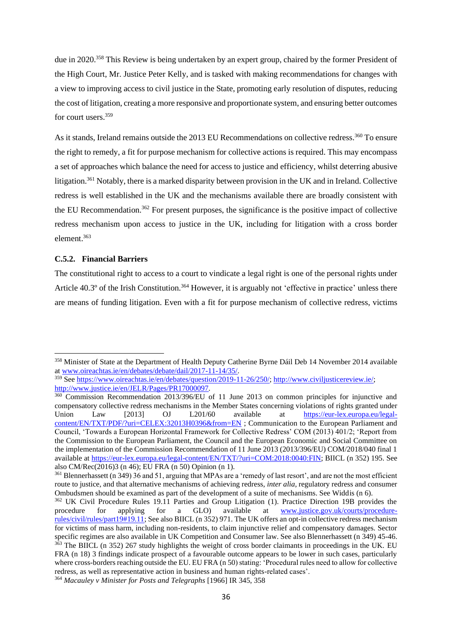due in 2020.<sup>358</sup> This Review is being undertaken by an expert group, chaired by the former President of the High Court, Mr. Justice Peter Kelly, and is tasked with making recommendations for changes with a view to improving access to civil justice in the State, promoting early resolution of disputes, reducing the cost of litigation, creating a more responsive and proportionate system, and ensuring better outcomes for court users.<sup>359</sup>

<span id="page-39-0"></span>As it stands, Ireland remains outside the 2013 EU Recommendations on collective redress.<sup>360</sup> To ensure the right to remedy, a fit for purpose mechanism for collective actions is required. This may encompass a set of approaches which balance the need for access to justice and efficiency, whilst deterring abusive litigation.<sup>361</sup> Notably, there is a marked disparity between provision in the UK and in Ireland. Collective redress is well established in the UK and the mechanisms available there are broadly consistent with the EU Recommendation.<sup>362</sup> For present purposes, the significance is the positive impact of collective redress mechanism upon access to justice in the UK, including for litigation with a cross border element. 363

## **C.5.2. Financial Barriers**

The constitutional right to access to a court to vindicate a legal right is one of the personal rights under Article  $40.3^\circ$  of the Irish Constitution.<sup>364</sup> However, it is arguably not 'effective in practice' unless there are means of funding litigation. Even with a fit for purpose mechanism of collective redress, victims

<sup>358</sup> Minister of State at the Department of Health Deputy Catherine Byrne Dáil Deb 14 November 2014 available a[t www.oireachtas.ie/en/debates/debate/dail/2017-11-14/35/.](http://www.oireachtas.ie/en/debates/debate/dail/2017-11-14/35/)

<sup>359</sup> See [https://www.oireachtas.ie/en/debates/question/2019-11-26/250/;](https://www.oireachtas.ie/en/debates/question/2019-11-26/250/) [http://www.civiljusticereview.ie/;](http://www.civiljusticereview.ie/) <http://www.justice.ie/en/JELR/Pages/PR17000097>*.*

<sup>360</sup> Commission Recommendation 2013/396/EU of 11 June 2013 on common principles for injunctive and compensatory collective redress mechanisms in the Member States concerning violations of rights granted under Union Law [2013] OJ L201/60 available at [https://eur-lex.europa.eu/legal](https://eur-lex.europa.eu/legal-content/EN/TXT/PDF/?uri=CELEX:32013H0396&from=EN)[content/EN/TXT/PDF/?uri=CELEX:32013H0396&from=EN](https://eur-lex.europa.eu/legal-content/EN/TXT/PDF/?uri=CELEX:32013H0396&from=EN) ; Communication to the European Parliament and Council, 'Towards a European Horizontal Framework for Collective Redress' COM (2013) 401/2; 'Report from the Commission to the European Parliament, the Council and the European Economic and Social Committee on the implementation of the Commission Recommendation of 11 June 2013 (2013/396/EU) COM/2018/040 final 1 available at [https://eur-lex.europa.eu/legal-content/EN/TXT/?uri=COM:2018:0040:FIN;](https://eur-lex.europa.eu/legal-content/EN/TXT/?uri=COM:2018:0040:FIN) BIICL (n [352\)](#page-38-0) 195. See also CM/Rec(2016)3 ([n 46\)](#page-10-2); EU FRA ([n 50\)](#page-10-1) Opinion (n 1).

<sup>361</sup> Blennerhassett (n [349\)](#page-38-1) 36 and 51, arguing that MPAs are a 'remedy of last resort', and are not the most efficient route to justice, and that alternative mechanisms of achieving redress, *inter alia*, regulatory redress and consumer Ombudsmen should be examined as part of the development of a suite of mechanisms. See Widdis (n [6\)](#page-2-2).

<sup>362</sup> UK Civil Procedure Rules 19.11 Parties and Group Litigation (1). Practice Direction 19B provides the procedure for applying for a GLO) available at [www.justice.gov.uk/courts/procedure](http://www.justice.gov.uk/courts/procedure-rules/civil/rules/part19#19.11)[rules/civil/rules/part19#19.11;](http://www.justice.gov.uk/courts/procedure-rules/civil/rules/part19#19.11) See also BIICL ([n 352\)](#page-38-0) 971. The UK offers an opt-in collective redress mechanism for victims of mass harm, including non-residents, to claim injunctive relief and compensatory damages. Sector specific regimes are also available in UK Competition and Consumer law. See also Blennerhassett (n [349\)](#page-38-1) 45-46. <sup>363</sup> The BIICL (n [352\)](#page-38-0) 267 study highlights the weight of cross border claimants in proceedings in the UK. EU FRA (n [18\)](#page-7-1) 3 findings indicate prospect of a favourable outcome appears to be lower in such cases, particularly where cross-borders reaching outside the EU. EU FRA (n [50\)](#page-10-1) stating: 'Procedural rules need to allow for collective redress, as well as representative action in business and human rights-related cases'. <sup>364</sup> *Macauley v Minister for Posts and Telegraphs* [1966] IR 345, 358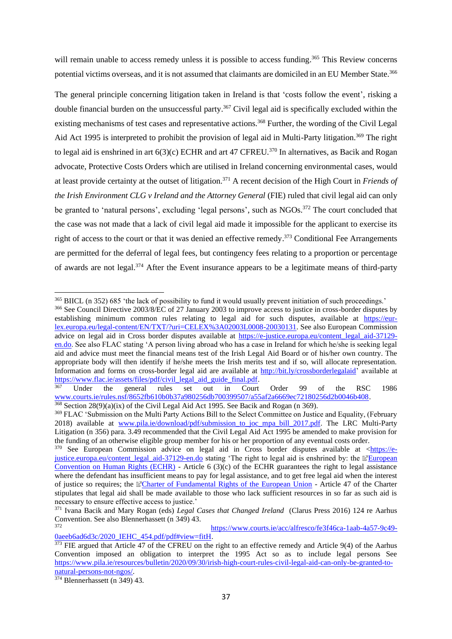will remain unable to access remedy unless it is possible to access funding.<sup>365</sup> This Review concerns potential victims overseas, and it is not assumed that claimants are domiciled in an EU Member State.<sup>366</sup>

<span id="page-40-0"></span>The general principle concerning litigation taken in Ireland is that 'costs follow the event', risking a double financial burden on the unsuccessful party. <sup>367</sup> Civil legal aid is specifically excluded within the existing mechanisms of test cases and representative actions.<sup>368</sup> Further, the wording of the Civil Legal Aid Act 1995 is interpreted to prohibit the provision of legal aid in Multi-Party litigation.<sup>369</sup> The right to legal aid is enshrined in art  $6(3)(c)$  ECHR and art 47 CFREU.<sup>370</sup> In alternatives, as Bacik and Rogan advocate, Protective Costs Orders which are utilised in Ireland concerning environmental cases, would at least provide certainty at the outset of litigation.<sup>371</sup> A recent decision of the High Court in *Friends of the Irish Environment CLG v Ireland and the Attorney General* (FIE) ruled that civil legal aid can only be granted to 'natural persons', excluding 'legal persons', such as NGOs.<sup>372</sup> The court concluded that the case was not made that a lack of civil legal aid made it impossible for the applicant to exercise its right of access to the court or that it was denied an effective remedy.<sup>373</sup> Conditional Fee Arrangements are permitted for the deferral of legal fees, but contingency fees relating to a proportion or percentage of awards are not legal.<sup>374</sup> After the Event insurance appears to be a legitimate means of third-party

 $374$  Blennerhassett (n [349\)](#page-38-1) 43.

<sup>365</sup> BIICL ([n 352\)](#page-38-0) 685 'the lack of possibility to fund it would usually prevent initiation of such proceedings.'

<sup>366</sup> See Council Directive 2003/8/EC of 27 January 2003 to improve access to justice in cross-border disputes by establishing minimum common rules relating to legal aid for such disputes, available at [https://eur](https://eur-lex.europa.eu/legal-content/EN/TXT/?uri=CELEX%3A02003L0008-20030131)[lex.europa.eu/legal-content/EN/TXT/?uri=CELEX%3A02003L0008-20030131.](https://eur-lex.europa.eu/legal-content/EN/TXT/?uri=CELEX%3A02003L0008-20030131) See also European Commission advice on legal aid in Cross border disputes available at [https://e-justice.europa.eu/content\\_legal\\_aid-37129](https://e-justice.europa.eu/content_legal_aid-37129-en.do) [en.do.](https://e-justice.europa.eu/content_legal_aid-37129-en.do) See also FLAC stating 'A person living abroad who has a case in Ireland for which he/she is seeking legal aid and advice must meet the financial means test of the Irish Legal Aid Board or of his/her own country. The appropriate body will then identify if he/she meets the Irish merits test and if so, will allocate representation. Information and forms on cross-border legal aid are available at [http://bit.ly/crossborderlegalaid'](http://bit.ly/crossborderlegalaid) available at https://www.flac.ie/assets/files/pdf/civil legal aid guide final.pdf.<br><sup>367</sup> Under the general rules set out in Court

<sup>367</sup> Under the general rules set out in Court Order 99 of the RSC 1986 [www.courts.ie/rules.nsf/8652fb610b0b37a980256db700399507/a55af2a6669ec72180256d2b0046b408.](http://www.courts.ie/rules.nsf/8652fb610b0b37a980256db700399507/a55af2a6669ec72180256d2b0046b408)

 $368$  Section 28(9)(a)(ix) of the Civil Legal Aid Act 1995. See Bacik and Rogan (n [369\)](#page-40-0).

<sup>369</sup> FLAC 'Submission on the Multi Party Actions Bill to the Select Committee on Justice and Equality, (February 2018) available at [www.pila.ie/download/pdf/submission\\_to\\_joc\\_mpa\\_bill\\_2017.pdf.](http://www.pila.ie/download/pdf/submission_to_joc_mpa_bill_2017.pdf) The LRC Multi-Party Litigation (n [356\)](#page-38-2) para. 3.49 recommended that the Civil Legal Aid Act 1995 be amended to make provision for the funding of an otherwise eligible group member for his or her proportion of any eventual costs order.

 $\frac{370}{370}$  See European Commission advice on legal aid in Cross border disputes available at [<https://e](https://e-justice.europa.eu/content_legal_aid-37129-en.do)[justice.europa.eu/content\\_legal\\_aid-37129-en.do](https://e-justice.europa.eu/content_legal_aid-37129-en.do) stating 'The right to legal aid is enshrined by: the [European](https://www.echr.coe.int/Pages/home.aspx?p=basictexts/convention)  [Convention on Human Rights \(ECHR\)](https://www.echr.coe.int/Pages/home.aspx?p=basictexts/convention) - Article  $6(3)(c)$  of the ECHR guarantees the right to legal assistance where the defendant has insufficient means to pay for legal assistance, and to get free legal aid when the interest of justice so requires; the [Charter of Fundamental Rights of the European Union](http://europa.eu/legislation_summaries/human_rights/fundamental_rights_within_european_union/l33501_en.htm) - Article 47 of the Charter stipulates that legal aid shall be made available to those who lack sufficient resources in so far as such aid is necessary to ensure effective access to justice.'

<sup>371</sup> Ivana Bacik and Mary Rogan (eds) *Legal Cases that Changed Ireland* (Clarus Press 2016) 124 re Aarhus Convention. See also Blennerhassett (n [349\)](#page-38-1) 43.

<sup>372</sup> [https://www.courts.ie/acc/alfresco/fe3f46ca-1aab-4a57-9c49-](https://www.courts.ie/acc/alfresco/fe3f46ca-1aab-4a57-9c49-0aeeb6ad6d3c/2020_IEHC_454.pdf/pdf#view=fitH) [0aeeb6ad6d3c/2020\\_IEHC\\_454.pdf/pdf#view=fitH.](https://www.courts.ie/acc/alfresco/fe3f46ca-1aab-4a57-9c49-0aeeb6ad6d3c/2020_IEHC_454.pdf/pdf#view=fitH)

<sup>&</sup>lt;sup>373</sup> FIE argued that Article 47 of the CFREU on the right to an effective remedy and Article 9(4) of the Aarhus Convention imposed an obligation to interpret the 1995 Act so as to include legal persons See [https://www.pila.ie/resources/bulletin/2020/09/30/irish-high-court-rules-civil-legal-aid-can-only-be-granted-to](https://www.pila.ie/resources/bulletin/2020/09/30/irish-high-court-rules-civil-legal-aid-can-only-be-granted-to-natural-persons-not-ngos/)[natural-persons-not-ngos/.](https://www.pila.ie/resources/bulletin/2020/09/30/irish-high-court-rules-civil-legal-aid-can-only-be-granted-to-natural-persons-not-ngos/)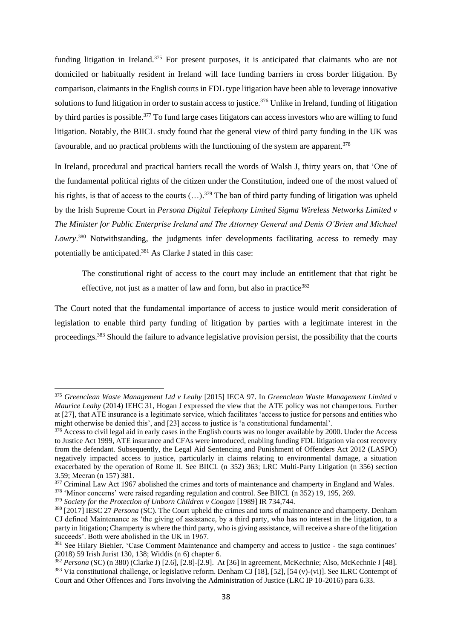<span id="page-41-1"></span>funding litigation in Ireland.<sup>375</sup> For present purposes, it is anticipated that claimants who are not domiciled or habitually resident in Ireland will face funding barriers in cross border litigation. By comparison, claimants in the English courts in FDL type litigation have been able to leverage innovative solutions to fund litigation in order to sustain access to justice.<sup>376</sup> Unlike in Ireland, funding of litigation by third parties is possible.<sup>377</sup> To fund large cases litigators can access investors who are willing to fund litigation. Notably, the BIICL study found that the general view of third party funding in the UK was favourable, and no practical problems with the functioning of the system are apparent.<sup>378</sup>

In Ireland, procedural and practical barriers recall the words of Walsh J, thirty years on, that 'One of the fundamental political rights of the citizen under the Constitution, indeed one of the most valued of his rights, is that of access to the courts  $(...)$ .<sup>379</sup> The ban of third party funding of litigation was upheld by the Irish Supreme Court in *Persona Digital Telephony Limited Sigma Wireless Networks Limited v The Minister for Public Enterprise Ireland and The Attorney General and Denis O'Brien and Michael Lowry*. <sup>380</sup> Notwithstanding, the judgments infer developments facilitating access to remedy may potentially be anticipated.<sup>381</sup> As Clarke J stated in this case:

<span id="page-41-0"></span>The constitutional right of access to the court may include an entitlement that that right be effective, not just as a matter of law and form, but also in practice<sup>382</sup>

The Court noted that the fundamental importance of access to justice would merit consideration of legislation to enable third party funding of litigation by parties with a legitimate interest in the proceedings.<sup>383</sup> Should the failure to advance legislative provision persist, the possibility that the courts

<sup>375</sup> *Greenclean Waste Management Ltd v Leahy* [2015] IECA 97. In *Greenclean Waste Management Limited v Maurice Leahy* (2014) IEHC 31, Hogan J expressed the view that the ATE policy was not champertous. Further at [27], that ATE insurance is a legitimate service, which facilitates 'access to justice for persons and entities who might otherwise be denied this', and [23] access to justice is 'a constitutional fundamental'.

<sup>&</sup>lt;sup>376</sup> Access to civil legal aid in early cases in the English courts was no longer available by 2000. Under the Access to Justice Act 1999, ATE insurance and CFAs were introduced, enabling funding FDL litigation via cost recovery from the defendant. Subsequently, the Legal Aid Sentencing and Punishment of Offenders Act 2012 (LASPO) negatively impacted access to justice, particularly in claims relating to environmental damage, a situation exacerbated by the operation of Rome II. See BIICL (n [352\)](#page-38-0) 363; LRC Multi-Party Litigation (n [356\)](#page-38-2) section 3.59; Meeran ([n 157\)](#page-18-1) 381.

<sup>&</sup>lt;sup>377</sup> Criminal Law Act 1967 abolished the crimes and torts of maintenance and champerty in England and Wales.

<sup>378</sup> 'Minor concerns' were raised regarding regulation and control. See BIICL (n [352\)](#page-38-0) 19, 195, 269.

<sup>379</sup> *Society for the Protection of Unborn Children v Coogan* [1989] IR 734*,*744.

<sup>&</sup>lt;sup>380</sup> [2017] IESC 27 *Persona* (SC). The Court upheld the crimes and torts of maintenance and champerty. Denham CJ defined Maintenance as 'the giving of assistance, by a third party, who has no interest in the litigation, to a party in litigation; Champerty is where the third party, who is giving assistance, will receive a share of the litigation succeeds'. Both were abolished in the UK in 1967.

<sup>&</sup>lt;sup>381</sup> See Hilary Biehler, 'Case Comment Maintenance and champerty and access to justice - the saga continues' (2018) 59 Irish Jurist 130, 138; Widdis (n [6\)](#page-2-2) chapter 6.

<sup>382</sup> *Persona* (SC) ([n 380\)](#page-41-0) (Clarke J) [2.6], [2.8]-[2.9]. At [36] in agreement, McKechnie; Also, McKechnie J [48]. <sup>383</sup> Via constitutional challenge, or legislative reform. Denham CJ [18], [52], [54 (v)-(vi)]. See ILRC Contempt of Court and Other Offences and Torts Involving the Administration of Justice (LRC IP 10-2016) para 6.33.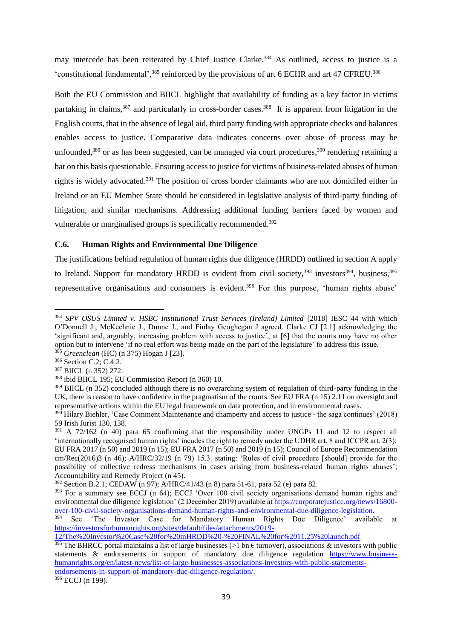may intercede has been reiterated by Chief Justice Clarke*.* <sup>384</sup> As outlined, access to justice is a 'constitutional fundamental',<sup>385</sup> reinforced by the provisions of art 6 ECHR and art 47 CFREU.<sup>386</sup>

Both the EU Commission and BIICL highlight that availability of funding as a key factor in victims partaking in claims,<sup>387</sup> and particularly in cross-border cases.<sup>388</sup> It is apparent from litigation in the English courts, that in the absence of legal aid, third party funding with appropriate checks and balances enables access to justice. Comparative data indicates concerns over abuse of process may be unfounded,<sup>389</sup> or as has been suggested, can be managed via court procedures,<sup>390</sup> rendering retaining a bar on this basis questionable. Ensuring access to justice for victims of business-related abuses of human rights is widely advocated. <sup>391</sup> The position of cross border claimants who are not domiciled either in Ireland or an EU Member State should be considered in legislative analysis of third-party funding of litigation, and similar mechanisms. Addressing additional funding barriers faced by women and vulnerable or marginalised groups is specifically recommended.<sup>392</sup>

## **C.6. Human Rights and Environmental Due Diligence**

The justifications behind regulation of human rights due diligence (HRDD) outlined in section A apply to Ireland. Support for mandatory HRDD is evident from civil society,  $393$  investors  $394$ , business,  $395$ representative organisations and consumers is evident.<sup>396</sup> For this purpose, 'human rights abuse'

<sup>386</sup> Section C.2; C.4.2.

 $396$  ECCJ (n [199\)](#page-22-0).

<sup>384</sup> *SPV OSUS Limited v. HSBC Institutional Trust Services (Ireland) Limited* [2018] IESC 44 with which O'Donnell J., McKechnie J., Dunne J., and Finlay Geoghegan J agreed. Clarke CJ [2.1] acknowledging the 'significant and, arguably, increasing problem with access to justice', at [6] that the courts may have no other option but to intervene 'if no real effort was being made on the part of the legislature' to address this issue. <sup>385</sup> *Greenclean* (HC) (n [375\)](#page-41-1) Hogan J [23].

<sup>387</sup> BIICL ([n 352\)](#page-38-0) 272.

<sup>388</sup> ibid BIICL 195; EU Commission Report (n [360\)](#page-39-0) 10.

<sup>&</sup>lt;sup>389</sup> BIICL (n [352\)](#page-38-0) concluded although there is no overarching system of regulation of third-party funding in the UK, there is reason to have confidence in the pragmatism of the courts. See EU FRA (n [15\)](#page-6-3) 2.11 on oversight and representative actions within the EU legal framework on data protection, and in environmental cases.

<sup>&</sup>lt;sup>390</sup> Hilary Biehler, 'Case Comment Maintenance and champerty and access to justice - the saga continues' (2018) 59 Irish Jurist 130, 138.

<sup>&</sup>lt;sup>391</sup> A 72/162 (n [40\)](#page-9-1) para 65 confirming that the responsibility under UNGPs 11 and 12 to respect all 'internationally recognised human rights' incudes the right to remedy under the UDHR art. 8 and ICCPR art. 2(3); EU FRA 2017 ([n 50\)](#page-10-1) and 2019 ([n 15\)](#page-6-3); EU FRA 2017 ([n 50\)](#page-10-1) and 2019 ([n 15\)](#page-6-3); Council of Europe Recommendation cm/Rec(2016)3 (n [46\)](#page-10-2); A/HRC/32/19 (n [79\)](#page-12-0) 15.3. stating: 'Rules of civil procedure [should] provide for the possibility of collective redress mechanisms in cases arising from business-related human rights abuses'; Accountability and Remedy Project (n [45\)](#page-10-0).

<sup>392</sup> Section B.2.1; CEDAW ([n 97\)](#page-13-4); A/HRC/41/43 ([n 8\)](#page-4-1) para 51-61, para 52 (e) para 82.

<sup>&</sup>lt;sup>393</sup> For a summary see ECCJ (n [64\)](#page-11-2); ECCJ 'Over 100 civil society organisations demand human rights and environmental due diligence legislation' (2 December 2019) available at [https://corporatejustice.org/news/16800](https://corporatejustice.org/news/16800-over-100-civil-society-organisations-demand-human-rights-and-environmental-due-diligence-legislation) [over-100-civil-society-organisations-demand-human-rights-and-environmental-due-diligence-legislation.](https://corporatejustice.org/news/16800-over-100-civil-society-organisations-demand-human-rights-and-environmental-due-diligence-legislation)

<sup>&</sup>lt;sup>394</sup> See 'The Investor Case for Mandatory Human Rights Due Diligence' available at [https://investorsforhumanrights.org/sites/default/files/attachments/2019-](https://investorsforhumanrights.org/sites/default/files/attachments/2019-12/The%20Investor%20Case%20for%20mHRDD%20-%20FINAL%20for%2011.25%20launch.pdf)

[<sup>12/</sup>The%20Investor%20Case%20for%20mHRDD%20-%20FINAL%20for%2011.25%20launch.pdf](https://investorsforhumanrights.org/sites/default/files/attachments/2019-12/The%20Investor%20Case%20for%20mHRDD%20-%20FINAL%20for%2011.25%20launch.pdf)

<sup>&</sup>lt;sup>395</sup> The BHRCC portal maintains a list of large businesses (>1 bn  $\epsilon$  turnover), associations & investors with public statements & endorsements in support of mandatory due diligence regulation [https://www.business](https://www.business-humanrights.org/en/latest-news/list-of-large-businesses-associations-investors-with-public-statements-endorsements-in-support-of-mandatory-due-diligence-regulation/)[humanrights.org/en/latest-news/list-of-large-businesses-associations-investors-with-public-statements](https://www.business-humanrights.org/en/latest-news/list-of-large-businesses-associations-investors-with-public-statements-endorsements-in-support-of-mandatory-due-diligence-regulation/)[endorsements-in-support-of-mandatory-due-diligence-regulation/.](https://www.business-humanrights.org/en/latest-news/list-of-large-businesses-associations-investors-with-public-statements-endorsements-in-support-of-mandatory-due-diligence-regulation/)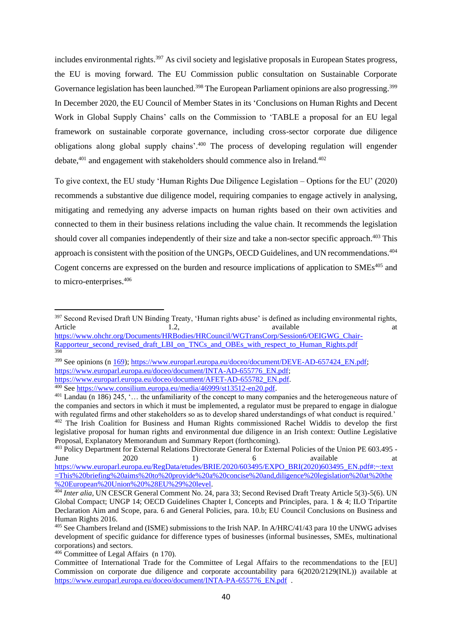includes environmental rights.<sup>397</sup> As civil society and legislative proposals in European States progress, the EU is moving forward. The EU Commission public consultation on Sustainable Corporate Governance legislation has been launched.<sup>398</sup> The European Parliament opinions are also progressing.<sup>399</sup> In December 2020, the EU Council of Member States in its 'Conclusions on Human Rights and Decent Work in Global Supply Chains' calls on the Commission to 'TABLE a proposal for an EU legal framework on sustainable corporate governance, including cross-sector corporate due diligence obligations along global supply chains'.<sup>400</sup> The process of developing regulation will engender debate,<sup>401</sup> and engagement with stakeholders should commence also in Ireland.<sup>402</sup>

To give context, the EU study 'Human Rights Due Diligence Legislation – Options for the EU' (2020) recommends a substantive due diligence model, requiring companies to engage actively in analysing, mitigating and remedying any adverse impacts on human rights based on their own activities and connected to them in their business relations including the value chain. It recommends the legislation should cover all companies independently of their size and take a non-sector specific approach.<sup>403</sup> This approach is consistent with the position of the UNGPs, OECD Guidelines, and UN recommendations.<sup>404</sup> Cogent concerns are expressed on the burden and resource implications of application to SMEs<sup>405</sup> and to micro-enterprises.<sup>406</sup>

<sup>&</sup>lt;sup>397</sup> Second Revised Draft UN Binding Treaty, 'Human rights abuse' is defined as including environmental rights, Article 1.2, available at a

[https://www.ohchr.org/Documents/HRBodies/HRCouncil/WGTransCorp/Session6/OEIGWG\\_Chair-](https://www.ohchr.org/Documents/HRBodies/HRCouncil/WGTransCorp/Session6/OEIGWG_Chair-Rapporteur_second_revised_draft_LBI_on_TNCs_and_OBEs_with_respect_to_Human_Rights.pdf)[Rapporteur\\_second\\_revised\\_draft\\_LBI\\_on\\_TNCs\\_and\\_OBEs\\_with\\_respect\\_to\\_Human\\_Rights.pdf](https://www.ohchr.org/Documents/HRBodies/HRCouncil/WGTransCorp/Session6/OEIGWG_Chair-Rapporteur_second_revised_draft_LBI_on_TNCs_and_OBEs_with_respect_to_Human_Rights.pdf) 398

<sup>&</sup>lt;sup>399</sup> See opinions (n [169\)](file:///C:/One%20Drive/OneDrive/Documents/Tenders%202020/Review%20Access%20to%20Remedy/Final/169)[; https://www.europarl.europa.eu/doceo/document/DEVE-AD-657424\\_EN.pdf;](https://www.europarl.europa.eu/doceo/document/DEVE-AD-657424_EN.pdf) [https://www.europarl.europa.eu/doceo/document/INTA-AD-655776\\_EN.pdf;](https://www.europarl.europa.eu/doceo/document/INTA-AD-655776_EN.pdf)

[https://www.europarl.europa.eu/doceo/document/AFET-AD-655782\\_EN.pdf.](https://www.europarl.europa.eu/doceo/document/AFET-AD-655782_EN.pdf)

<sup>&</sup>lt;sup>400</sup> See https://www.consilium.europa.eu/media/46999/st13512-en20.pdf.

<sup>401</sup> Landau (n [186\)](#page-21-2) 245, '… the unfamiliarity of the concept to many companies and the heterogeneous nature of the companies and sectors in which it must be implemented, a regulator must be prepared to engage in dialogue with regulated firms and other stakeholders so as to develop shared understandings of what conduct is required.' <sup>402</sup> The Irish Coalition for Business and Human Rights commissioned Rachel Widdis to develop the first legislative proposal for human rights and environmental due diligence in an Irish context: Outline Legislative Proposal, Explanatory Memorandum and Summary Report (forthcoming).

<sup>&</sup>lt;sup>403</sup> Policy Department for External Relations Directorate General for External Policies of the Union PE 603.495 -June 2020 1) 6 available at [https://www.europarl.europa.eu/RegData/etudes/BRIE/2020/603495/EXPO\\_BRI\(2020\)603495\\_EN.pdf#:~:text](https://www.europarl.europa.eu/RegData/etudes/BRIE/2020/603495/EXPO_BRI(2020)603495_EN.pdf#:~:text=This%20briefing%20aims%20to%20provide%20a%20concise%20and,diligence%20legislation%20at%20the%20European%20Union%20%28EU%29%20level) [=This%20briefing%20aims%20to%20provide%20a%20concise%20and,diligence%20legislation%20at%20the](https://www.europarl.europa.eu/RegData/etudes/BRIE/2020/603495/EXPO_BRI(2020)603495_EN.pdf#:~:text=This%20briefing%20aims%20to%20provide%20a%20concise%20and,diligence%20legislation%20at%20the%20European%20Union%20%28EU%29%20level) [%20European%20Union%20%28EU%29%20level.](https://www.europarl.europa.eu/RegData/etudes/BRIE/2020/603495/EXPO_BRI(2020)603495_EN.pdf#:~:text=This%20briefing%20aims%20to%20provide%20a%20concise%20and,diligence%20legislation%20at%20the%20European%20Union%20%28EU%29%20level)

<sup>&</sup>lt;sup>404</sup> *Inter alia*, UN CESCR General Comment No. 24, para 33; Second Revised Draft Treaty Article 5(3)-5(6). UN Global Compact; UNGP 14; OECD Guidelines Chapter I, Concepts and Principles, para. 1 & 4; ILO Tripartite Declaration Aim and Scope, para. 6 and General Policies, para. 10.b; EU Council Conclusions on Business and Human Rights 2016.

<sup>&</sup>lt;sup>405</sup> See Chambers Ireland and (ISME) submissions to the Irish NAP. In A/HRC/41/43 para 10 the UNWG advises development of specific guidance for difference types of businesses (informal businesses, SMEs, multinational corporations) and sectors.

<sup>406</sup> Committee of Legal Affairs (n [170\)](#page-20-1).

Committee of International Trade for the Committee of Legal Affairs to the recommendations to the [EU] Commission on corporate due diligence and corporate accountability para 6(2020/2129(INL)) available at [https://www.europarl.europa.eu/doceo/document/INTA-PA-655776\\_EN.pdf](https://www.europarl.europa.eu/doceo/document/INTA-PA-655776_EN.pdf) .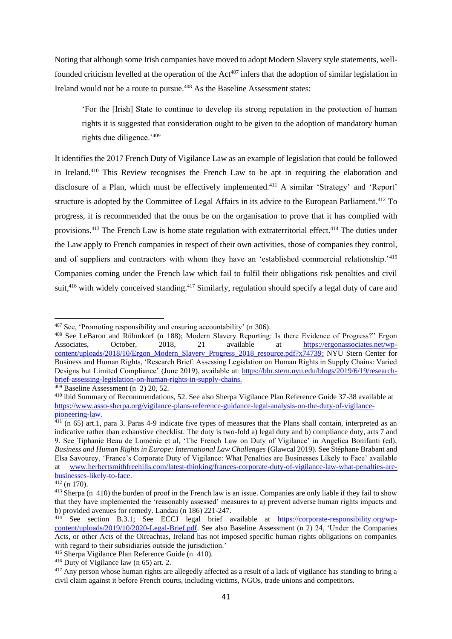Noting that although some Irish companies have moved to adopt Modern Slavery style statements, wellfounded criticism levelled at the operation of the Act<sup>407</sup> infers that the adoption of similar legislation in Ireland would not be a route to pursue.<sup>408</sup> As the Baseline Assessment states:

'For the [Irish] State to continue to develop its strong reputation in the protection of human rights it is suggested that consideration ought to be given to the adoption of mandatory human rights due diligence.'<sup>409</sup>

<span id="page-44-0"></span>It identifies the 2017 French Duty of Vigilance Law as an example of legislation that could be followed in Ireland.<sup>410</sup> This Review recognises the French Law to be apt in requiring the elaboration and disclosure of a Plan, which must be effectively implemented.<sup>411</sup> A similar 'Strategy' and 'Report' structure is adopted by the Committee of Legal Affairs in its advice to the European Parliament.<sup>412</sup> To progress, it is recommended that the onus be on the organisation to prove that it has complied with provisions.<sup>413</sup> The French Law is home state regulation with extraterritorial effect.<sup>414</sup> The duties under the Law apply to French companies in respect of their own activities, those of companies they control, and of suppliers and contractors with whom they have an 'established commercial relationship.'<sup>415</sup> Companies coming under the French law which fail to fulfil their obligations risk penalties and civil suit,<sup>416</sup> with widely conceived standing.<sup>417</sup> Similarly, regulation should specify a legal duty of care and

 $409$  Baseline Assessment (n [2\)](#page-2-0) 20, 52.

<sup>407</sup> See, 'Promoting responsibility and ensuring accountability' (n [306\)](#page-33-0).

<sup>408</sup> See LeBaron and Rühmkorf (n [188\)](#page-21-3); Modern Slavery Reporting: Is there Evidence of Progress?" Ergon Associates, October, 2018, 21 available at [https://ergonassociates.net/wp](https://ergonassociates.net/wp-content/uploads/2018/10/Ergon_Modern_Slavery_Progress_2018_resource.pdf?x74739)[content/uploads/2018/10/Ergon\\_Modern\\_Slavery\\_Progress\\_2018\\_resource.pdf?x74739;](https://ergonassociates.net/wp-content/uploads/2018/10/Ergon_Modern_Slavery_Progress_2018_resource.pdf?x74739) NYU Stern Center for Business and Human Rights, 'Research Brief: Assessing Legislation on Human Rights in Supply Chains: Varied Designs but Limited Compliance' (June 2019), available at: [https://bhr.stern.nyu.edu/blogs/2019/6/19/research](https://bhr.stern.nyu.edu/blogs/2019/6/19/research-brief-assessing-legislation-on-human-rights-in-supply-chains)[brief-assessing-legislation-on-human-rights-in-supply-chains.](https://bhr.stern.nyu.edu/blogs/2019/6/19/research-brief-assessing-legislation-on-human-rights-in-supply-chains)

<sup>410</sup> ibid Summary of Recommendations, 52. See also Sherpa Vigilance Plan Reference Guide 37-38 available at [https://www.asso-sherpa.org/vigilance-plans-reference-guidance-legal-analysis-on-the-duty-of-vigilance](https://www.asso-sherpa.org/vigilance-plans-reference-guidance-legal-analysis-on-the-duty-of-vigilance-pioneering-law)[pioneering-law.](https://www.asso-sherpa.org/vigilance-plans-reference-guidance-legal-analysis-on-the-duty-of-vigilance-pioneering-law)

 $411$  (n [65\)](#page-11-1) art.1, para 3. Paras 4-9 indicate five types of measures that the Plans shall contain, interpreted as an indicative rather than exhaustive checklist. The duty is two-fold a) legal duty and b) compliance duty, arts 7 and 9. See Tiphanie Beau de Loménie et al, 'The French Law on Duty of Vigilance' in Angelica Bonifanti (ed), *Business and Human Rights in Europe: International Law Challenges* (Glawcal 2019). See Stéphane Brabant and Elsa Savourey, 'France's Corporate Duty of Vigilance: What Penalties are Businesses Likely to Face' available at [www.herbertsmithfreehills.com/latest-thinking/frances-corporate-duty-of-vigilance-law-what-penalties-are](http://www.herbertsmithfreehills.com/latest-thinking/frances-corporate-duty-of-vigilance-law-what-penalties-are-businesses-likely-to-face)[businesses-likely-to-face.](http://www.herbertsmithfreehills.com/latest-thinking/frances-corporate-duty-of-vigilance-law-what-penalties-are-businesses-likely-to-face)

 $412$  (n [170\)](#page-20-1).

<sup>&</sup>lt;sup>413</sup> Sherpa (n [410\)](#page-44-0) the burden of proof in the French law is an issue. Companies are only liable if they fail to show that they have implemented the 'reasonably assessed' measures to a) prevent adverse human rights impacts and b) provided avenues for remedy. Landau (n [186\)](#page-21-2) 221-247.

 $414$  See section B.3.1; See ECCJ legal brief available at [https://corporate-responsibility.org/wp](https://corporate-responsibility.org/wp-content/uploads/2019/10/2020-Legal-Brief.pdf)[content/uploads/2019/10/2020-Legal-Brief.pdf.](https://corporate-responsibility.org/wp-content/uploads/2019/10/2020-Legal-Brief.pdf) See also Baseline Assessment (n [2\)](#page-2-0) 24, 'Under the Companies Acts, or other Acts of the Oireachtas, Ireland has not imposed specific human rights obligations on companies with regard to their subsidiaries outside the jurisdiction.'

<sup>415</sup> Sherpa Vigilance Plan Reference Guide (n [410\)](#page-44-0).

 $416$  Duty of Vigilance law ([n 65\)](#page-11-1) art. 2.

<sup>&</sup>lt;sup>417</sup> Any person whose human rights are allegedly affected as a result of a lack of vigilance has standing to bring a civil claim against it before French courts, including victims, NGOs, trade unions and competitors.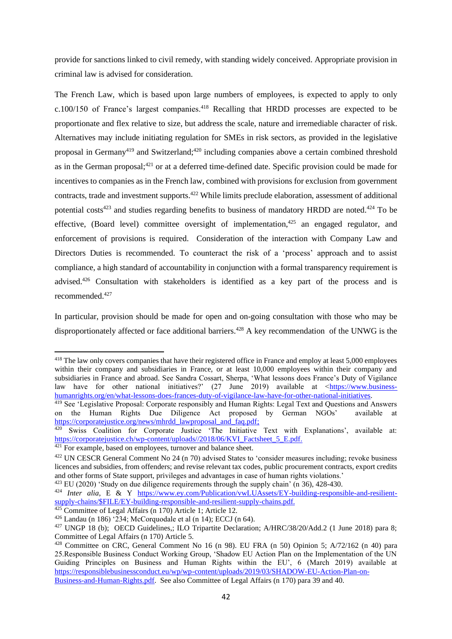provide for sanctions linked to civil remedy, with standing widely conceived. Appropriate provision in criminal law is advised for consideration.

The French Law, which is based upon large numbers of employees, is expected to apply to only  $c.100/150$  of France's largest companies.<sup>418</sup> Recalling that HRDD processes are expected to be proportionate and flex relative to size, but address the scale, nature and irremediable character of risk. Alternatives may include initiating regulation for SMEs in risk sectors, as provided in the legislative proposal in Germany<sup>419</sup> and Switzerland;<sup>420</sup> including companies above a certain combined threshold as in the German proposal;<sup>421</sup> or at a deferred time-defined date. Specific provision could be made for incentives to companies as in the French law, combined with provisions for exclusion from government contracts, trade and investment supports.<sup>422</sup> While limits preclude elaboration, assessment of additional potential costs<sup>423</sup> and studies regarding benefits to business of mandatory HRDD are noted.<sup>424</sup> To be effective, (Board level) committee oversight of implementation,  $425$  an engaged regulator, and enforcement of provisions is required. Consideration of the interaction with Company Law and Directors Duties is recommended. To counteract the risk of a 'process' approach and to assist compliance, a high standard of accountability in conjunction with a formal transparency requirement is advised.<sup>426</sup> Consultation with stakeholders is identified as a key part of the process and is recommended. 427

In particular, provision should be made for open and on-going consultation with those who may be disproportionately affected or face additional barriers.<sup>428</sup> A key recommendation of the UNWG is the

<sup>&</sup>lt;sup>418</sup> The law only covers companies that have their registered office in France and employ at least 5,000 employees within their company and subsidiaries in France, or at least 10,000 employees within their company and subsidiaries in France and abroad. See Sandra Cossart, Sherpa, 'What lessons does France's Duty of Vigilance law have for other national initiatives?' (27 June 2019) available at [<https://www.business](https://www.business-humanrights.org/en/what-lessons-does-frances-duty-of-vigilance-law-have-for-other-national-initiatives)[humanrights.org/en/what-lessons-does-frances-duty-of-vigilance-law-have-for-other-national-initiatives.](https://www.business-humanrights.org/en/what-lessons-does-frances-duty-of-vigilance-law-have-for-other-national-initiatives)

<sup>&</sup>lt;sup>419</sup> See 'Legislative Proposal: Corporate responsibly and Human Rights: Legal Text and Questions and Answers on the Human Rights Due Diligence Act proposed by German NGOs' available at [https://corporatejustice.org/news/mhrdd\\_lawproposal\\_and\\_faq.pdf;](https://corporatejustice.org/news/mhrdd_lawproposal_and_faq.pdf)

<sup>420</sup> Swiss Coalition for Corporate Justice 'The Initiative Text with Explanations', available at: [https://corporatejustice.ch/wp-content/uploads//2018/06/KVI\\_Factsheet\\_5\\_E.pdf.](https://corporatejustice.ch/wp-content/uploads/2018/06/KVI_Factsheet_5_E.pdf)

<sup>&</sup>lt;sup>421</sup> For example, based on employees, turnover and balance sheet.

<sup>422</sup> UN CESCR General Comment No 24 (n [70\)](#page-11-0) advised States to 'consider measures including; revoke business licences and subsidies, from offenders; and revise relevant tax codes, public procurement contracts, export credits and other forms of State support, privileges and advantages in case of human rights violations.'

<sup>423</sup> EU (2020) 'Study on due diligence requirements through the supply chain' (n [36\)](#page-9-0), 428-430.

<sup>424</sup> *Inter alia*, E & Y [https://www.ey.com/Publication/vwLUAssets/EY-building-responsible-and-resilient](https://www.ey.com/Publication/vwLUAssets/EY-building-responsible-and-resilient-supply-chains/$FILE/EY-building-responsible-and-resilient-supply-chains.pdf)[supply-chains/\\$FILE/EY-building-responsible-and-resilient-supply-chains.pdf.](https://www.ey.com/Publication/vwLUAssets/EY-building-responsible-and-resilient-supply-chains/$FILE/EY-building-responsible-and-resilient-supply-chains.pdf)

<sup>425</sup> Committee of Legal Affairs (n [170\)](#page-20-1) Article 1; Article 12.

<sup>426</sup> Landau ([n 186\)](#page-21-2) '234; McCorquodale et al ([n 14\)](#page-6-1); ECCJ (n [64\)](#page-11-2).

<sup>&</sup>lt;sup>427</sup> UNGP 18 (b); OECD Guidelines,; ILO Tripartite Declaration; A/HRC/38/20/Add.2 (1 June 2018) para 8; Committee of Legal Affairs ([n 170\)](#page-20-1) Article 5.

<sup>428</sup> Committee on CRC, General Comment No 16 (n [98\)](#page-13-3). EU FRA (n [50\)](#page-10-1) Opinion 5; A/72/162 (n [40\)](#page-9-1) para 25.Responsible Business Conduct Working Group, 'Shadow EU Action Plan on the Implementation of the UN Guiding Principles on Business and Human Rights within the EU', 6 (March 2019) available at [https://responsiblebusinessconduct.eu/wp/wp-content/uploads/2019/03/SHADOW-EU-Action-Plan-on-](https://responsiblebusinessconduct.eu/wp/wp-content/uploads/2019/03/SHADOW-EU-Action-Plan-on-Business-and-Human-Rights.pdf)[Business-and-Human-Rights.pdf.](https://responsiblebusinessconduct.eu/wp/wp-content/uploads/2019/03/SHADOW-EU-Action-Plan-on-Business-and-Human-Rights.pdf) See also Committee of Legal Affairs (n [170\)](#page-20-1) para 39 and 40.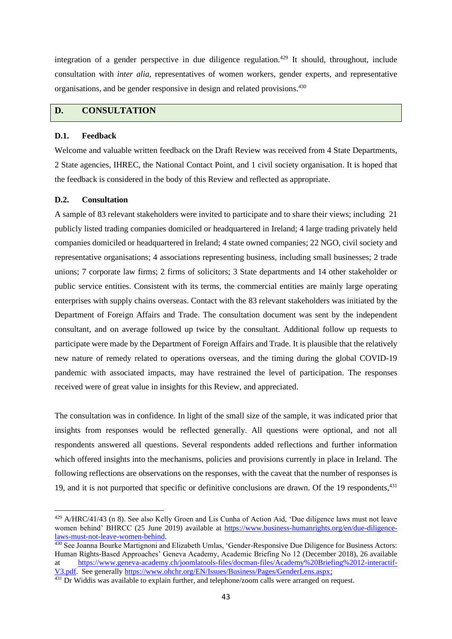integration of a gender perspective in due diligence regulation.<sup>429</sup> It should, throughout, include consultation with *inter alia*, representatives of women workers, gender experts, and representative organisations, and be gender responsive in design and related provisions.<sup>430</sup>

## **D. CONSULTATION**

#### **D.1. Feedback**

Welcome and valuable written feedback on the Draft Review was received from 4 State Departments, 2 State agencies, IHREC, the National Contact Point, and 1 civil society organisation. It is hoped that the feedback is considered in the body of this Review and reflected as appropriate.

#### **D.2. Consultation**

A sample of 83 relevant stakeholders were invited to participate and to share their views; including 21 publicly listed trading companies domiciled or headquartered in Ireland; 4 large trading privately held companies domiciled or headquartered in Ireland; 4 state owned companies; 22 NGO, civil society and representative organisations; 4 associations representing business, including small businesses; 2 trade unions; 7 corporate law firms; 2 firms of solicitors; 3 State departments and 14 other stakeholder or public service entities. Consistent with its terms, the commercial entities are mainly large operating enterprises with supply chains overseas. Contact with the 83 relevant stakeholders was initiated by the Department of Foreign Affairs and Trade. The consultation document was sent by the independent consultant, and on average followed up twice by the consultant. Additional follow up requests to participate were made by the Department of Foreign Affairs and Trade. It is plausible that the relatively new nature of remedy related to operations overseas, and the timing during the global COVID-19 pandemic with associated impacts, may have restrained the level of participation. The responses received were of great value in insights for this Review, and appreciated.

The consultation was in confidence. In light of the small size of the sample, it was indicated prior that insights from responses would be reflected generally. All questions were optional, and not all respondents answered all questions. Several respondents added reflections and further information which offered insights into the mechanisms, policies and provisions currently in place in Ireland. The following reflections are observations on the responses, with the caveat that the number of responses is 19, and it is not purported that specific or definitive conclusions are drawn. Of the 19 respondents, 431

<sup>429</sup> A/HRC/41/43 (n [8\)](#page-4-1). See also Kelly Groen and Lis Cunha of Action Aid, 'Due diligence laws must not leave women behind' BHRCC (25 June 2019) available at [https://www.business-humanrights.org/en/due-diligence](https://www.business-humanrights.org/en/due-diligence-laws-must-not-leave-women-behind)[laws-must-not-leave-women-behind.](https://www.business-humanrights.org/en/due-diligence-laws-must-not-leave-women-behind)

<sup>430</sup> See Joanna Bourke Martignoni and Elizabeth Umlas, 'Gender-Responsive Due Diligence for Business Actors: Human Rights-Based Approaches' Geneva Academy, Academic Briefing No 12 (December 2018), 26 available at [https://www.geneva-academy.ch/joomlatools-files/docman-files/Academy%20Briefing%2012-interactif-](https://www.geneva-academy.ch/joomlatools-files/docman-files/Academy%20Briefing%2012-interactif-V3.pdf)[V3.pdf.](https://www.geneva-academy.ch/joomlatools-files/docman-files/Academy%20Briefing%2012-interactif-V3.pdf) See generally [https://www.ohchr.org/EN/Issues/Business/Pages/GenderLens.aspx;](https://www.ohchr.org/EN/Issues/Business/Pages/GenderLens.aspx)

<sup>&</sup>lt;sup>431</sup> Dr Widdis was available to explain further, and telephone/zoom calls were arranged on request.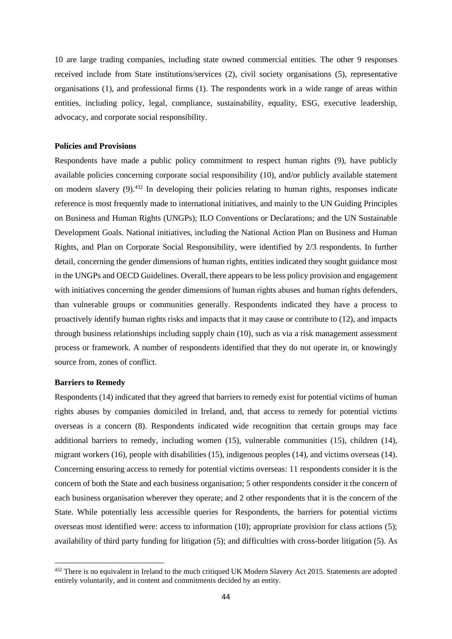10 are large trading companies, including state owned commercial entities. The other 9 responses received include from State institutions/services (2), civil society organisations (5), representative organisations (1), and professional firms (1). The respondents work in a wide range of areas within entities, including policy, legal, compliance, sustainability, equality, ESG, executive leadership, advocacy, and corporate social responsibility.

#### **Policies and Provisions**

Respondents have made a public policy commitment to respect human rights (9), have publicly available policies concerning corporate social responsibility (10), and/or publicly available statement on modern slavery (9).<sup>432</sup> In developing their policies relating to human rights, responses indicate reference is most frequently made to international initiatives, and mainly to the UN Guiding Principles on Business and Human Rights (UNGPs); ILO Conventions or Declarations; and the UN Sustainable Development Goals. National initiatives, including the National Action Plan on Business and Human Rights, and Plan on Corporate Social Responsibility, were identified by 2/3 respondents. In further detail, concerning the gender dimensions of human rights, entities indicated they sought guidance most in the UNGPs and OECD Guidelines. Overall, there appears to be less policy provision and engagement with initiatives concerning the gender dimensions of human rights abuses and human rights defenders, than vulnerable groups or communities generally. Respondents indicated they have a process to proactively identify human rights risks and impacts that it may cause or contribute to (12), and impacts through business relationships including supply chain (10), such as via a risk management assessment process or framework. A number of respondents identified that they do not operate in, or knowingly source from, zones of conflict.

#### **Barriers to Remedy**

Respondents (14) indicated that they agreed that barriers to remedy exist for potential victims of human rights abuses by companies domiciled in Ireland, and, that access to remedy for potential victims overseas is a concern (8). Respondents indicated wide recognition that certain groups may face additional barriers to remedy, including women (15), vulnerable communities (15), children (14), migrant workers (16), people with disabilities (15), indigenous peoples (14), and victims overseas (14). Concerning ensuring access to remedy for potential victims overseas: 11 respondents consider it is the concern of both the State and each business organisation; 5 other respondents consider it the concern of each business organisation wherever they operate; and 2 other respondents that it is the concern of the State. While potentially less accessible queries for Respondents, the barriers for potential victims overseas most identified were: access to information (10); appropriate provision for class actions (5); availability of third party funding for litigation (5); and difficulties with cross-border litigation (5). As

<sup>432</sup> There is no equivalent in Ireland to the much critiqued UK Modern Slavery Act 2015. Statements are adopted entirely voluntarily, and in content and commitments decided by an entity.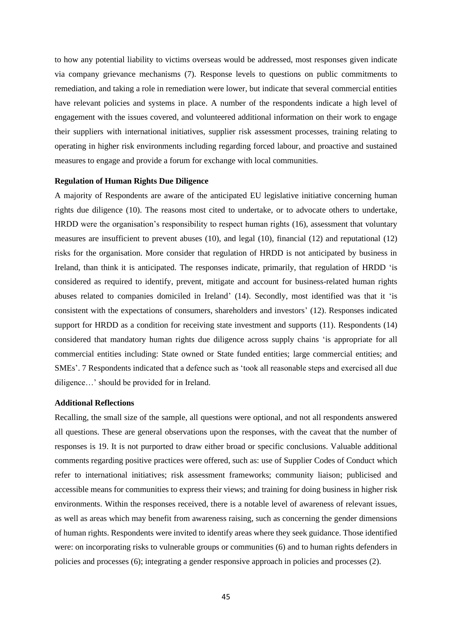to how any potential liability to victims overseas would be addressed, most responses given indicate via company grievance mechanisms (7). Response levels to questions on public commitments to remediation, and taking a role in remediation were lower, but indicate that several commercial entities have relevant policies and systems in place. A number of the respondents indicate a high level of engagement with the issues covered, and volunteered additional information on their work to engage their suppliers with international initiatives, supplier risk assessment processes, training relating to operating in higher risk environments including regarding forced labour, and proactive and sustained measures to engage and provide a forum for exchange with local communities.

#### **Regulation of Human Rights Due Diligence**

A majority of Respondents are aware of the anticipated EU legislative initiative concerning human rights due diligence (10). The reasons most cited to undertake, or to advocate others to undertake, HRDD were the organisation's responsibility to respect human rights (16), assessment that voluntary measures are insufficient to prevent abuses (10), and legal (10), financial (12) and reputational (12) risks for the organisation. More consider that regulation of HRDD is not anticipated by business in Ireland, than think it is anticipated. The responses indicate, primarily, that regulation of HRDD 'is considered as required to identify, prevent, mitigate and account for business-related human rights abuses related to companies domiciled in Ireland' (14). Secondly, most identified was that it 'is consistent with the expectations of consumers, shareholders and investors' (12). Responses indicated support for HRDD as a condition for receiving state investment and supports (11). Respondents (14) considered that mandatory human rights due diligence across supply chains 'is appropriate for all commercial entities including: State owned or State funded entities; large commercial entities; and SMEs'. 7 Respondents indicated that a defence such as 'took all reasonable steps and exercised all due diligence…' should be provided for in Ireland.

## **Additional Reflections**

Recalling, the small size of the sample, all questions were optional, and not all respondents answered all questions. These are general observations upon the responses, with the caveat that the number of responses is 19. It is not purported to draw either broad or specific conclusions. Valuable additional comments regarding positive practices were offered, such as: use of Supplier Codes of Conduct which refer to international initiatives; risk assessment frameworks; community liaison; publicised and accessible means for communities to express their views; and training for doing business in higher risk environments. Within the responses received, there is a notable level of awareness of relevant issues, as well as areas which may benefit from awareness raising, such as concerning the gender dimensions of human rights. Respondents were invited to identify areas where they seek guidance. Those identified were: on incorporating risks to vulnerable groups or communities (6) and to human rights defenders in policies and processes (6); integrating a gender responsive approach in policies and processes (2).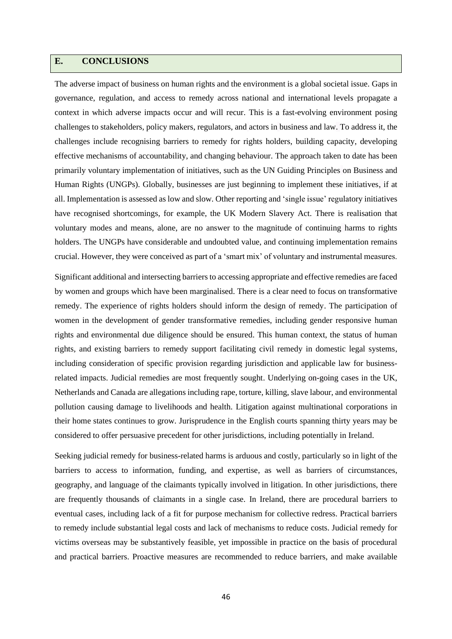## **E. CONCLUSIONS**

The adverse impact of business on human rights and the environment is a global societal issue. Gaps in governance, regulation, and access to remedy across national and international levels propagate a context in which adverse impacts occur and will recur. This is a fast-evolving environment posing challenges to stakeholders, policy makers, regulators, and actors in business and law. To address it, the challenges include recognising barriers to remedy for rights holders, building capacity, developing effective mechanisms of accountability, and changing behaviour. The approach taken to date has been primarily voluntary implementation of initiatives, such as the UN Guiding Principles on Business and Human Rights (UNGPs). Globally, businesses are just beginning to implement these initiatives, if at all. Implementation is assessed as low and slow. Other reporting and 'single issue' regulatory initiatives have recognised shortcomings, for example, the UK Modern Slavery Act. There is realisation that voluntary modes and means, alone, are no answer to the magnitude of continuing harms to rights holders. The UNGPs have considerable and undoubted value, and continuing implementation remains crucial. However, they were conceived as part of a 'smart mix' of voluntary and instrumental measures.

Significant additional and intersecting barriers to accessing appropriate and effective remedies are faced by women and groups which have been marginalised. There is a clear need to focus on transformative remedy. The experience of rights holders should inform the design of remedy. The participation of women in the development of gender transformative remedies, including gender responsive human rights and environmental due diligence should be ensured. This human context, the status of human rights, and existing barriers to remedy support facilitating civil remedy in domestic legal systems, including consideration of specific provision regarding jurisdiction and applicable law for businessrelated impacts. Judicial remedies are most frequently sought. Underlying on-going cases in the UK, Netherlands and Canada are allegations including rape, torture, killing, slave labour, and environmental pollution causing damage to livelihoods and health. Litigation against multinational corporations in their home states continues to grow. Jurisprudence in the English courts spanning thirty years may be considered to offer persuasive precedent for other jurisdictions, including potentially in Ireland.

Seeking judicial remedy for business-related harms is arduous and costly, particularly so in light of the barriers to access to information, funding, and expertise, as well as barriers of circumstances, geography, and language of the claimants typically involved in litigation. In other jurisdictions, there are frequently thousands of claimants in a single case. In Ireland, there are procedural barriers to eventual cases, including lack of a fit for purpose mechanism for collective redress. Practical barriers to remedy include substantial legal costs and lack of mechanisms to reduce costs. Judicial remedy for victims overseas may be substantively feasible, yet impossible in practice on the basis of procedural and practical barriers. Proactive measures are recommended to reduce barriers, and make available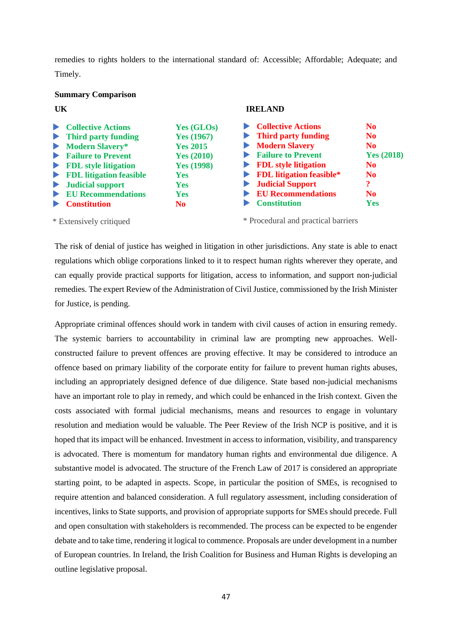remedies to rights holders to the international standard of: Accessible; Affordable; Adequate; and Timely.

#### **Summary Comparison**

| <b>Collective Actions</b><br>N <sub>0</sub><br><b>Third party funding</b><br>N <sub>0</sub><br>Modern Slavery<br>N <sub>0</sub>                                                                                                                                                     |  |
|-------------------------------------------------------------------------------------------------------------------------------------------------------------------------------------------------------------------------------------------------------------------------------------|--|
| <b>Failure to Prevent</b><br>Yes(2018)<br>$\blacktriangleright$ FDL style litigation<br>N <sub>0</sub><br>$\blacktriangleright$ FDL litigation feasible*<br>N <sub>0</sub><br><b>I</b> Judicial Support<br>$\boldsymbol{\mathsf{?}}$<br><b>EU Recommendations</b><br>N <sub>0</sub> |  |
| <b>Constitution</b><br><b>Yes</b>                                                                                                                                                                                                                                                   |  |
|                                                                                                                                                                                                                                                                                     |  |

\* Extensively critiqued

\* Procedural and practical barriers

The risk of denial of justice has weighed in litigation in other jurisdictions. Any state is able to enact regulations which oblige corporations linked to it to respect human rights wherever they operate, and can equally provide practical supports for litigation, access to information, and support non-judicial remedies. The expert Review of the Administration of Civil Justice, commissioned by the Irish Minister for Justice, is pending.

Appropriate criminal offences should work in tandem with civil causes of action in ensuring remedy. The systemic barriers to accountability in criminal law are prompting new approaches. Wellconstructed failure to prevent offences are proving effective. It may be considered to introduce an offence based on primary liability of the corporate entity for failure to prevent human rights abuses, including an appropriately designed defence of due diligence. State based non-judicial mechanisms have an important role to play in remedy, and which could be enhanced in the Irish context. Given the costs associated with formal judicial mechanisms, means and resources to engage in voluntary resolution and mediation would be valuable. The Peer Review of the Irish NCP is positive, and it is hoped that its impact will be enhanced. Investment in access to information, visibility, and transparency is advocated. There is momentum for mandatory human rights and environmental due diligence. A substantive model is advocated. The structure of the French Law of 2017 is considered an appropriate starting point, to be adapted in aspects. Scope, in particular the position of SMEs, is recognised to require attention and balanced consideration. A full regulatory assessment, including consideration of incentives, links to State supports, and provision of appropriate supports for SMEs should precede. Full and open consultation with stakeholders is recommended. The process can be expected to be engender debate and to take time, rendering it logical to commence. Proposals are under development in a number of European countries. In Ireland, the Irish Coalition for Business and Human Rights is developing an outline legislative proposal.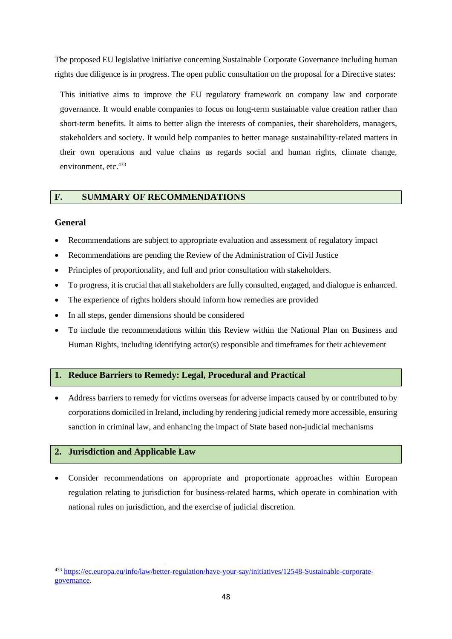The proposed EU legislative initiative concerning Sustainable Corporate Governance including human rights due diligence is in progress. The open public consultation on the proposal for a Directive states:

This initiative aims to improve the EU regulatory framework on company law and corporate governance. It would enable companies to focus on long-term sustainable value creation rather than short-term benefits. It aims to better align the interests of companies, their shareholders, managers, stakeholders and society. It would help companies to better manage sustainability-related matters in their own operations and value chains as regards social and human rights, climate change, environment, etc.<sup>433</sup>

## **F. SUMMARY OF RECOMMENDATIONS**

#### **General**

- Recommendations are subject to appropriate evaluation and assessment of regulatory impact
- Recommendations are pending the Review of the Administration of Civil Justice
- Principles of proportionality, and full and prior consultation with stakeholders.
- To progress, it is crucial that all stakeholders are fully consulted, engaged, and dialogue is enhanced.
- The experience of rights holders should inform how remedies are provided
- In all steps, gender dimensions should be considered
- To include the recommendations within this Review within the National Plan on Business and Human Rights, including identifying actor(s) responsible and timeframes for their achievement

## **1. Reduce Barriers to Remedy: Legal, Procedural and Practical**

• Address barriers to remedy for victims overseas for adverse impacts caused by or contributed to by corporations domiciled in Ireland, including by rendering judicial remedy more accessible, ensuring sanction in criminal law, and enhancing the impact of State based non-judicial mechanisms

## **2. Jurisdiction and Applicable Law**

• Consider recommendations on appropriate and proportionate approaches within European regulation relating to jurisdiction for business-related harms, which operate in combination with national rules on jurisdiction, and the exercise of judicial discretion.

<sup>433</sup> [https://ec.europa.eu/info/law/better-regulation/have-your-say/initiatives/12548-Sustainable-corporate](https://ec.europa.eu/info/law/better-regulation/have-your-say/initiatives/12548-Sustainable-corporate-governance)[governance.](https://ec.europa.eu/info/law/better-regulation/have-your-say/initiatives/12548-Sustainable-corporate-governance)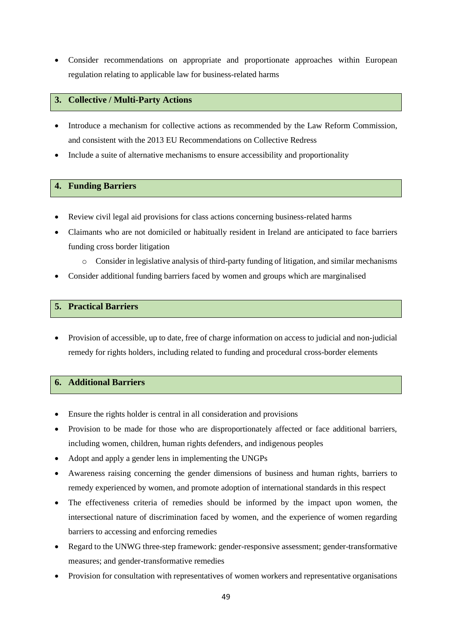• Consider recommendations on appropriate and proportionate approaches within European regulation relating to applicable law for business-related harms

## **3. Collective / Multi-Party Actions**

- Introduce a mechanism for collective actions as recommended by the Law Reform Commission, and consistent with the 2013 EU Recommendations on Collective Redress
- Include a suite of alternative mechanisms to ensure accessibility and proportionality

## **4. Funding Barriers**

- Review civil legal aid provisions for class actions concerning business-related harms
- Claimants who are not domiciled or habitually resident in Ireland are anticipated to face barriers funding cross border litigation
	- o Consider in legislative analysis of third-party funding of litigation, and similar mechanisms
- Consider additional funding barriers faced by women and groups which are marginalised

## **5. Practical Barriers**

• Provision of accessible, up to date, free of charge information on access to judicial and non-judicial remedy for rights holders, including related to funding and procedural cross-border elements

## **6. Additional Barriers**

- Ensure the rights holder is central in all consideration and provisions
- Provision to be made for those who are disproportionately affected or face additional barriers, including women, children, human rights defenders, and indigenous peoples
- Adopt and apply a gender lens in implementing the UNGPs
- Awareness raising concerning the gender dimensions of business and human rights, barriers to remedy experienced by women, and promote adoption of international standards in this respect
- The effectiveness criteria of remedies should be informed by the impact upon women, the intersectional nature of discrimination faced by women, and the experience of women regarding barriers to accessing and enforcing remedies
- Regard to the UNWG three-step framework: gender-responsive assessment; gender-transformative measures; and gender-transformative remedies
- Provision for consultation with representatives of women workers and representative organisations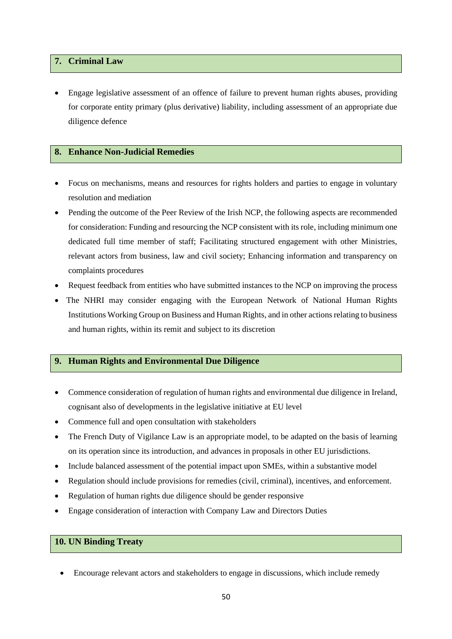## **7. Criminal Law**

• Engage legislative assessment of an offence of failure to prevent human rights abuses, providing for corporate entity primary (plus derivative) liability, including assessment of an appropriate due diligence defence

## **8. Enhance Non-Judicial Remedies**

- Focus on mechanisms, means and resources for rights holders and parties to engage in voluntary resolution and mediation
- Pending the outcome of the Peer Review of the Irish NCP, the following aspects are recommended for consideration: Funding and resourcing the NCP consistent with its role, including minimum one dedicated full time member of staff; Facilitating structured engagement with other Ministries, relevant actors from business, law and civil society; Enhancing information and transparency on complaints procedures
- Request feedback from entities who have submitted instances to the NCP on improving the process
- The NHRI may consider engaging with the European Network of National Human Rights Institutions Working Group on Business and Human Rights, and in other actionsrelating to business and human rights, within its remit and subject to its discretion

## **9. Human Rights and Environmental Due Diligence**

- Commence consideration of regulation of human rights and environmental due diligence in Ireland, cognisant also of developments in the legislative initiative at EU level
- Commence full and open consultation with stakeholders
- The French Duty of Vigilance Law is an appropriate model, to be adapted on the basis of learning on its operation since its introduction, and advances in proposals in other EU jurisdictions.
- Include balanced assessment of the potential impact upon SMEs, within a substantive model
- Regulation should include provisions for remedies (civil, criminal), incentives, and enforcement.
- Regulation of human rights due diligence should be gender responsive
- Engage consideration of interaction with Company Law and Directors Duties

## **10. UN Binding Treaty**

• Encourage relevant actors and stakeholders to engage in discussions, which include remedy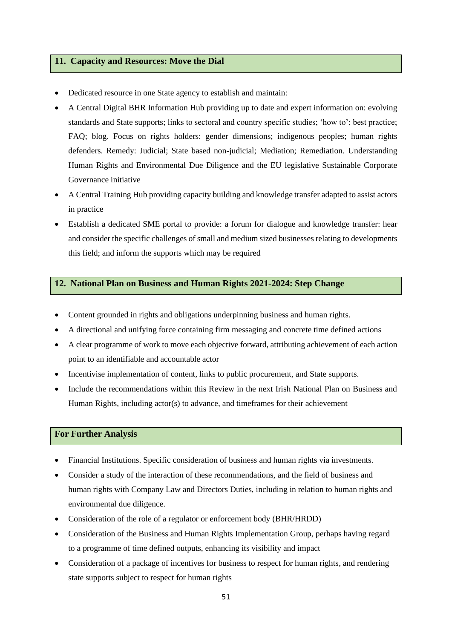#### **11. Capacity and Resources: Move the Dial**

- Dedicated resource in one State agency to establish and maintain:
- A Central Digital BHR Information Hub providing up to date and expert information on: evolving standards and State supports; links to sectoral and country specific studies; 'how to'; best practice; FAQ; blog. Focus on rights holders: gender dimensions; indigenous peoples; human rights defenders. Remedy: Judicial; State based non-judicial; Mediation; Remediation. Understanding Human Rights and Environmental Due Diligence and the EU legislative Sustainable Corporate Governance initiative
- A Central Training Hub providing capacity building and knowledge transfer adapted to assist actors in practice
- Establish a dedicated SME portal to provide: a forum for dialogue and knowledge transfer: hear and consider the specific challenges of small and medium sized businesses relating to developments this field; and inform the supports which may be required

## **12. National Plan on Business and Human Rights 2021-2024: Step Change**

- Content grounded in rights and obligations underpinning business and human rights.
- A directional and unifying force containing firm messaging and concrete time defined actions
- A clear programme of work to move each objective forward, attributing achievement of each action point to an identifiable and accountable actor
- Incentivise implementation of content, links to public procurement, and State supports.
- Include the recommendations within this Review in the next Irish National Plan on Business and Human Rights, including actor(s) to advance, and timeframes for their achievement

## **For Further Analysis**

- Financial Institutions. Specific consideration of business and human rights via investments.
- Consider a study of the interaction of these recommendations, and the field of business and human rights with Company Law and Directors Duties, including in relation to human rights and environmental due diligence.
- Consideration of the role of a regulator or enforcement body (BHR/HRDD)
- Consideration of the Business and Human Rights Implementation Group, perhaps having regard to a programme of time defined outputs, enhancing its visibility and impact
- Consideration of a package of incentives for business to respect for human rights, and rendering state supports subject to respect for human rights